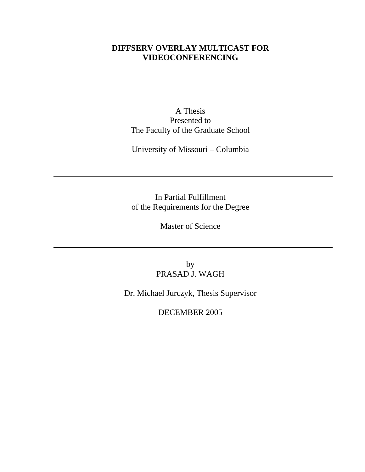# **DIFFSERV OVERLAY MULTICAST FOR VIDEOCONFERENCING**

A Thesis Presented to The Faculty of the Graduate School

University of Missouri – Columbia

In Partial Fulfillment of the Requirements for the Degree

Master of Science

by PRASAD J. WAGH

Dr. Michael Jurczyk, Thesis Supervisor

DECEMBER 2005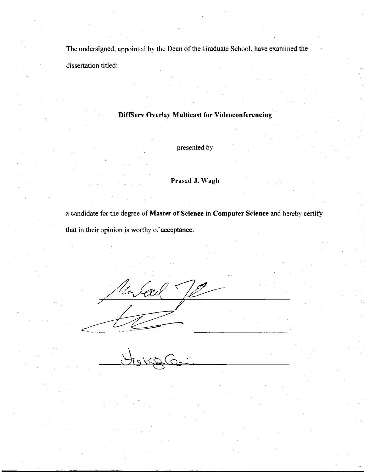The undersigned, appointed by the Dean of the Graduate School, have examined the dissertation titled:

## **DiffServ Overlay Multicast for Videoconferencing**

presented by

## Prasad J. Wagh

a candidate for the degree of Master of Science in Computer Science and hereby certify that in their opinion is worthy of acceptance.

Un Seed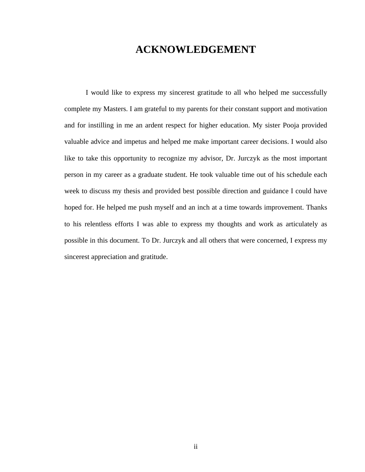# **ACKNOWLEDGEMENT**

I would like to express my sincerest gratitude to all who helped me successfully complete my Masters. I am grateful to my parents for their constant support and motivation and for instilling in me an ardent respect for higher education. My sister Pooja provided valuable advice and impetus and helped me make important career decisions. I would also like to take this opportunity to recognize my advisor, Dr. Jurczyk as the most important person in my career as a graduate student. He took valuable time out of his schedule each week to discuss my thesis and provided best possible direction and guidance I could have hoped for. He helped me push myself and an inch at a time towards improvement. Thanks to his relentless efforts I was able to express my thoughts and work as articulately as possible in this document. To Dr. Jurczyk and all others that were concerned, I express my sincerest appreciation and gratitude.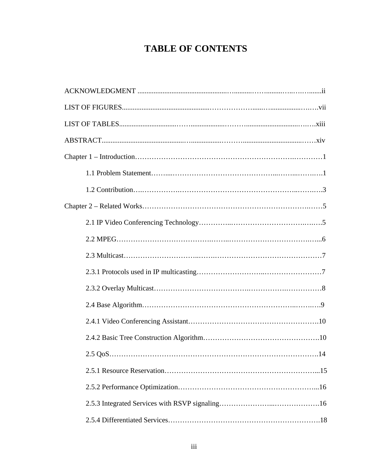# **TABLE OF CONTENTS**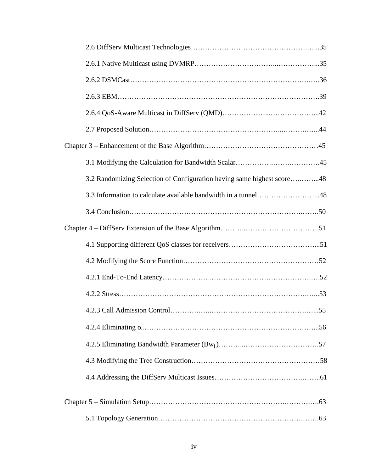| 3.2 Randomizing Selection of Configuration having same highest score48 |
|------------------------------------------------------------------------|
|                                                                        |
|                                                                        |
|                                                                        |
|                                                                        |
|                                                                        |
|                                                                        |
|                                                                        |
|                                                                        |
|                                                                        |
|                                                                        |
|                                                                        |
|                                                                        |
|                                                                        |
|                                                                        |
|                                                                        |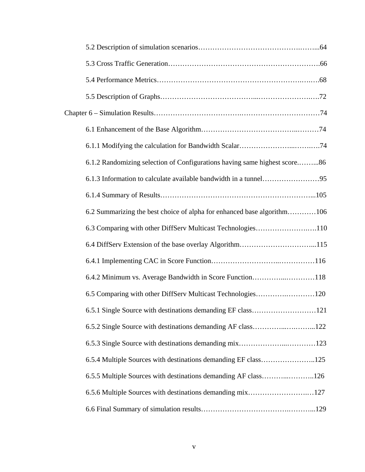| 6.1.2 Randomizing selection of Configurations having same highest score86 |
|---------------------------------------------------------------------------|
|                                                                           |
|                                                                           |
| 6.2 Summarizing the best choice of alpha for enhanced base algorithm106   |
| 6.3 Comparing with other DiffServ Multicast Technologies110               |
|                                                                           |
|                                                                           |
| 6.4.2 Minimum vs. Average Bandwidth in Score Function118                  |
| 6.5 Comparing with other DiffServ Multicast Technologies120               |
| 6.5.1 Single Source with destinations demanding EF class121               |
|                                                                           |
|                                                                           |
| 6.5.4 Multiple Sources with destinations demanding EF class125            |
| 6.5.5 Multiple Sources with destinations demanding AF class126            |
| 6.5.6 Multiple Sources with destinations demanding mix127                 |
|                                                                           |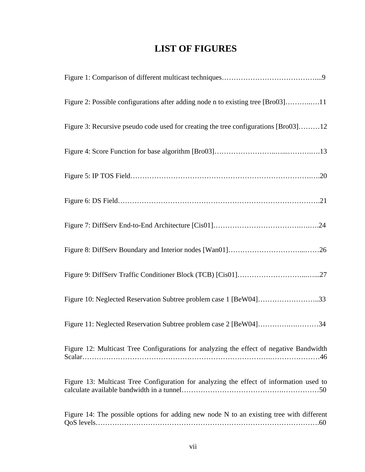# **LIST OF FIGURES**

| Figure 2: Possible configurations after adding node n to existing tree [Bro03]11         |
|------------------------------------------------------------------------------------------|
| Figure 3: Recursive pseudo code used for creating the tree configurations [Bro03]12      |
|                                                                                          |
|                                                                                          |
|                                                                                          |
|                                                                                          |
|                                                                                          |
|                                                                                          |
| Figure 10: Neglected Reservation Subtree problem case 1 [BeW04]33                        |
| Figure 11: Neglected Reservation Subtree problem case 2 [BeW04]34                        |
| Figure 12: Multicast Tree Configurations for analyzing the effect of negative Bandwidth  |
| Figure 13: Multicast Tree Configuration for analyzing the effect of information used to  |
| Figure 14: The possible options for adding new node N to an existing tree with different |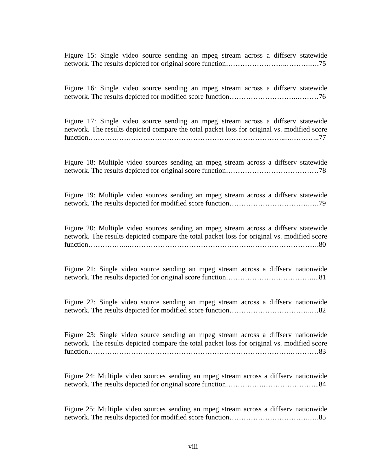Figure 15: Single video source sending an mpeg stream across a diffserv statewide network. The results depicted for original score function……………………..……….….75

Figure 16: Single video source sending an mpeg stream across a diffserv statewide network. The results depicted for modified score function………………………………………………………………76

Figure 17: Single video source sending an mpeg stream across a diffserv statewide network. The results depicted compare the total packet loss for original vs. modified score function………………………………………………………………………..….………..77

Figure 18: Multiple video sources sending an mpeg stream across a diffserv statewide network. The results depicted for original score function…………………………………78

Figure 19: Multiple video sources sending an mpeg stream across a diffserv statewide network. The results depicted for modified score function…………………………….….79

Figure 20: Multiple video sources sending an mpeg stream across a diffserv statewide network. The results depicted compare the total packet loss for original vs. modified score function……………...…………………………………………….……………………….80

Figure 21: Single video source sending an mpeg stream across a diffserv nationwide network. The results depicted for original score function………………………………………………………81

Figure 22: Single video source sending an mpeg stream across a diffserv nationwide network. The results depicted for modified score function……………………………..…82

Figure 23: Single video source sending an mpeg stream across a diffserv nationwide network. The results depicted compare the total packet loss for original vs. modified score function………………………………………………………………………….…………83

Figure 24: Multiple video sources sending an mpeg stream across a diffserv nationwide network. The results depicted for original score function…………….…………………...84

Figure 25: Multiple video sources sending an mpeg stream across a diffserv nationwide network. The results depicted for modified score function…………………………….….85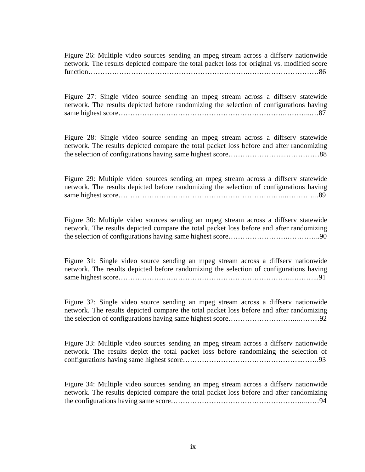Figure 26: Multiple video sources sending an mpeg stream across a diffserv nationwide network. The results depicted compare the total packet loss for original vs. modified score function………………………………………………………….…………………………86

Figure 27: Single video source sending an mpeg stream across a diffserv statewide network. The results depicted before randomizing the selection of configurations having same highest score…………………………………………………………….………...…87

Figure 28: Single video source sending an mpeg stream across a diffserv statewide network. The results depicted compare the total packet loss before and after randomizing the selection of configurations having same highest score…………………...……………88

Figure 29: Multiple video sources sending an mpeg stream across a diffserv statewide network. The results depicted before randomizing the selection of configurations having same highest score……………………………………………………………..…………..89

Figure 30: Multiple video sources sending an mpeg stream across a diffserv statewide network. The results depicted compare the total packet loss before and after randomizing the selection of configurations having same highest score…………………….…………..90

Figure 31: Single video source sending an mpeg stream across a diffserv nationwide network. The results depicted before randomizing the selection of configurations having same highest score……………………………………………………………….………...91

Figure 32: Single video source sending an mpeg stream across a diffserv nationwide network. The results depicted compare the total packet loss before and after randomizing the selection of configurations having same highest score………………………...………92

Figure 33: Multiple video sources sending an mpeg stream across a diffserv nationwide network. The results depict the total packet loss before randomizing the selection of configurations having same highest score…………………………………………...…….93

Figure 34: Multiple video sources sending an mpeg stream across a diffserv nationwide network. The results depicted compare the total packet loss before and after randomizing the configurations having same score………………………………………………...……94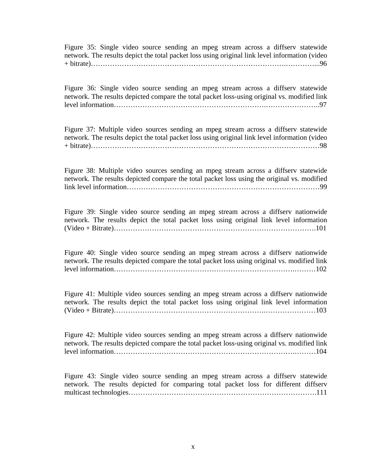Figure 35: Single video source sending an mpeg stream across a diffserv statewide network. The results depict the total packet loss using original link level information (video + bitrate)……………………………………………………………………….…………...96

Figure 36: Single video source sending an mpeg stream across a diffserv statewide network. The results depicted compare the total packet loss-using original vs. modified link level information……………………………………………………….…………………..97

Figure 37: Multiple video sources sending an mpeg stream across a diffserv statewide network. The results depict the total packet loss using original link level information (video + bitrate)……………………………………………………………………………………98

Figure 38: Multiple video sources sending an mpeg stream across a diffserv statewide network. The results depicted compare the total packet loss using the original vs. modified link level information………………………………………………………………………99

Figure 39: Single video source sending an mpeg stream across a diffserv nationwide network. The results depict the total packet loss using original link level information (Video + Bitrate)………………………………………………………………………….101

Figure 40: Single video source sending an mpeg stream across a diffserv nationwide network. The results depicted compare the total packet loss using original vs. modified link level information………………………………………………………………….………102

Figure 41: Multiple video sources sending an mpeg stream across a diffserv nationwide network. The results depict the total packet loss using original link level information (Video + Bitrate)……………………………………………………….…………………103

Figure 42: Multiple video sources sending an mpeg stream across a diffserv nationwide network. The results depicted compare the total packet loss-using original vs. modified link level information………………………………………………………………….………104

Figure 43: Single video source sending an mpeg stream across a diffserv statewide network. The results depicted for comparing total packet loss for different diffserv multicast technologies…………………………………………………………………….111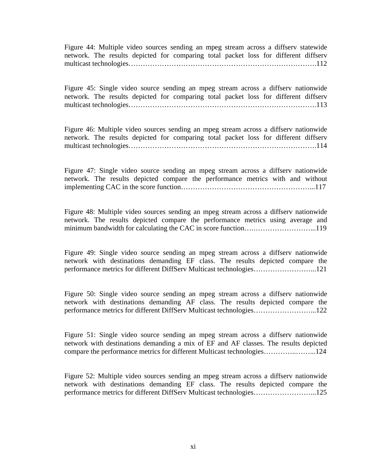Figure 44: Multiple video sources sending an mpeg stream across a diffserv statewide network. The results depicted for comparing total packet loss for different diffserv multicast technologies…………………………………………………………………….112

Figure 45: Single video source sending an mpeg stream across a diffserv nationwide network. The results depicted for comparing total packet loss for different diffserv multicast technologies……………………………………………………………………………………………113

Figure 46: Multiple video sources sending an mpeg stream across a diffserv nationwide network. The results depicted for comparing total packet loss for different diffserv multicast technologies………………………………………………………………………………114

Figure 47: Single video source sending an mpeg stream across a diffserv nationwide network. The results depicted compare the performance metrics with and without implementing CAC in the score function………………………………………………...117

Figure 48: Multiple video sources sending an mpeg stream across a diffserv nationwide network. The results depicted compare the performance metrics using average and minimum bandwidth for calculating the CAC in score function….……………………...119

Figure 49: Single video source sending an mpeg stream across a diffserv nationwide network with destinations demanding EF class. The results depicted compare the performance metrics for different DiffServ Multicast technologies……………………...121

Figure 50: Single video source sending an mpeg stream across a diffserv nationwide network with destinations demanding AF class. The results depicted compare the performance metrics for different DiffServ Multicast technologies……………………...122

Figure 51: Single video source sending an mpeg stream across a diffserv nationwide network with destinations demanding a mix of EF and AF classes. The results depicted compare the performance metrics for different Multicast technologies…………..……...124

Figure 52: Multiple video sources sending an mpeg stream across a diffserv nationwide network with destinations demanding EF class. The results depicted compare the performance metrics for different DiffServ Multicast technologies……………………...125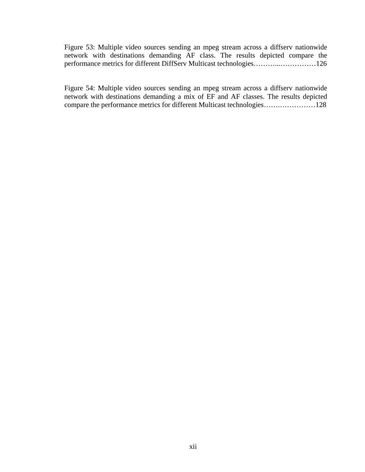Figure 53: Multiple video sources sending an mpeg stream across a diffserv nationwide network with destinations demanding AF class. The results depicted compare the performance metrics for different DiffServ Multicast technologies………...……………126

Figure 54: Multiple video sources sending an mpeg stream across a diffserv nationwide network with destinations demanding a mix of EF and AF classes. The results depicted compare the performance metrics for different Multicast technologies…….……………128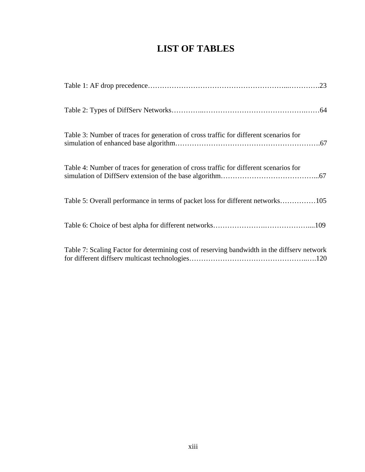# **LIST OF TABLES**

| Table 3: Number of traces for generation of cross traffic for different scenarios for       |
|---------------------------------------------------------------------------------------------|
| Table 4: Number of traces for generation of cross traffic for different scenarios for       |
| Table 5: Overall performance in terms of packet loss for different networks105              |
|                                                                                             |
| Table 7: Scaling Factor for determining cost of reserving bandwidth in the diffserv network |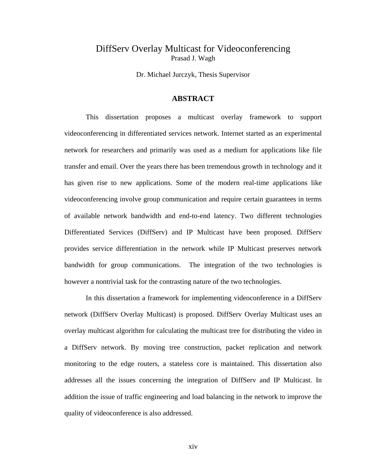# DiffServ Overlay Multicast for Videoconferencing Prasad J. Wagh

Dr. Michael Jurczyk, Thesis Supervisor

## **ABSTRACT**

 This dissertation proposes a multicast overlay framework to support videoconferencing in differentiated services network. Internet started as an experimental network for researchers and primarily was used as a medium for applications like file transfer and email. Over the years there has been tremendous growth in technology and it has given rise to new applications. Some of the modern real-time applications like videoconferencing involve group communication and require certain guarantees in terms of available network bandwidth and end-to-end latency. Two different technologies Differentiated Services (DiffServ) and IP Multicast have been proposed. DiffServ provides service differentiation in the network while IP Multicast preserves network bandwidth for group communications. The integration of the two technologies is however a nontrivial task for the contrasting nature of the two technologies.

In this dissertation a framework for implementing videoconference in a DiffServ network (DiffServ Overlay Multicast) is proposed. DiffServ Overlay Multicast uses an overlay multicast algorithm for calculating the multicast tree for distributing the video in a DiffServ network. By moving tree construction, packet replication and network monitoring to the edge routers, a stateless core is maintained. This dissertation also addresses all the issues concerning the integration of DiffServ and IP Multicast. In addition the issue of traffic engineering and load balancing in the network to improve the quality of videoconference is also addressed.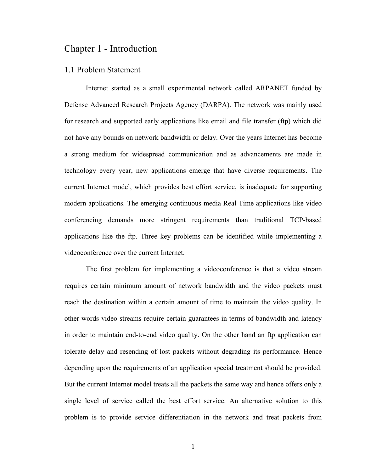# Chapter 1 - Introduction

## 1.1 Problem Statement

Internet started as a small experimental network called ARPANET funded by Defense Advanced Research Projects Agency (DARPA). The network was mainly used for research and supported early applications like email and file transfer (ftp) which did not have any bounds on network bandwidth or delay. Over the years Internet has become a strong medium for widespread communication and as advancements are made in technology every year, new applications emerge that have diverse requirements. The current Internet model, which provides best effort service, is inadequate for supporting modern applications. The emerging continuous media Real Time applications like video conferencing demands more stringent requirements than traditional TCP-based applications like the ftp. Three key problems can be identified while implementing a videoconference over the current Internet.

The first problem for implementing a videoconference is that a video stream requires certain minimum amount of network bandwidth and the video packets must reach the destination within a certain amount of time to maintain the video quality. In other words video streams require certain guarantees in terms of bandwidth and latency in order to maintain end-to-end video quality. On the other hand an ftp application can tolerate delay and resending of lost packets without degrading its performance. Hence depending upon the requirements of an application special treatment should be provided. But the current Internet model treats all the packets the same way and hence offers only a single level of service called the best effort service. An alternative solution to this problem is to provide service differentiation in the network and treat packets from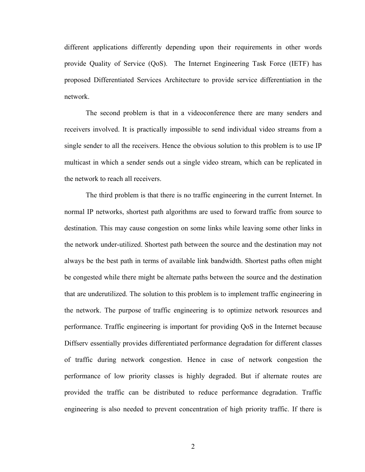different applications differently depending upon their requirements in other words provide Quality of Service (QoS). The Internet Engineering Task Force (IETF) has proposed Differentiated Services Architecture to provide service differentiation in the network.

The second problem is that in a videoconference there are many senders and receivers involved. It is practically impossible to send individual video streams from a single sender to all the receivers. Hence the obvious solution to this problem is to use IP multicast in which a sender sends out a single video stream, which can be replicated in the network to reach all receivers.

The third problem is that there is no traffic engineering in the current Internet. In normal IP networks, shortest path algorithms are used to forward traffic from source to destination. This may cause congestion on some links while leaving some other links in the network under-utilized. Shortest path between the source and the destination may not always be the best path in terms of available link bandwidth. Shortest paths often might be congested while there might be alternate paths between the source and the destination that are underutilized. The solution to this problem is to implement traffic engineering in the network. The purpose of traffic engineering is to optimize network resources and performance. Traffic engineering is important for providing QoS in the Internet because Diffserv essentially provides differentiated performance degradation for different classes of traffic during network congestion. Hence in case of network congestion the performance of low priority classes is highly degraded. But if alternate routes are provided the traffic can be distributed to reduce performance degradation. Traffic engineering is also needed to prevent concentration of high priority traffic. If there is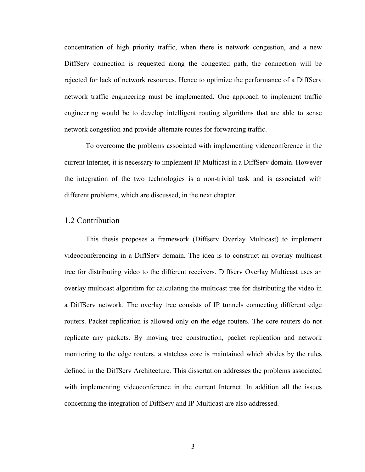concentration of high priority traffic, when there is network congestion, and a new DiffServ connection is requested along the congested path, the connection will be rejected for lack of network resources. Hence to optimize the performance of a DiffServ network traffic engineering must be implemented. One approach to implement traffic engineering would be to develop intelligent routing algorithms that are able to sense network congestion and provide alternate routes for forwarding traffic.

To overcome the problems associated with implementing videoconference in the current Internet, it is necessary to implement IP Multicast in a DiffServ domain. However the integration of the two technologies is a non-trivial task and is associated with different problems, which are discussed, in the next chapter.

## 1.2 Contribution

This thesis proposes a framework (Diffserv Overlay Multicast) to implement videoconferencing in a DiffServ domain. The idea is to construct an overlay multicast tree for distributing video to the different receivers. Diffserv Overlay Multicast uses an overlay multicast algorithm for calculating the multicast tree for distributing the video in a DiffServ network. The overlay tree consists of IP tunnels connecting different edge routers. Packet replication is allowed only on the edge routers. The core routers do not replicate any packets. By moving tree construction, packet replication and network monitoring to the edge routers, a stateless core is maintained which abides by the rules defined in the DiffServ Architecture. This dissertation addresses the problems associated with implementing videoconference in the current Internet. In addition all the issues concerning the integration of DiffServ and IP Multicast are also addressed.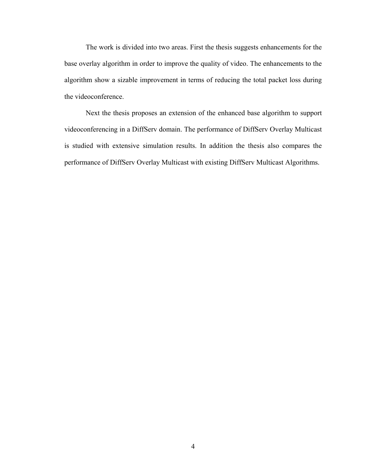The work is divided into two areas. First the thesis suggests enhancements for the base overlay algorithm in order to improve the quality of video. The enhancements to the algorithm show a sizable improvement in terms of reducing the total packet loss during the videoconference.

Next the thesis proposes an extension of the enhanced base algorithm to support videoconferencing in a DiffServ domain. The performance of DiffServ Overlay Multicast is studied with extensive simulation results. In addition the thesis also compares the performance of DiffServ Overlay Multicast with existing DiffServ Multicast Algorithms.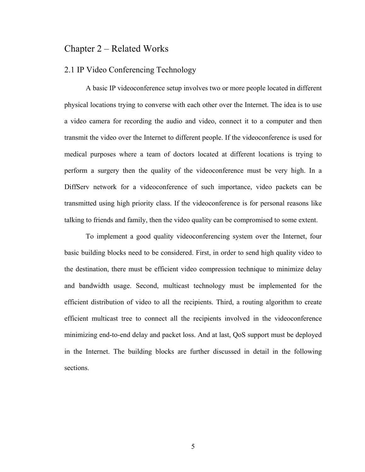# Chapter 2 – Related Works

# 2.1 IP Video Conferencing Technology

 A basic IP videoconference setup involves two or more people located in different physical locations trying to converse with each other over the Internet. The idea is to use a video camera for recording the audio and video, connect it to a computer and then transmit the video over the Internet to different people. If the videoconference is used for medical purposes where a team of doctors located at different locations is trying to perform a surgery then the quality of the videoconference must be very high. In a DiffServ network for a videoconference of such importance, video packets can be transmitted using high priority class. If the videoconference is for personal reasons like talking to friends and family, then the video quality can be compromised to some extent.

 To implement a good quality videoconferencing system over the Internet, four basic building blocks need to be considered. First, in order to send high quality video to the destination, there must be efficient video compression technique to minimize delay and bandwidth usage. Second, multicast technology must be implemented for the efficient distribution of video to all the recipients. Third, a routing algorithm to create efficient multicast tree to connect all the recipients involved in the videoconference minimizing end-to-end delay and packet loss. And at last, QoS support must be deployed in the Internet. The building blocks are further discussed in detail in the following sections.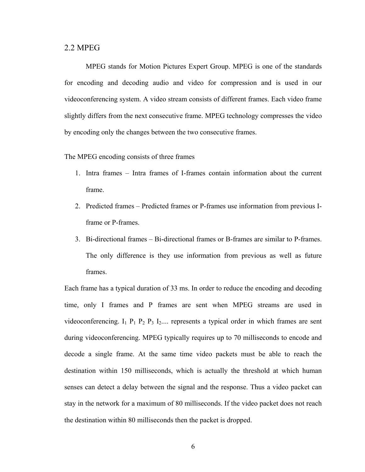#### 2.2 MPEG

MPEG stands for Motion Pictures Expert Group. MPEG is one of the standards for encoding and decoding audio and video for compression and is used in our videoconferencing system. A video stream consists of different frames. Each video frame slightly differs from the next consecutive frame. MPEG technology compresses the video by encoding only the changes between the two consecutive frames.

The MPEG encoding consists of three frames

- 1. Intra frames Intra frames of I-frames contain information about the current frame.
- 2. Predicted frames Predicted frames or P-frames use information from previous Iframe or P-frames.
- 3. Bi-directional frames Bi-directional frames or B-frames are similar to P-frames. The only difference is they use information from previous as well as future frames.

Each frame has a typical duration of 33 ms. In order to reduce the encoding and decoding time, only I frames and P frames are sent when MPEG streams are used in videoconferencing.  $I_1$   $P_1$   $P_2$   $P_3$   $I_2$ .... represents a typical order in which frames are sent during videoconferencing. MPEG typically requires up to 70 milliseconds to encode and decode a single frame. At the same time video packets must be able to reach the destination within 150 milliseconds, which is actually the threshold at which human senses can detect a delay between the signal and the response. Thus a video packet can stay in the network for a maximum of 80 milliseconds. If the video packet does not reach the destination within 80 milliseconds then the packet is dropped.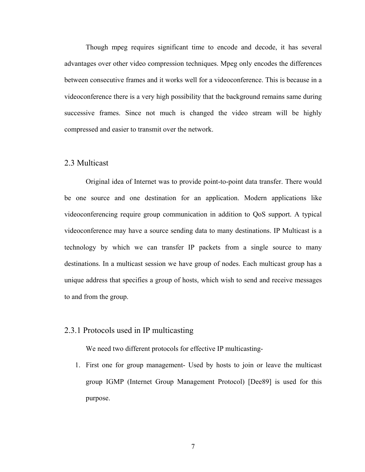Though mpeg requires significant time to encode and decode, it has several advantages over other video compression techniques. Mpeg only encodes the differences between consecutive frames and it works well for a videoconference. This is because in a videoconference there is a very high possibility that the background remains same during successive frames. Since not much is changed the video stream will be highly compressed and easier to transmit over the network.

#### 2.3 Multicast

Original idea of Internet was to provide point-to-point data transfer. There would be one source and one destination for an application. Modern applications like videoconferencing require group communication in addition to QoS support. A typical videoconference may have a source sending data to many destinations. IP Multicast is a technology by which we can transfer IP packets from a single source to many destinations. In a multicast session we have group of nodes. Each multicast group has a unique address that specifies a group of hosts, which wish to send and receive messages to and from the group.

#### 2.3.1 Protocols used in IP multicasting

We need two different protocols for effective IP multicasting-

1. First one for group management- Used by hosts to join or leave the multicast group IGMP (Internet Group Management Protocol) [Dee89] is used for this purpose.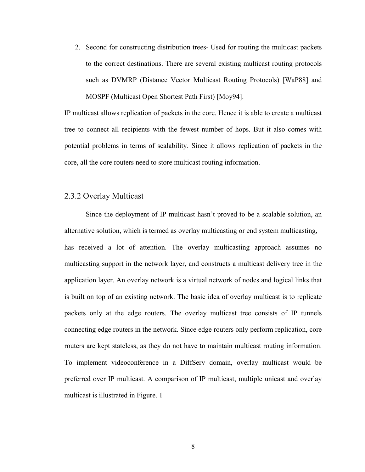2. Second for constructing distribution trees- Used for routing the multicast packets to the correct destinations. There are several existing multicast routing protocols such as DVMRP (Distance Vector Multicast Routing Protocols) [WaP88] and MOSPF (Multicast Open Shortest Path First) [Moy94].

IP multicast allows replication of packets in the core. Hence it is able to create a multicast tree to connect all recipients with the fewest number of hops. But it also comes with potential problems in terms of scalability. Since it allows replication of packets in the core, all the core routers need to store multicast routing information.

#### 2.3.2 Overlay Multicast

 Since the deployment of IP multicast hasn't proved to be a scalable solution, an alternative solution, which is termed as overlay multicasting or end system multicasting, has received a lot of attention. The overlay multicasting approach assumes no multicasting support in the network layer, and constructs a multicast delivery tree in the application layer. An overlay network is a virtual network of nodes and logical links that is built on top of an existing network. The basic idea of overlay multicast is to replicate packets only at the edge routers. The overlay multicast tree consists of IP tunnels connecting edge routers in the network. Since edge routers only perform replication, core routers are kept stateless, as they do not have to maintain multicast routing information. To implement videoconference in a DiffServ domain, overlay multicast would be preferred over IP multicast. A comparison of IP multicast, multiple unicast and overlay multicast is illustrated in Figure. 1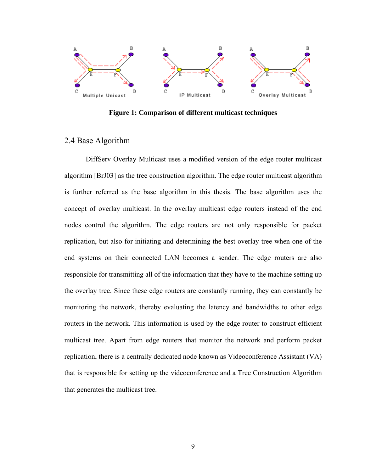

**Figure 1: Comparison of different multicast techniques** 

## 2.4 Base Algorithm

DiffServ Overlay Multicast uses a modified version of the edge router multicast algorithm [BrJ03] as the tree construction algorithm. The edge router multicast algorithm is further referred as the base algorithm in this thesis. The base algorithm uses the concept of overlay multicast. In the overlay multicast edge routers instead of the end nodes control the algorithm. The edge routers are not only responsible for packet replication, but also for initiating and determining the best overlay tree when one of the end systems on their connected LAN becomes a sender. The edge routers are also responsible for transmitting all of the information that they have to the machine setting up the overlay tree. Since these edge routers are constantly running, they can constantly be monitoring the network, thereby evaluating the latency and bandwidths to other edge routers in the network. This information is used by the edge router to construct efficient multicast tree. Apart from edge routers that monitor the network and perform packet replication, there is a centrally dedicated node known as Videoconference Assistant (VA) that is responsible for setting up the videoconference and a Tree Construction Algorithm that generates the multicast tree.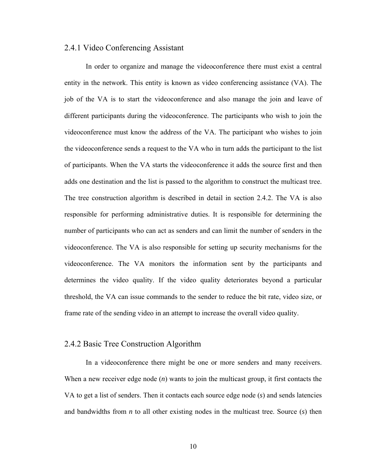#### 2.4.1 Video Conferencing Assistant

 In order to organize and manage the videoconference there must exist a central entity in the network. This entity is known as video conferencing assistance (VA). The job of the VA is to start the videoconference and also manage the join and leave of different participants during the videoconference. The participants who wish to join the videoconference must know the address of the VA. The participant who wishes to join the videoconference sends a request to the VA who in turn adds the participant to the list of participants. When the VA starts the videoconference it adds the source first and then adds one destination and the list is passed to the algorithm to construct the multicast tree. The tree construction algorithm is described in detail in section 2.4.2. The VA is also responsible for performing administrative duties. It is responsible for determining the number of participants who can act as senders and can limit the number of senders in the videoconference. The VA is also responsible for setting up security mechanisms for the videoconference. The VA monitors the information sent by the participants and determines the video quality. If the video quality deteriorates beyond a particular threshold, the VA can issue commands to the sender to reduce the bit rate, video size, or frame rate of the sending video in an attempt to increase the overall video quality.

## 2.4.2 Basic Tree Construction Algorithm

In a videoconference there might be one or more senders and many receivers. When a new receiver edge node (*n*) wants to join the multicast group, it first contacts the VA to get a list of senders. Then it contacts each source edge node (*s*) and sends latencies and bandwidths from *n* to all other existing nodes in the multicast tree. Source (*s*) then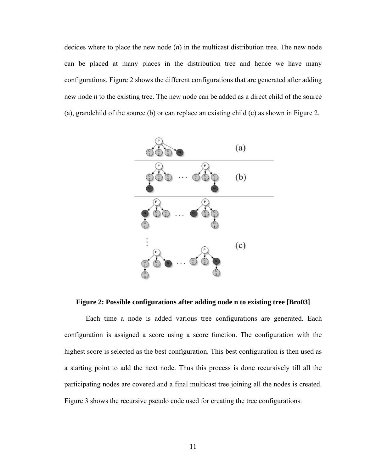decides where to place the new node (*n*) in the multicast distribution tree. The new node can be placed at many places in the distribution tree and hence we have many configurations. Figure 2 shows the different configurations that are generated after adding new node *n* to the existing tree. The new node can be added as a direct child of the source (a), grandchild of the source (b) or can replace an existing child (c) as shown in Figure 2.



**Figure 2: Possible configurations after adding node n to existing tree [Bro03]** 

Each time a node is added various tree configurations are generated. Each configuration is assigned a score using a score function. The configuration with the highest score is selected as the best configuration. This best configuration is then used as a starting point to add the next node. Thus this process is done recursively till all the participating nodes are covered and a final multicast tree joining all the nodes is created. Figure 3 shows the recursive pseudo code used for creating the tree configurations.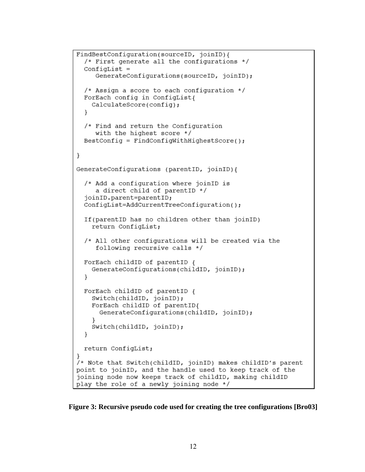```
FindBestConfiguration(sourceID, joinID){
  /* First generate all the configurations */
  ConfigList =GenerateConfigurations(sourceID, joinID);
  /* Assign a score to each configuration */ForEach config in ConfigList{
    CalculateScore(config);
  ł
  /* Find and return the Configuration
     with the highest score */
  BestConfig = FindConfigWithHighestScore();
\}GenerateConfigurations (parentID, joinID) {
  /* Add a configuration where joinID is
     a direct child of parentID */
  joinID.parent=parentID;
  ConfigList=AddCurrentTreeConfiguration();
  If (parentID has no children other than joinID)
    return ConfigList;
  /* All other configurations will be created via the
     following recursive calls */
  ForEach childID of parentID {
    GenerateConfigurations(childID, joinID);
  \mathcal{F}ForEach childID of parentID {
    Switch(childID, joinID);
    ForEach childID of parentID{
      GenerateConfigurations(childID, joinID);
    Switch(childID, joinID);
  ł
  return ConfigList;
/* Note that Switch(childID, joinID) makes childID's parent
point to joinID, and the handle used to keep track of the
joining node now keeps track of childID, making childID
play the role of a newly joining node */
```
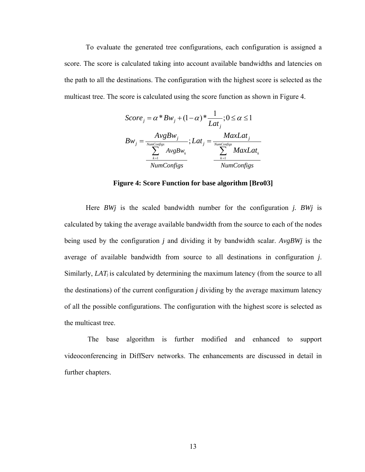To evaluate the generated tree configurations, each configuration is assigned a score. The score is calculated taking into account available bandwidths and latencies on the path to all the destinations. The configuration with the highest score is selected as the multicast tree. The score is calculated using the score function as shown in Figure 4.

$$
Score_j = \alpha * Bw_j + (1 - \alpha) * \frac{1}{Lat_j}; 0 \le \alpha \le 1
$$
  
\n
$$
Bw_j = \frac{AvgBw_j}{\sum_{k=1}^{NumConfigs} AvgBw_k}; Lat_j = \frac{MaxLat_j}{\sum_{k=1}^{NumConfigs} MaxLat_k}
$$
  
\n
$$
\frac{\sum_{k=1}^{NumConfigs}}{NumConfigs} \frac{MaxLat_k}{NumConfigs}
$$

**Figure 4: Score Function for base algorithm [Bro03]** 

 Here *BWj* is the scaled bandwidth number for the configuration *j. BWj* is calculated by taking the average available bandwidth from the source to each of the nodes being used by the configuration *j* and dividing it by bandwidth scalar. *AvgBWj* is the average of available bandwidth from source to all destinations in configuration *j*. Similarly, *LAT*j is calculated by determining the maximum latency (from the source to all the destinations) of the current configuration *j* dividing by the average maximum latency of all the possible configurations. The configuration with the highest score is selected as the multicast tree.

 The base algorithm is further modified and enhanced to support videoconferencing in DiffServ networks. The enhancements are discussed in detail in further chapters.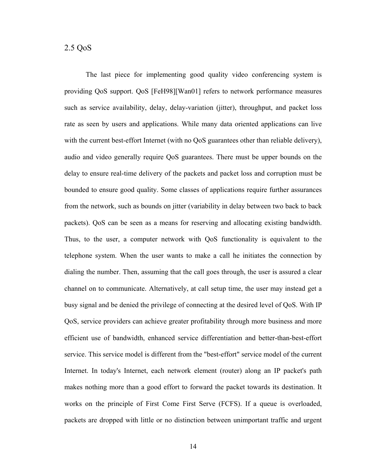## 2.5 QoS

The last piece for implementing good quality video conferencing system is providing QoS support. QoS [FeH98][Wan01] refers to network performance measures such as service availability, delay, delay-variation (jitter), throughput, and packet loss rate as seen by users and applications. While many data oriented applications can live with the current best-effort Internet (with no QoS guarantees other than reliable delivery), audio and video generally require QoS guarantees. There must be upper bounds on the delay to ensure real-time delivery of the packets and packet loss and corruption must be bounded to ensure good quality. Some classes of applications require further assurances from the network, such as bounds on jitter (variability in delay between two back to back packets). QoS can be seen as a means for reserving and allocating existing bandwidth. Thus, to the user, a computer network with QoS functionality is equivalent to the telephone system. When the user wants to make a call he initiates the connection by dialing the number. Then, assuming that the call goes through, the user is assured a clear channel on to communicate. Alternatively, at call setup time, the user may instead get a busy signal and be denied the privilege of connecting at the desired level of QoS. With IP QoS, service providers can achieve greater profitability through more business and more efficient use of bandwidth, enhanced service differentiation and better-than-best-effort service. This service model is different from the "best-effort" service model of the current Internet. In today's Internet, each network element (router) along an IP packet's path makes nothing more than a good effort to forward the packet towards its destination. It works on the principle of First Come First Serve (FCFS). If a queue is overloaded, packets are dropped with little or no distinction between unimportant traffic and urgent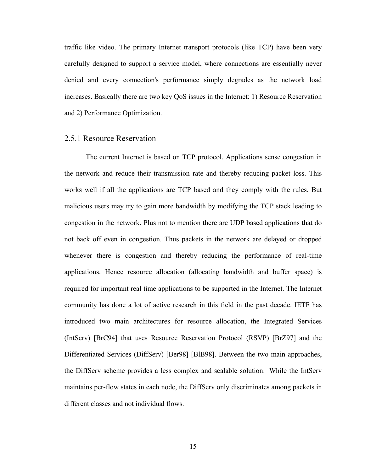traffic like video. The primary Internet transport protocols (like TCP) have been very carefully designed to support a service model, where connections are essentially never denied and every connection's performance simply degrades as the network load increases. Basically there are two key QoS issues in the Internet: 1) Resource Reservation and 2) Performance Optimization.

#### 2.5.1 Resource Reservation

The current Internet is based on TCP protocol. Applications sense congestion in the network and reduce their transmission rate and thereby reducing packet loss. This works well if all the applications are TCP based and they comply with the rules. But malicious users may try to gain more bandwidth by modifying the TCP stack leading to congestion in the network. Plus not to mention there are UDP based applications that do not back off even in congestion. Thus packets in the network are delayed or dropped whenever there is congestion and thereby reducing the performance of real-time applications. Hence resource allocation (allocating bandwidth and buffer space) is required for important real time applications to be supported in the Internet. The Internet community has done a lot of active research in this field in the past decade. IETF has introduced two main architectures for resource allocation, the Integrated Services (IntServ) [BrC94] that uses Resource Reservation Protocol (RSVP) [BrZ97] and the Differentiated Services (DiffServ) [Ber98] [BlB98]. Between the two main approaches, the DiffServ scheme provides a less complex and scalable solution. While the IntServ maintains per-flow states in each node, the DiffServ only discriminates among packets in different classes and not individual flows.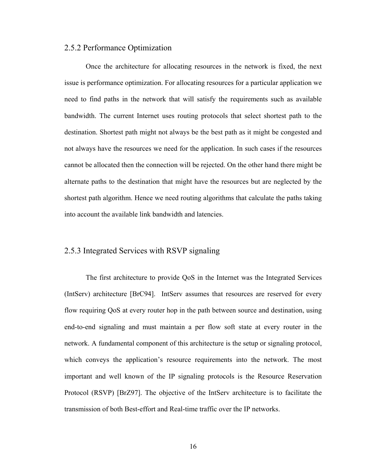#### 2.5.2 Performance Optimization

Once the architecture for allocating resources in the network is fixed, the next issue is performance optimization. For allocating resources for a particular application we need to find paths in the network that will satisfy the requirements such as available bandwidth. The current Internet uses routing protocols that select shortest path to the destination. Shortest path might not always be the best path as it might be congested and not always have the resources we need for the application. In such cases if the resources cannot be allocated then the connection will be rejected. On the other hand there might be alternate paths to the destination that might have the resources but are neglected by the shortest path algorithm. Hence we need routing algorithms that calculate the paths taking into account the available link bandwidth and latencies.

## 2.5.3 Integrated Services with RSVP signaling

The first architecture to provide QoS in the Internet was the Integrated Services (IntServ) architecture [BrC94]. IntServ assumes that resources are reserved for every flow requiring QoS at every router hop in the path between source and destination, using end-to-end signaling and must maintain a per flow soft state at every router in the network. A fundamental component of this architecture is the setup or signaling protocol, which conveys the application's resource requirements into the network. The most important and well known of the IP signaling protocols is the Resource Reservation Protocol (RSVP) [BrZ97]. The objective of the IntServ architecture is to facilitate the transmission of both Best-effort and Real-time traffic over the IP networks.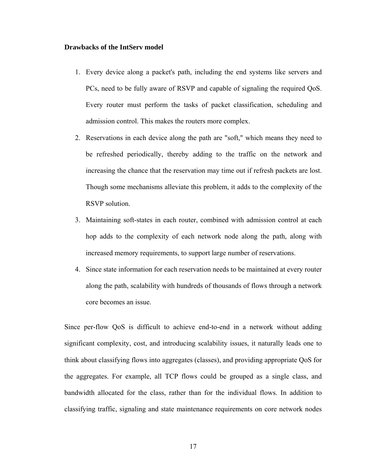#### **Drawbacks of the IntServ model**

- 1. Every device along a packet's path, including the end systems like servers and PCs, need to be fully aware of RSVP and capable of signaling the required QoS. Every router must perform the tasks of packet classification, scheduling and admission control. This makes the routers more complex.
- 2. Reservations in each device along the path are "soft," which means they need to be refreshed periodically, thereby adding to the traffic on the network and increasing the chance that the reservation may time out if refresh packets are lost. Though some mechanisms alleviate this problem, it adds to the complexity of the RSVP solution.
- 3. Maintaining soft-states in each router, combined with admission control at each hop adds to the complexity of each network node along the path, along with increased memory requirements, to support large number of reservations.
- 4. Since state information for each reservation needs to be maintained at every router along the path, scalability with hundreds of thousands of flows through a network core becomes an issue.

Since per-flow QoS is difficult to achieve end-to-end in a network without adding significant complexity, cost, and introducing scalability issues, it naturally leads one to think about classifying flows into aggregates (classes), and providing appropriate QoS for the aggregates. For example, all TCP flows could be grouped as a single class, and bandwidth allocated for the class, rather than for the individual flows. In addition to classifying traffic, signaling and state maintenance requirements on core network nodes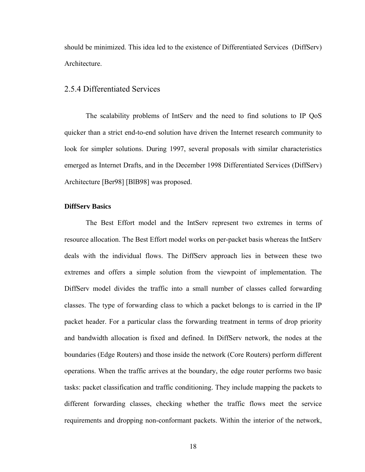should be minimized. This idea led to the existence of Differentiated Services (DiffServ) Architecture.

#### 2.5.4 Differentiated Services

The scalability problems of IntServ and the need to find solutions to IP QoS quicker than a strict end-to-end solution have driven the Internet research community to look for simpler solutions. During 1997, several proposals with similar characteristics emerged as Internet Drafts, and in the December 1998 Differentiated Services (DiffServ) Architecture [Ber98] [BlB98] was proposed.

#### **DiffServ Basics**

The Best Effort model and the IntServ represent two extremes in terms of resource allocation. The Best Effort model works on per-packet basis whereas the IntServ deals with the individual flows. The DiffServ approach lies in between these two extremes and offers a simple solution from the viewpoint of implementation. The DiffServ model divides the traffic into a small number of classes called forwarding classes. The type of forwarding class to which a packet belongs to is carried in the IP packet header. For a particular class the forwarding treatment in terms of drop priority and bandwidth allocation is fixed and defined. In DiffServ network, the nodes at the boundaries (Edge Routers) and those inside the network (Core Routers) perform different operations. When the traffic arrives at the boundary, the edge router performs two basic tasks: packet classification and traffic conditioning. They include mapping the packets to different forwarding classes, checking whether the traffic flows meet the service requirements and dropping non-conformant packets. Within the interior of the network,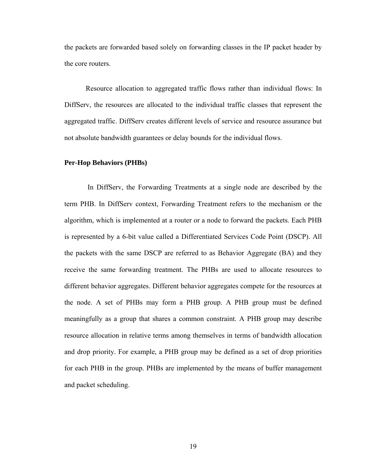the packets are forwarded based solely on forwarding classes in the IP packet header by the core routers.

Resource allocation to aggregated traffic flows rather than individual flows: In DiffServ, the resources are allocated to the individual traffic classes that represent the aggregated traffic. DiffServ creates different levels of service and resource assurance but not absolute bandwidth guarantees or delay bounds for the individual flows.

#### **Per-Hop Behaviors (PHBs)**

In DiffServ, the Forwarding Treatments at a single node are described by the term PHB. In DiffServ context, Forwarding Treatment refers to the mechanism or the algorithm, which is implemented at a router or a node to forward the packets. Each PHB is represented by a 6-bit value called a Differentiated Services Code Point (DSCP). All the packets with the same DSCP are referred to as Behavior Aggregate (BA) and they receive the same forwarding treatment. The PHBs are used to allocate resources to different behavior aggregates. Different behavior aggregates compete for the resources at the node. A set of PHBs may form a PHB group. A PHB group must be defined meaningfully as a group that shares a common constraint. A PHB group may describe resource allocation in relative terms among themselves in terms of bandwidth allocation and drop priority. For example, a PHB group may be defined as a set of drop priorities for each PHB in the group. PHBs are implemented by the means of buffer management and packet scheduling.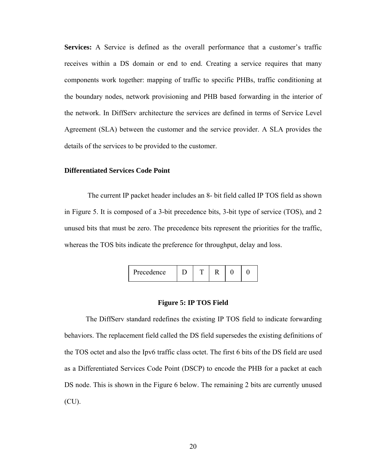**Services:** A Service is defined as the overall performance that a customer's traffic receives within a DS domain or end to end. Creating a service requires that many components work together: mapping of traffic to specific PHBs, traffic conditioning at the boundary nodes, network provisioning and PHB based forwarding in the interior of the network. In DiffServ architecture the services are defined in terms of Service Level Agreement (SLA) between the customer and the service provider. A SLA provides the details of the services to be provided to the customer.

#### **Differentiated Services Code Point**

The current IP packet header includes an 8- bit field called IP TOS field as shown in Figure 5. It is composed of a 3-bit precedence bits, 3-bit type of service (TOS), and 2 unused bits that must be zero. The precedence bits represent the priorities for the traffic, whereas the TOS bits indicate the preference for throughput, delay and loss.

| Precedence |  |  |  |  |  |  |
|------------|--|--|--|--|--|--|
|------------|--|--|--|--|--|--|

#### **Figure 5: IP TOS Field**

The DiffServ standard redefines the existing IP TOS field to indicate forwarding behaviors. The replacement field called the DS field supersedes the existing definitions of the TOS octet and also the Ipv6 traffic class octet. The first 6 bits of the DS field are used as a Differentiated Services Code Point (DSCP) to encode the PHB for a packet at each DS node. This is shown in the Figure 6 below. The remaining 2 bits are currently unused (CU).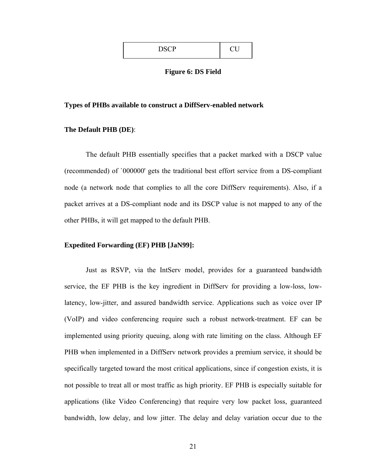| <b>DCCD</b><br>$\sim$ |  |
|-----------------------|--|
|                       |  |

#### **Figure 6: DS Field**

#### **Types of PHBs available to construct a DiffServ-enabled network**

#### **The Default PHB (DE)**:

The default PHB essentially specifies that a packet marked with a DSCP value (recommended) of `000000' gets the traditional best effort service from a DS-compliant node (a network node that complies to all the core DiffServ requirements). Also, if a packet arrives at a DS-compliant node and its DSCP value is not mapped to any of the other PHBs, it will get mapped to the default PHB.

#### **Expedited Forwarding (EF) PHB [JaN99]:**

Just as RSVP, via the IntServ model, provides for a guaranteed bandwidth service, the EF PHB is the key ingredient in DiffServ for providing a low-loss, lowlatency, low-jitter, and assured bandwidth service. Applications such as voice over IP (VoIP) and video conferencing require such a robust network-treatment. EF can be implemented using priority queuing, along with rate limiting on the class. Although EF PHB when implemented in a DiffServ network provides a premium service, it should be specifically targeted toward the most critical applications, since if congestion exists, it is not possible to treat all or most traffic as high priority. EF PHB is especially suitable for applications (like Video Conferencing) that require very low packet loss, guaranteed bandwidth, low delay, and low jitter. The delay and delay variation occur due to the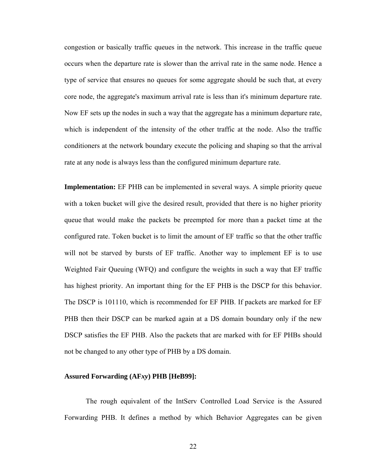congestion or basically traffic queues in the network. This increase in the traffic queue occurs when the departure rate is slower than the arrival rate in the same node. Hence a type of service that ensures no queues for some aggregate should be such that, at every core node, the aggregate's maximum arrival rate is less than it's minimum departure rate. Now EF sets up the nodes in such a way that the aggregate has a minimum departure rate, which is independent of the intensity of the other traffic at the node. Also the traffic conditioners at the network boundary execute the policing and shaping so that the arrival rate at any node is always less than the configured minimum departure rate.

**Implementation:** EF PHB can be implemented in several ways. A simple priority queue with a token bucket will give the desired result, provided that there is no higher priority queue that would make the packets be preempted for more than a packet time at the configured rate. Token bucket is to limit the amount of EF traffic so that the other traffic will not be starved by bursts of EF traffic. Another way to implement EF is to use Weighted Fair Queuing (WFQ) and configure the weights in such a way that EF traffic has highest priority. An important thing for the EF PHB is the DSCP for this behavior. The DSCP is 101110, which is recommended for EF PHB. If packets are marked for EF PHB then their DSCP can be marked again at a DS domain boundary only if the new DSCP satisfies the EF PHB. Also the packets that are marked with for EF PHBs should not be changed to any other type of PHB by a DS domain.

#### **Assured Forwarding (AF***xy***) PHB [HeB99]:**

The rough equivalent of the IntServ Controlled Load Service is the Assured Forwarding PHB. It defines a method by which Behavior Aggregates can be given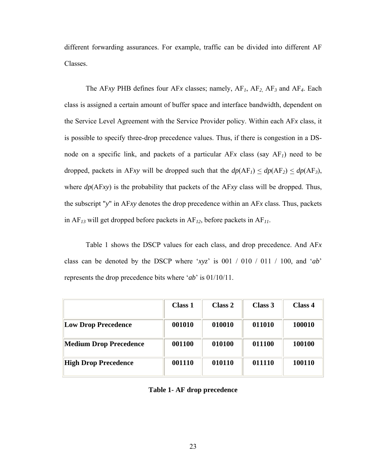different forwarding assurances. For example, traffic can be divided into different AF Classes.

The AF*xy* PHB defines four AF*x* classes; namely, AF*1*, AF*2*, AF*3* and AF*4*. Each class is assigned a certain amount of buffer space and interface bandwidth, dependent on the Service Level Agreement with the Service Provider policy. Within each AF*x* class, it is possible to specify three-drop precedence values. Thus, if there is congestion in a DSnode on a specific link, and packets of a particular AF*x* class (say AF*1*) need to be dropped, packets in AF*xy* will be dropped such that the  $dp(AF_1) \leq dp(AF_2) \leq dp(AF_3)$ , where *dp*(AF*xy*) is the probability that packets of the AF*xy* class will be dropped. Thus, the subscript "*y*" in AF*xy* denotes the drop precedence within an AF*x* class. Thus, packets in AF*13* will get dropped before packets in AF*12*, before packets in AF*11*.

Table 1 shows the DSCP values for each class, and drop precedence. And AF*x* class can be denoted by the DSCP where '*xyz*' is 001 / 010 / 011 / 100, and '*ab*' represents the drop precedence bits where '*ab*' is 01/10/11.

|                             | <b>Class 1</b> | Class 2 | Class 3 | Class 4 |
|-----------------------------|----------------|---------|---------|---------|
| <b>Low Drop Precedence</b>  | 001010         | 010010  | 011010  | 100010  |
| Medium Drop Precedence      | 001100         | 010100  | 011100  | 100100  |
| <b>High Drop Precedence</b> | 001110         | 010110  | 011110  | 100110  |

**Table 1- AF drop precedence**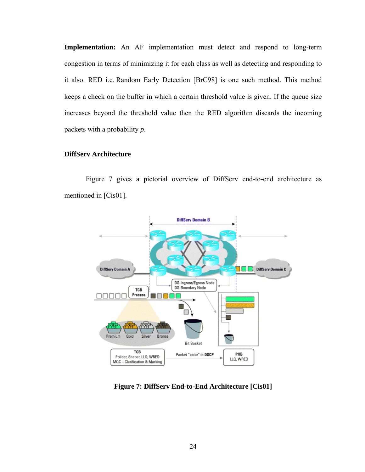**Implementation:** An AF implementation must detect and respond to long-term congestion in terms of minimizing it for each class as well as detecting and responding to it also. RED i.e. Random Early Detection [BrC98] is one such method. This method keeps a check on the buffer in which a certain threshold value is given. If the queue size increases beyond the threshold value then the RED algorithm discards the incoming packets with a probability *p*.

## **DiffServ Architecture**

Figure 7 gives a pictorial overview of DiffServ end-to-end architecture as mentioned in [Cis01].



**Figure 7: DiffServ End-to-End Architecture [Cis01]**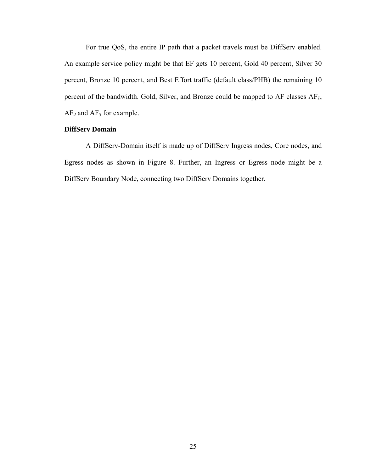For true QoS, the entire IP path that a packet travels must be DiffServ enabled. An example service policy might be that EF gets 10 percent, Gold 40 percent, Silver 30 percent, Bronze 10 percent, and Best Effort traffic (default class/PHB) the remaining 10 percent of the bandwidth. Gold, Silver, and Bronze could be mapped to AF classes AF*1*, AF*2* and AF*3* for example.

## **DiffServ Domain**

A DiffServ-Domain itself is made up of DiffServ Ingress nodes, Core nodes, and Egress nodes as shown in Figure 8. Further, an Ingress or Egress node might be a DiffServ Boundary Node, connecting two DiffServ Domains together.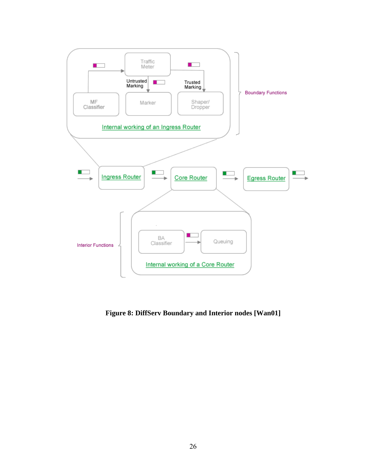

**Figure 8: DiffServ Boundary and Interior nodes [Wan01]**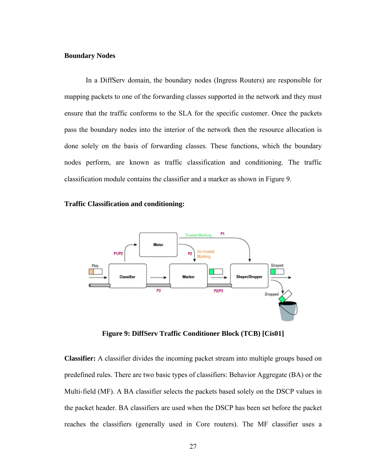## **Boundary Nodes**

In a DiffServ domain, the boundary nodes (Ingress Routers) are responsible for mapping packets to one of the forwarding classes supported in the network and they must ensure that the traffic conforms to the SLA for the specific customer. Once the packets pass the boundary nodes into the interior of the network then the resource allocation is done solely on the basis of forwarding classes. These functions, which the boundary nodes perform, are known as traffic classification and conditioning. The traffic classification module contains the classifier and a marker as shown in Figure 9.

#### **Traffic Classification and conditioning:**



**Figure 9: DiffServ Traffic Conditioner Block (TCB) [Cis01]** 

**Classifier:** A classifier divides the incoming packet stream into multiple groups based on predefined rules. There are two basic types of classifiers: Behavior Aggregate (BA) or the Multi-field (MF). A BA classifier selects the packets based solely on the DSCP values in the packet header. BA classifiers are used when the DSCP has been set before the packet reaches the classifiers (generally used in Core routers). The MF classifier uses a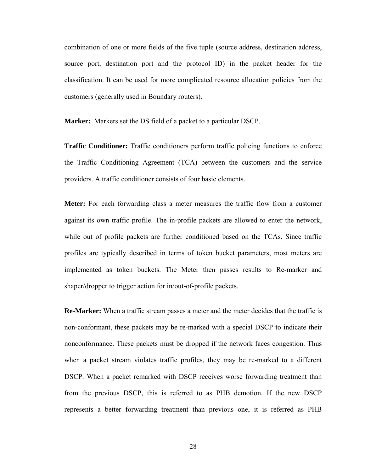combination of one or more fields of the five tuple (source address, destination address, source port, destination port and the protocol ID) in the packet header for the classification. It can be used for more complicated resource allocation policies from the customers (generally used in Boundary routers).

**Marker:** Markers set the DS field of a packet to a particular DSCP.

**Traffic Conditioner:** Traffic conditioners perform traffic policing functions to enforce the Traffic Conditioning Agreement (TCA) between the customers and the service providers. A traffic conditioner consists of four basic elements.

**Meter:** For each forwarding class a meter measures the traffic flow from a customer against its own traffic profile. The in-profile packets are allowed to enter the network, while out of profile packets are further conditioned based on the TCAs. Since traffic profiles are typically described in terms of token bucket parameters, most meters are implemented as token buckets. The Meter then passes results to Re-marker and shaper/dropper to trigger action for in/out-of-profile packets.

**Re-Marker:** When a traffic stream passes a meter and the meter decides that the traffic is non-conformant, these packets may be re-marked with a special DSCP to indicate their nonconformance. These packets must be dropped if the network faces congestion. Thus when a packet stream violates traffic profiles, they may be re-marked to a different DSCP. When a packet remarked with DSCP receives worse forwarding treatment than from the previous DSCP, this is referred to as PHB demotion. If the new DSCP represents a better forwarding treatment than previous one, it is referred as PHB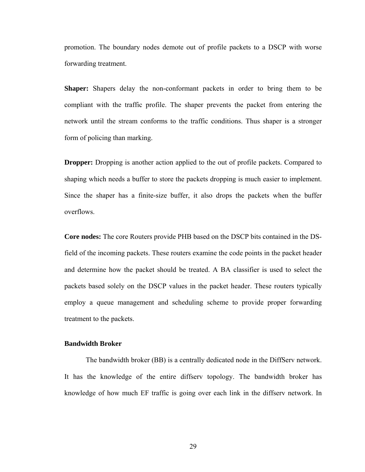promotion. The boundary nodes demote out of profile packets to a DSCP with worse forwarding treatment.

**Shaper:** Shapers delay the non-conformant packets in order to bring them to be compliant with the traffic profile. The shaper prevents the packet from entering the network until the stream conforms to the traffic conditions. Thus shaper is a stronger form of policing than marking.

**Dropper:** Dropping is another action applied to the out of profile packets. Compared to shaping which needs a buffer to store the packets dropping is much easier to implement. Since the shaper has a finite-size buffer, it also drops the packets when the buffer overflows.

**Core nodes:** The core Routers provide PHB based on the DSCP bits contained in the DSfield of the incoming packets. These routers examine the code points in the packet header and determine how the packet should be treated. A BA classifier is used to select the packets based solely on the DSCP values in the packet header. These routers typically employ a queue management and scheduling scheme to provide proper forwarding treatment to the packets.

## **Bandwidth Broker**

The bandwidth broker (BB) is a centrally dedicated node in the DiffServ network. It has the knowledge of the entire diffserv topology. The bandwidth broker has knowledge of how much EF traffic is going over each link in the diffserv network. In

29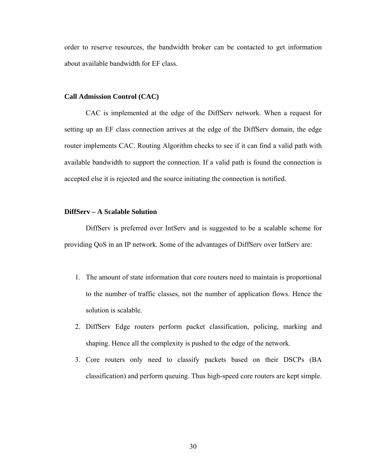order to reserve resources, the bandwidth broker can be contacted to get information about available bandwidth for EF class.

#### **Call Admission Control (CAC)**

 CAC is implemented at the edge of the DiffServ network. When a request for setting up an EF class connection arrives at the edge of the DiffServ domain, the edge router implements CAC. Routing Algorithm checks to see if it can find a valid path with available bandwidth to support the connection. If a valid path is found the connection is accepted else it is rejected and the source initiating the connection is notified.

#### **DiffServ – A Scalable Solution**

DiffServ is preferred over IntServ and is suggested to be a scalable scheme for providing QoS in an IP network. Some of the advantages of DiffServ over IntServ are:

- 1. The amount of state information that core routers need to maintain is proportional to the number of traffic classes, not the number of application flows. Hence the solution is scalable.
- 2. DiffServ Edge routers perform packet classification, policing, marking and shaping. Hence all the complexity is pushed to the edge of the network.
- 3. Core routers only need to classify packets based on their DSCPs (BA classification) and perform queuing. Thus high-speed core routers are kept simple.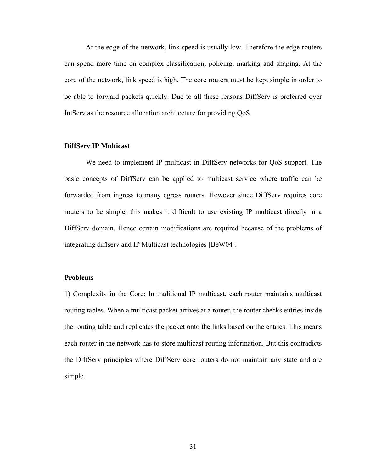At the edge of the network, link speed is usually low. Therefore the edge routers can spend more time on complex classification, policing, marking and shaping. At the core of the network, link speed is high. The core routers must be kept simple in order to be able to forward packets quickly. Due to all these reasons DiffServ is preferred over IntServ as the resource allocation architecture for providing QoS.

## **DiffServ IP Multicast**

We need to implement IP multicast in DiffServ networks for QoS support. The basic concepts of DiffServ can be applied to multicast service where traffic can be forwarded from ingress to many egress routers. However since DiffServ requires core routers to be simple, this makes it difficult to use existing IP multicast directly in a DiffServ domain. Hence certain modifications are required because of the problems of integrating diffserv and IP Multicast technologies [BeW04].

#### **Problems**

1) Complexity in the Core: In traditional IP multicast, each router maintains multicast routing tables. When a multicast packet arrives at a router, the router checks entries inside the routing table and replicates the packet onto the links based on the entries. This means each router in the network has to store multicast routing information. But this contradicts the DiffServ principles where DiffServ core routers do not maintain any state and are simple.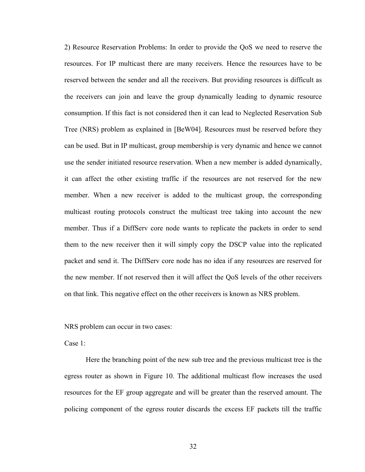2) Resource Reservation Problems: In order to provide the QoS we need to reserve the resources. For IP multicast there are many receivers. Hence the resources have to be reserved between the sender and all the receivers. But providing resources is difficult as the receivers can join and leave the group dynamically leading to dynamic resource consumption. If this fact is not considered then it can lead to Neglected Reservation Sub Tree (NRS) problem as explained in [BeW04]. Resources must be reserved before they can be used. But in IP multicast, group membership is very dynamic and hence we cannot use the sender initiated resource reservation. When a new member is added dynamically, it can affect the other existing traffic if the resources are not reserved for the new member. When a new receiver is added to the multicast group, the corresponding multicast routing protocols construct the multicast tree taking into account the new member. Thus if a DiffServ core node wants to replicate the packets in order to send them to the new receiver then it will simply copy the DSCP value into the replicated packet and send it. The DiffServ core node has no idea if any resources are reserved for the new member. If not reserved then it will affect the QoS levels of the other receivers on that link. This negative effect on the other receivers is known as NRS problem.

NRS problem can occur in two cases:

Case 1:

Here the branching point of the new sub tree and the previous multicast tree is the egress router as shown in Figure 10. The additional multicast flow increases the used resources for the EF group aggregate and will be greater than the reserved amount. The policing component of the egress router discards the excess EF packets till the traffic

32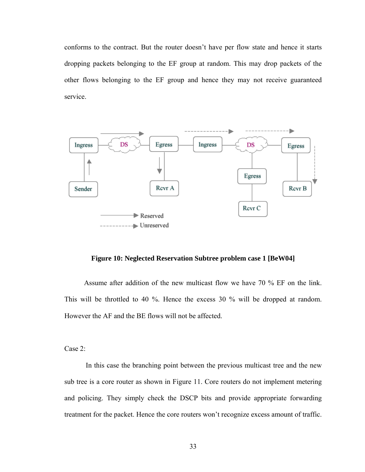conforms to the contract. But the router doesn't have per flow state and hence it starts dropping packets belonging to the EF group at random. This may drop packets of the other flows belonging to the EF group and hence they may not receive guaranteed service.



**Figure 10: Neglected Reservation Subtree problem case 1 [BeW04]**

 Assume after addition of the new multicast flow we have 70 % EF on the link. This will be throttled to 40 %. Hence the excess 30 % will be dropped at random. However the AF and the BE flows will not be affected.

Case 2:

In this case the branching point between the previous multicast tree and the new sub tree is a core router as shown in Figure 11. Core routers do not implement metering and policing. They simply check the DSCP bits and provide appropriate forwarding treatment for the packet. Hence the core routers won't recognize excess amount of traffic.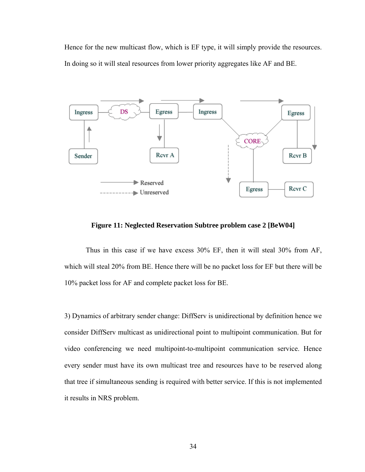Hence for the new multicast flow, which is EF type, it will simply provide the resources. In doing so it will steal resources from lower priority aggregates like AF and BE.



**Figure 11: Neglected Reservation Subtree problem case 2 [BeW04]** 

Thus in this case if we have excess 30% EF, then it will steal 30% from AF, which will steal 20% from BE. Hence there will be no packet loss for EF but there will be 10% packet loss for AF and complete packet loss for BE.

3) Dynamics of arbitrary sender change: DiffServ is unidirectional by definition hence we consider DiffServ multicast as unidirectional point to multipoint communication. But for video conferencing we need multipoint-to-multipoint communication service. Hence every sender must have its own multicast tree and resources have to be reserved along that tree if simultaneous sending is required with better service. If this is not implemented it results in NRS problem.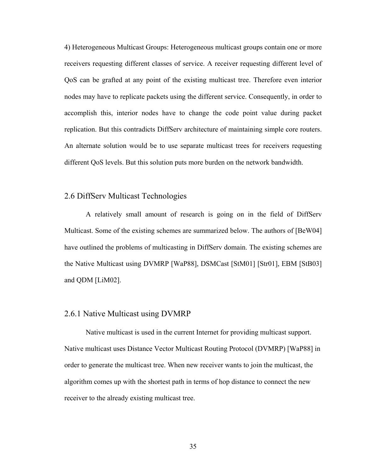4) Heterogeneous Multicast Groups: Heterogeneous multicast groups contain one or more receivers requesting different classes of service. A receiver requesting different level of QoS can be grafted at any point of the existing multicast tree. Therefore even interior nodes may have to replicate packets using the different service. Consequently, in order to accomplish this, interior nodes have to change the code point value during packet replication. But this contradicts DiffServ architecture of maintaining simple core routers. An alternate solution would be to use separate multicast trees for receivers requesting different QoS levels. But this solution puts more burden on the network bandwidth.

## 2.6 DiffServ Multicast Technologies

A relatively small amount of research is going on in the field of DiffServ Multicast. Some of the existing schemes are summarized below. The authors of [BeW04] have outlined the problems of multicasting in DiffServ domain. The existing schemes are the Native Multicast using DVMRP [WaP88], DSMCast [StM01] [Str01], EBM [StB03] and QDM [LiM02].

## 2.6.1 Native Multicast using DVMRP

 Native multicast is used in the current Internet for providing multicast support. Native multicast uses Distance Vector Multicast Routing Protocol (DVMRP) [WaP88] in order to generate the multicast tree. When new receiver wants to join the multicast, the algorithm comes up with the shortest path in terms of hop distance to connect the new receiver to the already existing multicast tree.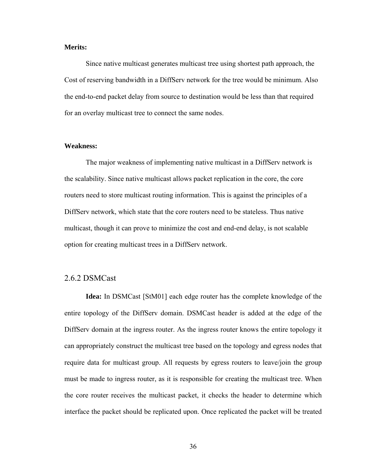#### **Merits:**

 Since native multicast generates multicast tree using shortest path approach, the Cost of reserving bandwidth in a DiffServ network for the tree would be minimum. Also the end-to-end packet delay from source to destination would be less than that required for an overlay multicast tree to connect the same nodes.

#### **Weakness:**

 The major weakness of implementing native multicast in a DiffServ network is the scalability. Since native multicast allows packet replication in the core, the core routers need to store multicast routing information. This is against the principles of a DiffServ network, which state that the core routers need to be stateless. Thus native multicast, though it can prove to minimize the cost and end-end delay, is not scalable option for creating multicast trees in a DiffServ network.

## 2.6.2 DSMCast

**Idea:** In DSMCast [StM01] each edge router has the complete knowledge of the entire topology of the DiffServ domain. DSMCast header is added at the edge of the DiffServ domain at the ingress router. As the ingress router knows the entire topology it can appropriately construct the multicast tree based on the topology and egress nodes that require data for multicast group. All requests by egress routers to leave/join the group must be made to ingress router, as it is responsible for creating the multicast tree. When the core router receives the multicast packet, it checks the header to determine which interface the packet should be replicated upon. Once replicated the packet will be treated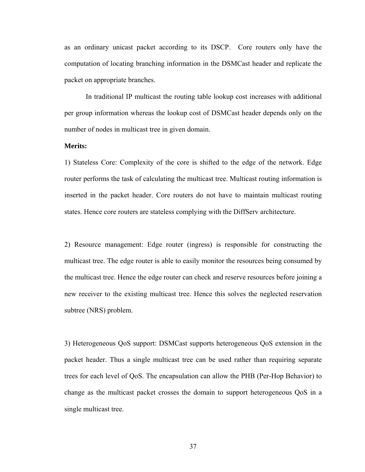as an ordinary unicast packet according to its DSCP. Core routers only have the computation of locating branching information in the DSMCast header and replicate the packet on appropriate branches.

In traditional IP multicast the routing table lookup cost increases with additional per group information whereas the lookup cost of DSMCast header depends only on the number of nodes in multicast tree in given domain.

## **Merits:**

1) Stateless Core: Complexity of the core is shifted to the edge of the network. Edge router performs the task of calculating the multicast tree. Multicast routing information is inserted in the packet header. Core routers do not have to maintain multicast routing states. Hence core routers are stateless complying with the DiffServ architecture.

2) Resource management: Edge router (ingress) is responsible for constructing the multicast tree. The edge router is able to easily monitor the resources being consumed by the multicast tree. Hence the edge router can check and reserve resources before joining a new receiver to the existing multicast tree. Hence this solves the neglected reservation subtree (NRS) problem.

3) Heterogeneous QoS support: DSMCast supports heterogeneous QoS extension in the packet header. Thus a single multicast tree can be used rather than requiring separate trees for each level of QoS. The encapsulation can allow the PHB (Per-Hop Behavior) to change as the multicast packet crosses the domain to support heterogeneous QoS in a single multicast tree.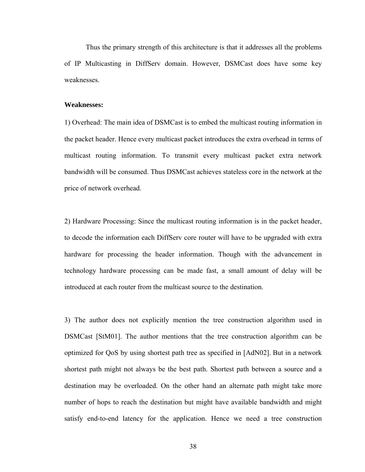Thus the primary strength of this architecture is that it addresses all the problems of IP Multicasting in DiffServ domain. However, DSMCast does have some key weaknesses.

#### **Weaknesses:**

1) Overhead: The main idea of DSMCast is to embed the multicast routing information in the packet header. Hence every multicast packet introduces the extra overhead in terms of multicast routing information. To transmit every multicast packet extra network bandwidth will be consumed. Thus DSMCast achieves stateless core in the network at the price of network overhead.

2) Hardware Processing: Since the multicast routing information is in the packet header, to decode the information each DiffServ core router will have to be upgraded with extra hardware for processing the header information. Though with the advancement in technology hardware processing can be made fast, a small amount of delay will be introduced at each router from the multicast source to the destination.

3) The author does not explicitly mention the tree construction algorithm used in DSMCast [StM01]. The author mentions that the tree construction algorithm can be optimized for QoS by using shortest path tree as specified in [AdN02]. But in a network shortest path might not always be the best path. Shortest path between a source and a destination may be overloaded. On the other hand an alternate path might take more number of hops to reach the destination but might have available bandwidth and might satisfy end-to-end latency for the application. Hence we need a tree construction

38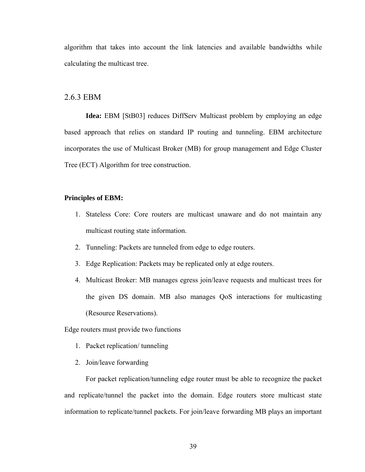algorithm that takes into account the link latencies and available bandwidths while calculating the multicast tree.

#### 2.6.3 EBM

**Idea:** EBM [StB03] reduces DiffServ Multicast problem by employing an edge based approach that relies on standard IP routing and tunneling. EBM architecture incorporates the use of Multicast Broker (MB) for group management and Edge Cluster Tree (ECT) Algorithm for tree construction.

#### **Principles of EBM:**

- 1. Stateless Core: Core routers are multicast unaware and do not maintain any multicast routing state information.
- 2. Tunneling: Packets are tunneled from edge to edge routers.
- 3. Edge Replication: Packets may be replicated only at edge routers.
- 4. Multicast Broker: MB manages egress join/leave requests and multicast trees for the given DS domain. MB also manages QoS interactions for multicasting (Resource Reservations).

Edge routers must provide two functions

- 1. Packet replication/ tunneling
- 2. Join/leave forwarding

For packet replication/tunneling edge router must be able to recognize the packet and replicate/tunnel the packet into the domain. Edge routers store multicast state information to replicate/tunnel packets. For join/leave forwarding MB plays an important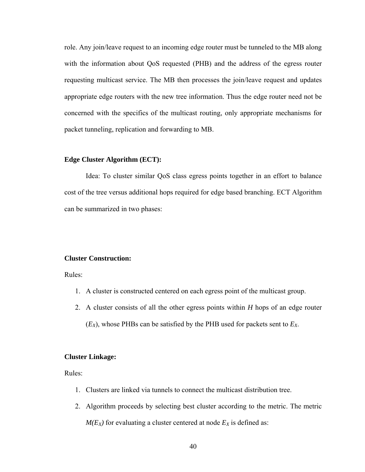role. Any join/leave request to an incoming edge router must be tunneled to the MB along with the information about QoS requested (PHB) and the address of the egress router requesting multicast service. The MB then processes the join/leave request and updates appropriate edge routers with the new tree information. Thus the edge router need not be concerned with the specifics of the multicast routing, only appropriate mechanisms for packet tunneling, replication and forwarding to MB.

#### **Edge Cluster Algorithm (ECT):**

Idea: To cluster similar QoS class egress points together in an effort to balance cost of the tree versus additional hops required for edge based branching. ECT Algorithm can be summarized in two phases:

#### **Cluster Construction:**

Rules:

- 1. A cluster is constructed centered on each egress point of the multicast group.
- 2. A cluster consists of all the other egress points within *H* hops of an edge router  $(E_X)$ , whose PHBs can be satisfied by the PHB used for packets sent to  $E_X$ .

#### **Cluster Linkage:**

Rules:

- 1. Clusters are linked via tunnels to connect the multicast distribution tree.
- 2. Algorithm proceeds by selecting best cluster according to the metric. The metric  $M(E_X)$  for evaluating a cluster centered at node  $E_X$  is defined as: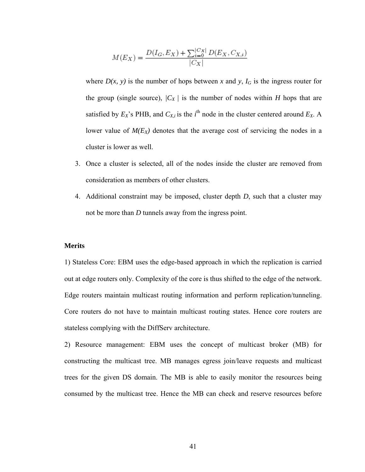$$
M(E_X) = \frac{D(I_G, E_X) + \sum_{i=0}^{|C_X|} D(E_X, C_{X,i})}{|C_X|}
$$

where  $D(x, y)$  is the number of hops between x and y,  $I_G$  is the ingress router for the group (single source),  $/C_X /$  is the number of nodes within *H* hops that are satisfied by  $E_X$ 's PHB, and  $C_{X,i}$  is the *i*<sup>th</sup> node in the cluster centered around  $E_X$ . A lower value of  $M(E_X)$  denotes that the average cost of servicing the nodes in a cluster is lower as well.

- 3. Once a cluster is selected, all of the nodes inside the cluster are removed from consideration as members of other clusters.
- 4. Additional constraint may be imposed, cluster depth *D*, such that a cluster may not be more than *D* tunnels away from the ingress point.

#### **Merits**

1) Stateless Core: EBM uses the edge-based approach in which the replication is carried out at edge routers only. Complexity of the core is thus shifted to the edge of the network. Edge routers maintain multicast routing information and perform replication/tunneling. Core routers do not have to maintain multicast routing states. Hence core routers are stateless complying with the DiffServ architecture.

2) Resource management: EBM uses the concept of multicast broker (MB) for constructing the multicast tree. MB manages egress join/leave requests and multicast trees for the given DS domain. The MB is able to easily monitor the resources being consumed by the multicast tree. Hence the MB can check and reserve resources before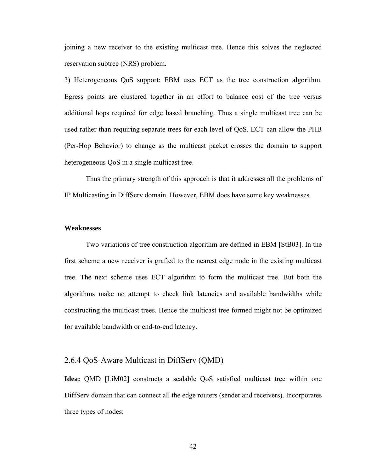joining a new receiver to the existing multicast tree. Hence this solves the neglected reservation subtree (NRS) problem.

3) Heterogeneous QoS support: EBM uses ECT as the tree construction algorithm. Egress points are clustered together in an effort to balance cost of the tree versus additional hops required for edge based branching. Thus a single multicast tree can be used rather than requiring separate trees for each level of QoS. ECT can allow the PHB (Per-Hop Behavior) to change as the multicast packet crosses the domain to support heterogeneous QoS in a single multicast tree.

Thus the primary strength of this approach is that it addresses all the problems of IP Multicasting in DiffServ domain. However, EBM does have some key weaknesses.

#### **Weaknesses**

Two variations of tree construction algorithm are defined in EBM [StB03]. In the first scheme a new receiver is grafted to the nearest edge node in the existing multicast tree. The next scheme uses ECT algorithm to form the multicast tree. But both the algorithms make no attempt to check link latencies and available bandwidths while constructing the multicast trees. Hence the multicast tree formed might not be optimized for available bandwidth or end-to-end latency.

## 2.6.4 QoS-Aware Multicast in DiffServ (QMD)

**Idea:** QMD [LiM02] constructs a scalable QoS satisfied multicast tree within one DiffServ domain that can connect all the edge routers (sender and receivers). Incorporates three types of nodes: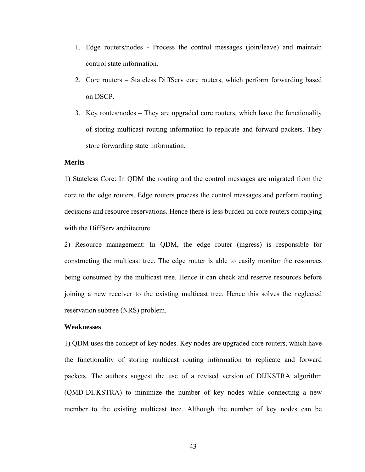- 1. Edge routers/nodes Process the control messages (join/leave) and maintain control state information.
- 2. Core routers Stateless DiffServ core routers, which perform forwarding based on DSCP.
- 3. Key routes/nodes They are upgraded core routers, which have the functionality of storing multicast routing information to replicate and forward packets. They store forwarding state information.

#### **Merits**

1) Stateless Core: In QDM the routing and the control messages are migrated from the core to the edge routers. Edge routers process the control messages and perform routing decisions and resource reservations. Hence there is less burden on core routers complying with the DiffServ architecture.

2) Resource management: In QDM, the edge router (ingress) is responsible for constructing the multicast tree. The edge router is able to easily monitor the resources being consumed by the multicast tree. Hence it can check and reserve resources before joining a new receiver to the existing multicast tree. Hence this solves the neglected reservation subtree (NRS) problem.

#### **Weaknesses**

1) QDM uses the concept of key nodes. Key nodes are upgraded core routers, which have the functionality of storing multicast routing information to replicate and forward packets. The authors suggest the use of a revised version of DIJKSTRA algorithm (QMD-DIJKSTRA) to minimize the number of key nodes while connecting a new member to the existing multicast tree. Although the number of key nodes can be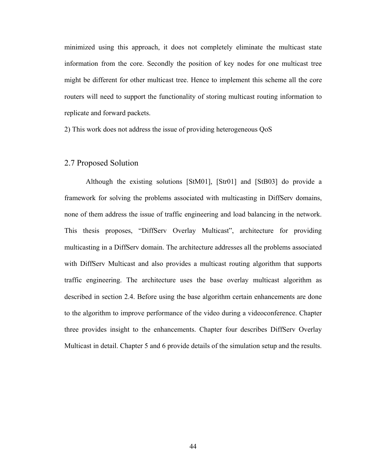minimized using this approach, it does not completely eliminate the multicast state information from the core. Secondly the position of key nodes for one multicast tree might be different for other multicast tree. Hence to implement this scheme all the core routers will need to support the functionality of storing multicast routing information to replicate and forward packets.

2) This work does not address the issue of providing heterogeneous QoS

## 2.7 Proposed Solution

Although the existing solutions [StM01], [Str01] and [StB03] do provide a framework for solving the problems associated with multicasting in DiffServ domains, none of them address the issue of traffic engineering and load balancing in the network. This thesis proposes, "DiffServ Overlay Multicast", architecture for providing multicasting in a DiffServ domain. The architecture addresses all the problems associated with DiffServ Multicast and also provides a multicast routing algorithm that supports traffic engineering. The architecture uses the base overlay multicast algorithm as described in section 2.4. Before using the base algorithm certain enhancements are done to the algorithm to improve performance of the video during a videoconference. Chapter three provides insight to the enhancements. Chapter four describes DiffServ Overlay Multicast in detail. Chapter 5 and 6 provide details of the simulation setup and the results.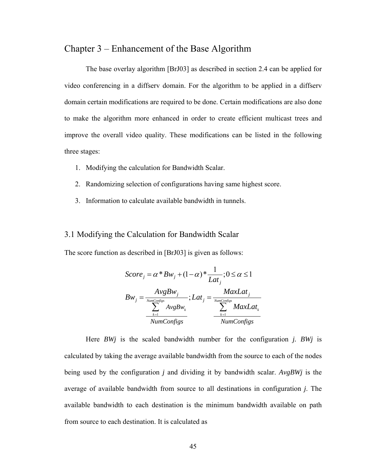# Chapter 3 – Enhancement of the Base Algorithm

 The base overlay algorithm [BrJ03] as described in section 2.4 can be applied for video conferencing in a diffserv domain. For the algorithm to be applied in a diffserv domain certain modifications are required to be done. Certain modifications are also done to make the algorithm more enhanced in order to create efficient multicast trees and improve the overall video quality. These modifications can be listed in the following three stages:

- 1. Modifying the calculation for Bandwidth Scalar.
- 2. Randomizing selection of configurations having same highest score.
- 3. Information to calculate available bandwidth in tunnels.

## 3.1 Modifying the Calculation for Bandwidth Scalar

The score function as described in [BrJ03] is given as follows:

$$
Score_j = \alpha * Bw_j + (1 - \alpha) * \frac{1}{Lat_j}; 0 \le \alpha \le 1
$$
  
\n
$$
Bw_j = \frac{AvgBw_j}{\sum_{k=1}^{NumConfigs} AvgBw_k}; Lat_j = \frac{MaxLat_j}{\sum_{k=1}^{NumConfigs} MaxLat_k}
$$
  
\n
$$
\frac{\sum_{k=1}^{NumConfigs}}{NumConfigs} \frac{MaxLat_k}{NumConfigs}
$$

 Here *BWj* is the scaled bandwidth number for the configuration *j. BWj* is calculated by taking the average available bandwidth from the source to each of the nodes being used by the configuration *j* and dividing it by bandwidth scalar. *AvgBWj* is the average of available bandwidth from source to all destinations in configuration *j*. The available bandwidth to each destination is the minimum bandwidth available on path from source to each destination. It is calculated as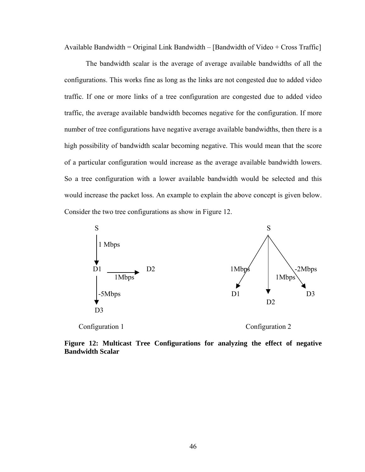Available Bandwidth = Original Link Bandwidth – [Bandwidth of Video + Cross Traffic]

 The bandwidth scalar is the average of average available bandwidths of all the configurations. This works fine as long as the links are not congested due to added video traffic. If one or more links of a tree configuration are congested due to added video traffic, the average available bandwidth becomes negative for the configuration. If more number of tree configurations have negative average available bandwidths, then there is a high possibility of bandwidth scalar becoming negative. This would mean that the score of a particular configuration would increase as the average available bandwidth lowers. So a tree configuration with a lower available bandwidth would be selected and this would increase the packet loss. An example to explain the above concept is given below. Consider the two tree configurations as show in Figure 12.



**Figure 12: Multicast Tree Configurations for analyzing the effect of negative Bandwidth Scalar**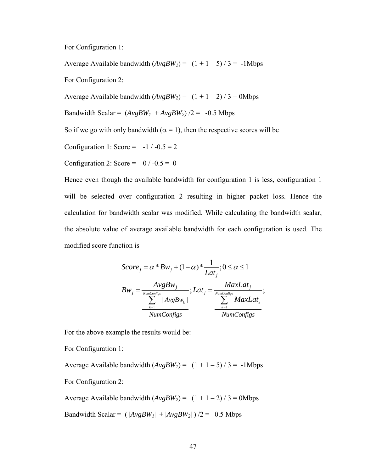For Configuration 1:

Average Available bandwidth  $(AvgBW_1) = (1 + 1 - 5) / 3 = -1$ Mbps For Configuration 2: Average Available bandwidth  $(AvgBW_2) = (1 + 1 - 2) / 3 = 0$ Mbps Bandwidth Scalar =  $(AvgBW_1 + AvgBW_2)/2 = -0.5$  Mbps So if we go with only bandwidth ( $\alpha = 1$ ), then the respective scores will be Configuration 1: Score =  $-1$  /  $-0.5 = 2$ Configuration 2: Score =  $0/-0.5 = 0$ 

Hence even though the available bandwidth for configuration 1 is less, configuration 1 will be selected over configuration 2 resulting in higher packet loss. Hence the calculation for bandwidth scalar was modified. While calculating the bandwidth scalar, the absolute value of average available bandwidth for each configuration is used. The modified score function is

$$
Score_j = \alpha * Bw_j + (1 - \alpha) * \frac{1}{Lat_j}; 0 \le \alpha \le 1
$$
  
\n
$$
Bw_j = \frac{AvgBw_j}{\sum_{k=1}^{NumConfigs} |AvgBw_k|}; Lat_j = \frac{MaxLat_j}{\sum_{k=1}^{NumConfigs} MaxLat_k};
$$
  
\n
$$
\frac{NumConfigs}{NumConfigs}
$$

For the above example the results would be:

For Configuration 1:

Average Available bandwidth  $(AvgBW_1) = (1 + 1 - 5)/3 = -1$ Mbps

For Configuration 2:

Average Available bandwidth  $(AvgBW_2) = (1 + 1 - 2)/3 = 0$ Mbps

Bandwidth Scalar =  $(|AvgBW_1| + |AvgBW_2|)/2 = 0.5$  Mbps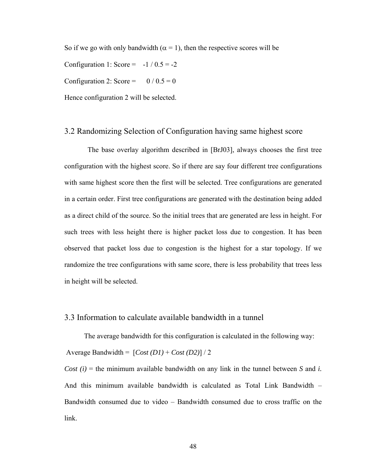So if we go with only bandwidth ( $\alpha = 1$ ), then the respective scores will be Configuration 1: Score =  $-1/0.5 = -2$ Configuration 2: Score =  $0 / 0.5 = 0$ Hence configuration 2 will be selected.

# 3.2 Randomizing Selection of Configuration having same highest score

 The base overlay algorithm described in [BrJ03], always chooses the first tree configuration with the highest score. So if there are say four different tree configurations with same highest score then the first will be selected. Tree configurations are generated in a certain order. First tree configurations are generated with the destination being added as a direct child of the source. So the initial trees that are generated are less in height. For such trees with less height there is higher packet loss due to congestion. It has been observed that packet loss due to congestion is the highest for a star topology. If we randomize the tree configurations with same score, there is less probability that trees less in height will be selected.

## 3.3 Information to calculate available bandwidth in a tunnel

 The average bandwidth for this configuration is calculated in the following way: Average Bandwidth = [*Cost (D1)* + *Cost (D2)*] / 2

*Cost (i)* = the minimum available bandwidth on any link in the tunnel between *S* and *i.*  And this minimum available bandwidth is calculated as Total Link Bandwidth – Bandwidth consumed due to video – Bandwidth consumed due to cross traffic on the link.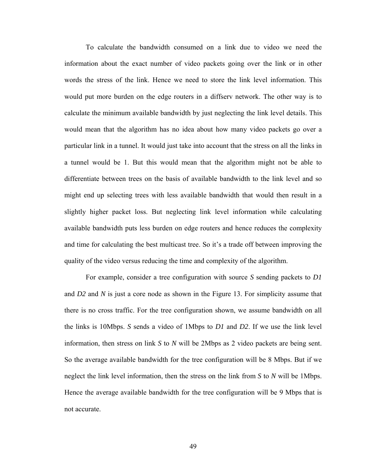To calculate the bandwidth consumed on a link due to video we need the information about the exact number of video packets going over the link or in other words the stress of the link. Hence we need to store the link level information. This would put more burden on the edge routers in a diffserv network. The other way is to calculate the minimum available bandwidth by just neglecting the link level details. This would mean that the algorithm has no idea about how many video packets go over a particular link in a tunnel. It would just take into account that the stress on all the links in a tunnel would be 1. But this would mean that the algorithm might not be able to differentiate between trees on the basis of available bandwidth to the link level and so might end up selecting trees with less available bandwidth that would then result in a slightly higher packet loss. But neglecting link level information while calculating available bandwidth puts less burden on edge routers and hence reduces the complexity and time for calculating the best multicast tree. So it's a trade off between improving the quality of the video versus reducing the time and complexity of the algorithm.

For example, consider a tree configuration with source *S* sending packets to *D1* and *D2* and *N* is just a core node as shown in the Figure 13. For simplicity assume that there is no cross traffic. For the tree configuration shown, we assume bandwidth on all the links is 10Mbps. *S* sends a video of 1Mbps to *D1* and *D2*. If we use the link level information, then stress on link *S* to *N* will be 2Mbps as 2 video packets are being sent. So the average available bandwidth for the tree configuration will be 8 Mbps. But if we neglect the link level information, then the stress on the link from *S* to *N* will be 1Mbps. Hence the average available bandwidth for the tree configuration will be 9 Mbps that is not accurate.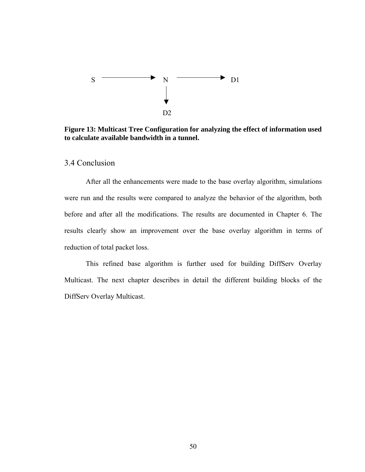

**Figure 13: Multicast Tree Configuration for analyzing the effect of information used to calculate available bandwidth in a tunnel.** 

3.4 Conclusion

After all the enhancements were made to the base overlay algorithm, simulations were run and the results were compared to analyze the behavior of the algorithm, both before and after all the modifications. The results are documented in Chapter 6. The results clearly show an improvement over the base overlay algorithm in terms of reduction of total packet loss.

This refined base algorithm is further used for building DiffServ Overlay Multicast. The next chapter describes in detail the different building blocks of the DiffServ Overlay Multicast.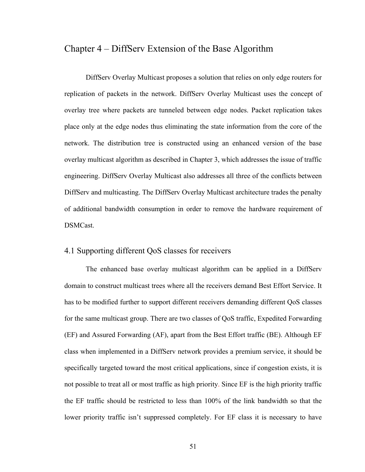# Chapter 4 – DiffServ Extension of the Base Algorithm

DiffServ Overlay Multicast proposes a solution that relies on only edge routers for replication of packets in the network. DiffServ Overlay Multicast uses the concept of overlay tree where packets are tunneled between edge nodes. Packet replication takes place only at the edge nodes thus eliminating the state information from the core of the network. The distribution tree is constructed using an enhanced version of the base overlay multicast algorithm as described in Chapter 3, which addresses the issue of traffic engineering. DiffServ Overlay Multicast also addresses all three of the conflicts between DiffServ and multicasting. The DiffServ Overlay Multicast architecture trades the penalty of additional bandwidth consumption in order to remove the hardware requirement of DSMCast.

## 4.1 Supporting different QoS classes for receivers

The enhanced base overlay multicast algorithm can be applied in a DiffServ domain to construct multicast trees where all the receivers demand Best Effort Service. It has to be modified further to support different receivers demanding different QoS classes for the same multicast group. There are two classes of QoS traffic, Expedited Forwarding (EF) and Assured Forwarding (AF), apart from the Best Effort traffic (BE). Although EF class when implemented in a DiffServ network provides a premium service, it should be specifically targeted toward the most critical applications, since if congestion exists, it is not possible to treat all or most traffic as high priority. Since EF is the high priority traffic the EF traffic should be restricted to less than 100% of the link bandwidth so that the lower priority traffic isn't suppressed completely. For EF class it is necessary to have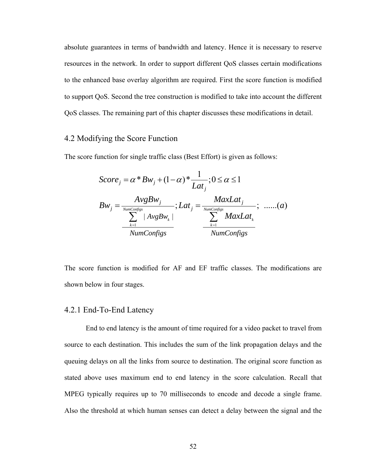absolute guarantees in terms of bandwidth and latency. Hence it is necessary to reserve resources in the network. In order to support different QoS classes certain modifications to the enhanced base overlay algorithm are required. First the score function is modified to support QoS. Second the tree construction is modified to take into account the different QoS classes. The remaining part of this chapter discusses these modifications in detail.

# 4.2 Modifying the Score Function

The score function for single traffic class (Best Effort) is given as follows:

$$
Score_{j} = \alpha * Bw_{j} + (1 - \alpha) * \frac{1}{Lat_{j}}; 0 \le \alpha \le 1
$$
\n
$$
Bw_{j} = \frac{AvgBw_{j}}{\sum_{k=1}^{NumConfigs} |AvgBw_{k}|} ; Lat_{j} = \frac{MaxLat_{j}}{\sum_{k=1}^{NumConfigs} MaxLat_{k}};.....(a)
$$
\n
$$
\frac{\sum_{k=1}^{NumConfigs} |AvgBw_{k}|}{NumConfigs}
$$

The score function is modified for AF and EF traffic classes. The modifications are shown below in four stages.

#### 4.2.1 End-To-End Latency

 End to end latency is the amount of time required for a video packet to travel from source to each destination. This includes the sum of the link propagation delays and the queuing delays on all the links from source to destination. The original score function as stated above uses maximum end to end latency in the score calculation. Recall that MPEG typically requires up to 70 milliseconds to encode and decode a single frame. Also the threshold at which human senses can detect a delay between the signal and the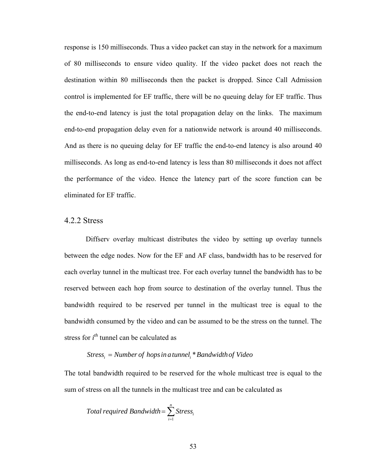response is 150 milliseconds. Thus a video packet can stay in the network for a maximum of 80 milliseconds to ensure video quality. If the video packet does not reach the destination within 80 milliseconds then the packet is dropped. Since Call Admission control is implemented for EF traffic, there will be no queuing delay for EF traffic. Thus the end-to-end latency is just the total propagation delay on the links. The maximum end-to-end propagation delay even for a nationwide network is around 40 milliseconds. And as there is no queuing delay for EF traffic the end-to-end latency is also around 40 milliseconds. As long as end-to-end latency is less than 80 milliseconds it does not affect the performance of the video. Hence the latency part of the score function can be eliminated for EF traffic.

## 4.2.2 Stress

Diffserv overlay multicast distributes the video by setting up overlay tunnels between the edge nodes. Now for the EF and AF class, bandwidth has to be reserved for each overlay tunnel in the multicast tree. For each overlay tunnel the bandwidth has to be reserved between each hop from source to destination of the overlay tunnel. Thus the bandwidth required to be reserved per tunnel in the multicast tree is equal to the bandwidth consumed by the video and can be assumed to be the stress on the tunnel. The stress for *i th* tunnel can be calculated as

## $\textit{Stress}_i = \textit{Number of hops in a tunnel}_i * \textit{Bandwidth of Video}$

The total bandwidth required to be reserved for the whole multicast tree is equal to the sum of stress on all the tunnels in the multicast tree and can be calculated as

$$
Total required Bandwidth = \sum_{i=1}^{n} Stress_{i}
$$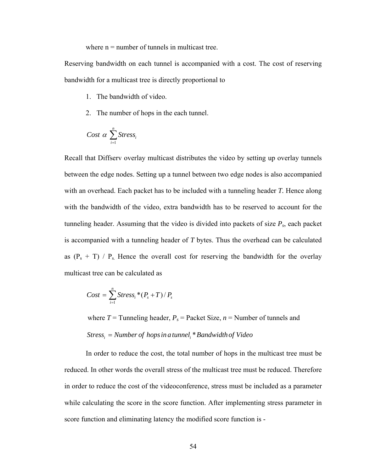where  $n =$  number of tunnels in multicast tree.

Reserving bandwidth on each tunnel is accompanied with a cost. The cost of reserving bandwidth for a multicast tree is directly proportional to

- 1. The bandwidth of video.
- 2. The number of hops in the each tunnel.

$$
Cost \ \alpha \ \sum_{i=1}^{n} Stress_{i}
$$

Recall that Diffserv overlay multicast distributes the video by setting up overlay tunnels between the edge nodes. Setting up a tunnel between two edge nodes is also accompanied with an overhead. Each packet has to be included with a tunneling header *T.* Hence along with the bandwidth of the video, extra bandwidth has to be reserved to account for the tunneling header. Assuming that the video is divided into packets of size *Ps*, each packet is accompanied with a tunneling header of *T* bytes. Thus the overhead can be calculated as  $(P_s + T)$  /  $P_s$ . Hence the overall cost for reserving the bandwidth for the overlay multicast tree can be calculated as

$$
Cost = \sum_{i=1}^{n} Stress_i*(P_s+T)/P_s
$$

where  $T =$  Tunneling header,  $P_s$  = Packet Size,  $n =$  Number of tunnels and  $\it{Stress}_i =$  Number of hops in a tunnel<sub>i</sub> \* Bandwidth of Video

In order to reduce the cost, the total number of hops in the multicast tree must be reduced. In other words the overall stress of the multicast tree must be reduced. Therefore in order to reduce the cost of the videoconference, stress must be included as a parameter while calculating the score in the score function. After implementing stress parameter in score function and eliminating latency the modified score function is -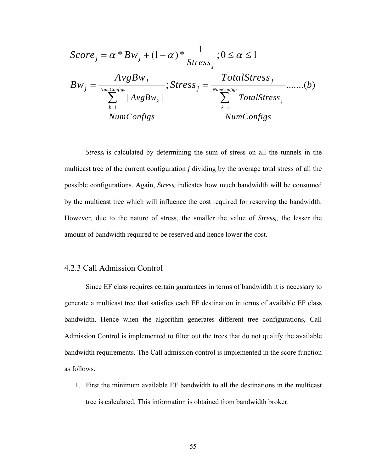$$
Score_j = \alpha * Bw_j + (1 - \alpha) * \frac{1}{Stress_j}; 0 \le \alpha \le 1
$$
\n
$$
Bw_j = \frac{AvgBw_j}{\sum_{k=1}^{NumConfigs} |AvgBw_k|}; Stress_j = \frac{TotalStress_j}{\sum_{k=1}^{NumConfigs} TotalStress_j} \dots (b)
$$
\n
$$
\frac{\sum_{k=1}^{NumConfigs} |AvgBw_k|}{NumConfigs}
$$

*Stress<sub>i</sub>* is calculated by determining the sum of stress on all the tunnels in the multicast tree of the current configuration *j* dividing by the average total stress of all the possible configurations. Again, *Stressj* indicates how much bandwidth will be consumed by the multicast tree which will influence the cost required for reserving the bandwidth. However, due to the nature of stress, the smaller the value of *Stressj*, the lesser the amount of bandwidth required to be reserved and hence lower the cost.

## 4.2.3 Call Admission Control

 Since EF class requires certain guarantees in terms of bandwidth it is necessary to generate a multicast tree that satisfies each EF destination in terms of available EF class bandwidth. Hence when the algorithm generates different tree configurations, Call Admission Control is implemented to filter out the trees that do not qualify the available bandwidth requirements. The Call admission control is implemented in the score function as follows.

1. First the minimum available EF bandwidth to all the destinations in the multicast tree is calculated. This information is obtained from bandwidth broker.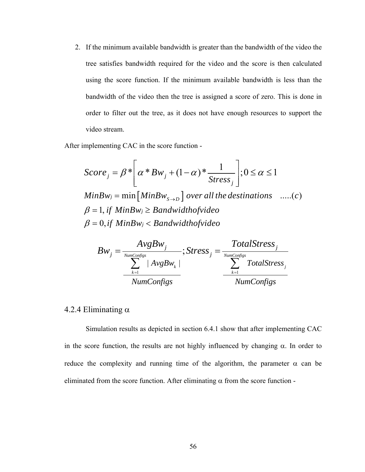2. If the minimum available bandwidth is greater than the bandwidth of the video the tree satisfies bandwidth required for the video and the score is then calculated using the score function. If the minimum available bandwidth is less than the bandwidth of the video then the tree is assigned a score of zero. This is done in order to filter out the tree, as it does not have enough resources to support the video stream.

After implementing CAC in the score function -

$$
Score_j = \beta * \left[ \alpha * Bw_j + (1 - \alpha) * \frac{1}{\text{Stress}_j} \right]; 0 \le \alpha \le 1
$$
  
\n
$$
MinBw_j = \min \left[ MinBw_{s \to D} \right] over all the destinations \quad ....(c)
$$
  
\n
$$
\beta = 1, if MinBw_j \geq Bandwidth of video
$$
  
\n
$$
\beta = 0, if MinBw_j < Bandwidth of video
$$

$$
Bw_j = \frac{AvgBw_j}{\sum_{k=1}^{NumConfigs} |AvgBw_k|} ; \text{Stress}_j = \frac{TotalStress_j}{\sum_{k=1}^{NumConfigs} TotalStress_j}
$$
  
NumConfigs

## 4.2.4 Eliminating  $α$

Simulation results as depicted in section 6.4.1 show that after implementing CAC in the score function, the results are not highly influenced by changing  $\alpha$ . In order to reduce the complexity and running time of the algorithm, the parameter  $\alpha$  can be eliminated from the score function. After eliminating  $\alpha$  from the score function -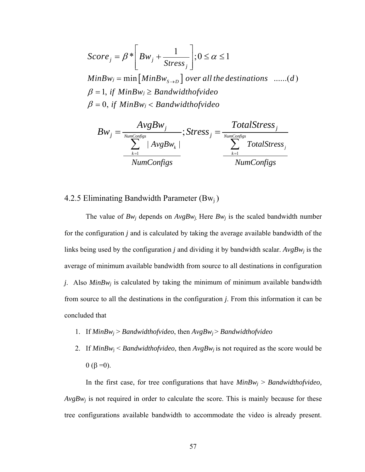$$
Score_j = \beta^* \left( Bw_j + \frac{1}{Stress_j} \right); 0 \le \alpha \le 1
$$
  
\n
$$
MinBw_j = \min \left[ MinBw_{s \to D} \right] over all the destinations \quad ......(d)
$$
  
\n
$$
\beta = 1, if MinBw_j \ge Bandwidth of video
$$
  
\n
$$
\beta = 0, if MinBw_j < Bandwidth of video
$$

$$
Bw_j = \frac{AvgBw_j}{\sum_{k=1}^{NumConfigs} |AvgBw_k|}; \text{Stress}_j = \frac{TotalStress_j}{\sum_{k=1}^{NumConfigs} TotalStress_j}
$$

# 4.2.5 Eliminating Bandwidth Parameter  $(Bw_i)$

The value of  $Bw_i$  depends on  $AvgBw_i$ . Here  $Bw_i$  is the scaled bandwidth number for the configuration *j* and is calculated by taking the average available bandwidth of the links being used by the configuration *j* and dividing it by bandwidth scalar.  $AvgBw_i$  is the average of minimum available bandwidth from source to all destinations in configuration *j*. Also  $MinBw_i$  is calculated by taking the minimum of minimum available bandwidth from source to all the destinations in the configuration *j*. From this information it can be concluded that

- 1. If *MinBwj* > *Bandwidthofvideo*, then *AvgBwj* > *Bandwidthofvideo*
- 2. If  $MinBw_i \leq Bandwidthofvideo$ , then  $AvgBw_i$  is not required as the score would be  $0 (β = 0)$ .

In the first case, for tree configurations that have  $MinBw_i > Bandwidthofvideo$ ,  $AvgBw_i$  is not required in order to calculate the score. This is mainly because for these tree configurations available bandwidth to accommodate the video is already present.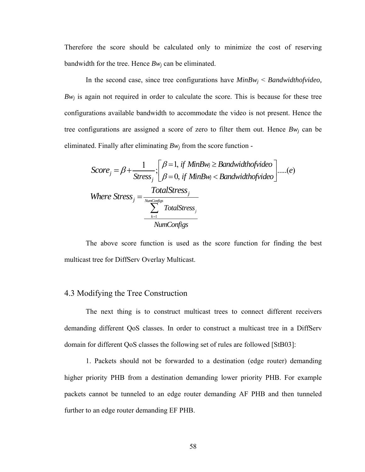Therefore the score should be calculated only to minimize the cost of reserving bandwidth for the tree. Hence  $Bw_i$  can be eliminated.

 In the second case, since tree configurations have *MinBwj* < *Bandwidthofvideo,*  $Bw_i$  is again not required in order to calculate the score. This is because for these tree configurations available bandwidth to accommodate the video is not present. Hence the tree configurations are assigned a score of zero to filter them out. Hence *Bwj* can be eliminated. Finally after eliminating  $Bw_j$  from the score function -

$$
Score_j = \beta + \frac{1}{\text{Stress}_j} \cdot \begin{bmatrix} \beta = 1, \text{ if } \text{MinBw}_j \ge \text{Bandwidth} \text{of video} \\ \beta = 0, \text{ if } \text{MinBw}_j < \text{Bandwidth} \text{of video} \end{bmatrix} \dots (e)
$$
\n
$$
Where \text{Stress}_j = \frac{\text{TotalStress}_j}{\sum_{k=1}^{\text{NumConfigs}} \text{TotalStress}_j}
$$

 The above score function is used as the score function for finding the best multicast tree for DiffServ Overlay Multicast.

## 4.3 Modifying the Tree Construction

The next thing is to construct multicast trees to connect different receivers demanding different QoS classes. In order to construct a multicast tree in a DiffServ domain for different QoS classes the following set of rules are followed [StB03]:

1. Packets should not be forwarded to a destination (edge router) demanding higher priority PHB from a destination demanding lower priority PHB. For example packets cannot be tunneled to an edge router demanding AF PHB and then tunneled further to an edge router demanding EF PHB.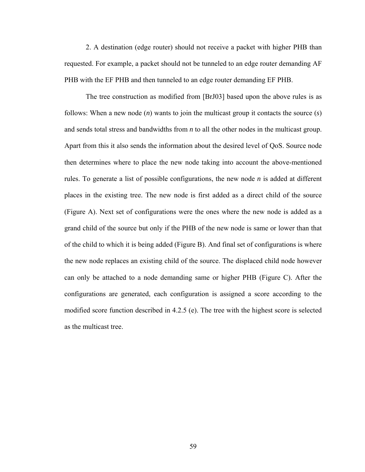2. A destination (edge router) should not receive a packet with higher PHB than requested. For example, a packet should not be tunneled to an edge router demanding AF PHB with the EF PHB and then tunneled to an edge router demanding EF PHB.

The tree construction as modified from [BrJ03] based upon the above rules is as follows: When a new node (*n*) wants to join the multicast group it contacts the source (*s*) and sends total stress and bandwidths from *n* to all the other nodes in the multicast group. Apart from this it also sends the information about the desired level of QoS. Source node then determines where to place the new node taking into account the above-mentioned rules. To generate a list of possible configurations, the new node *n* is added at different places in the existing tree. The new node is first added as a direct child of the source (Figure A). Next set of configurations were the ones where the new node is added as a grand child of the source but only if the PHB of the new node is same or lower than that of the child to which it is being added (Figure B). And final set of configurations is where the new node replaces an existing child of the source. The displaced child node however can only be attached to a node demanding same or higher PHB (Figure C). After the configurations are generated, each configuration is assigned a score according to the modified score function described in 4.2.5 (e). The tree with the highest score is selected as the multicast tree.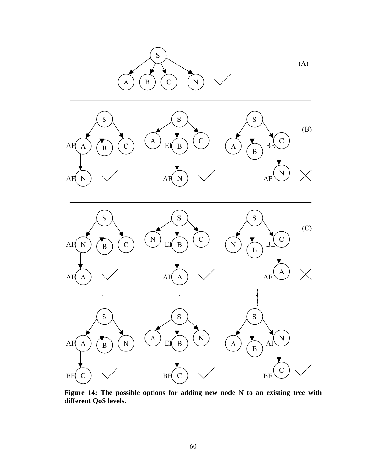

**Figure 14: The possible options for adding new node N to an existing tree with different QoS levels.**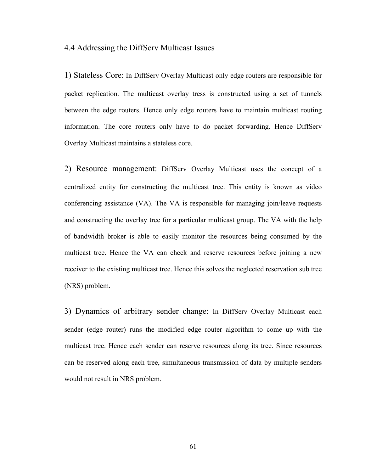### 4.4 Addressing the DiffServ Multicast Issues

1) Stateless Core: In DiffServ Overlay Multicast only edge routers are responsible for packet replication. The multicast overlay tress is constructed using a set of tunnels between the edge routers. Hence only edge routers have to maintain multicast routing information. The core routers only have to do packet forwarding. Hence DiffServ Overlay Multicast maintains a stateless core.

2) Resource management: DiffServ Overlay Multicast uses the concept of a centralized entity for constructing the multicast tree. This entity is known as video conferencing assistance (VA). The VA is responsible for managing join/leave requests and constructing the overlay tree for a particular multicast group. The VA with the help of bandwidth broker is able to easily monitor the resources being consumed by the multicast tree. Hence the VA can check and reserve resources before joining a new receiver to the existing multicast tree. Hence this solves the neglected reservation sub tree (NRS) problem.

3) Dynamics of arbitrary sender change: In DiffServ Overlay Multicast each sender (edge router) runs the modified edge router algorithm to come up with the multicast tree. Hence each sender can reserve resources along its tree. Since resources can be reserved along each tree, simultaneous transmission of data by multiple senders would not result in NRS problem.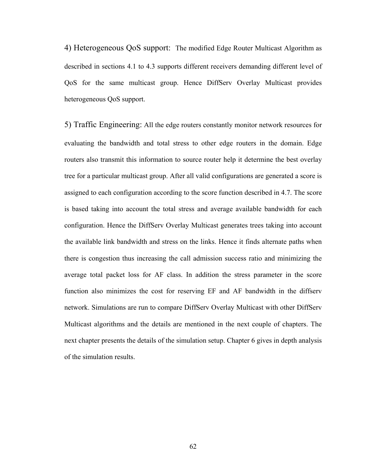4) Heterogeneous QoS support: The modified Edge Router Multicast Algorithm as described in sections 4.1 to 4.3 supports different receivers demanding different level of QoS for the same multicast group. Hence DiffServ Overlay Multicast provides heterogeneous QoS support.

5) Traffic Engineering: All the edge routers constantly monitor network resources for evaluating the bandwidth and total stress to other edge routers in the domain. Edge routers also transmit this information to source router help it determine the best overlay tree for a particular multicast group. After all valid configurations are generated a score is assigned to each configuration according to the score function described in 4.7. The score is based taking into account the total stress and average available bandwidth for each configuration. Hence the DiffServ Overlay Multicast generates trees taking into account the available link bandwidth and stress on the links. Hence it finds alternate paths when there is congestion thus increasing the call admission success ratio and minimizing the average total packet loss for AF class. In addition the stress parameter in the score function also minimizes the cost for reserving EF and AF bandwidth in the diffserv network. Simulations are run to compare DiffServ Overlay Multicast with other DiffServ Multicast algorithms and the details are mentioned in the next couple of chapters. The next chapter presents the details of the simulation setup. Chapter 6 gives in depth analysis of the simulation results.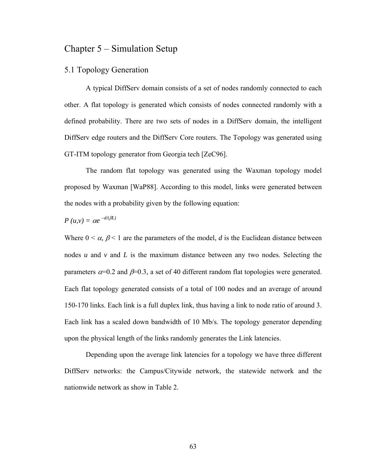# Chapter 5 – Simulation Setup

## 5.1 Topology Generation

A typical DiffServ domain consists of a set of nodes randomly connected to each other. A flat topology is generated which consists of nodes connected randomly with a defined probability. There are two sets of nodes in a DiffServ domain, the intelligent DiffServ edge routers and the DiffServ Core routers. The Topology was generated using GT-ITM topology generator from Georgia tech [ZeC96].

The random flat topology was generated using the Waxman topology model proposed by Waxman [WaP88]. According to this model, links were generated between the nodes with a probability given by the following equation:

$$
P(u,v) = \alpha e^{-d/(\beta L)}
$$

Where  $0 \le \alpha$ ,  $\beta \le 1$  are the parameters of the model, *d* is the Euclidean distance between nodes *u* and *v* and *L* is the maximum distance between any two nodes. Selecting the parameters  $\alpha = 0.2$  and  $\beta = 0.3$ , a set of 40 different random flat topologies were generated. Each flat topology generated consists of a total of 100 nodes and an average of around 150-170 links. Each link is a full duplex link, thus having a link to node ratio of around 3. Each link has a scaled down bandwidth of 10 Mb/s. The topology generator depending upon the physical length of the links randomly generates the Link latencies.

Depending upon the average link latencies for a topology we have three different DiffServ networks: the Campus/Citywide network, the statewide network and the nationwide network as show in Table 2.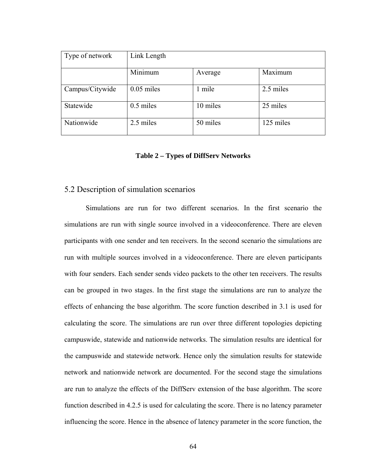| Type of network | Link Length  |          |           |
|-----------------|--------------|----------|-----------|
|                 | Minimum      | Average  | Maximum   |
| Campus/Citywide | $0.05$ miles | 1 mile   | 2.5 miles |
| Statewide       | $0.5$ miles  | 10 miles | 25 miles  |
| Nationwide      | 2.5 miles    | 50 miles | 125 miles |

#### **Table 2 – Types of DiffServ Networks**

### 5.2 Description of simulation scenarios

Simulations are run for two different scenarios. In the first scenario the simulations are run with single source involved in a videoconference. There are eleven participants with one sender and ten receivers. In the second scenario the simulations are run with multiple sources involved in a videoconference. There are eleven participants with four senders. Each sender sends video packets to the other ten receivers. The results can be grouped in two stages. In the first stage the simulations are run to analyze the effects of enhancing the base algorithm. The score function described in 3.1 is used for calculating the score. The simulations are run over three different topologies depicting campuswide, statewide and nationwide networks. The simulation results are identical for the campuswide and statewide network. Hence only the simulation results for statewide network and nationwide network are documented. For the second stage the simulations are run to analyze the effects of the DiffServ extension of the base algorithm. The score function described in 4.2.5 is used for calculating the score. There is no latency parameter influencing the score. Hence in the absence of latency parameter in the score function, the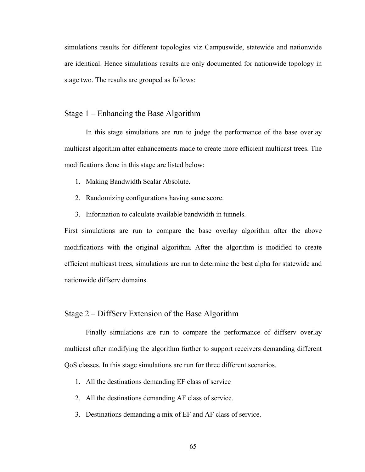simulations results for different topologies viz Campuswide, statewide and nationwide are identical. Hence simulations results are only documented for nationwide topology in stage two. The results are grouped as follows:

## Stage 1 – Enhancing the Base Algorithm

In this stage simulations are run to judge the performance of the base overlay multicast algorithm after enhancements made to create more efficient multicast trees. The modifications done in this stage are listed below:

- 1. Making Bandwidth Scalar Absolute.
- 2. Randomizing configurations having same score.
- 3. Information to calculate available bandwidth in tunnels.

First simulations are run to compare the base overlay algorithm after the above modifications with the original algorithm. After the algorithm is modified to create efficient multicast trees, simulations are run to determine the best alpha for statewide and nationwide diffserv domains.

## Stage 2 – DiffServ Extension of the Base Algorithm

 Finally simulations are run to compare the performance of diffserv overlay multicast after modifying the algorithm further to support receivers demanding different QoS classes. In this stage simulations are run for three different scenarios.

- 1. All the destinations demanding EF class of service
- 2. All the destinations demanding AF class of service.
- 3. Destinations demanding a mix of EF and AF class of service.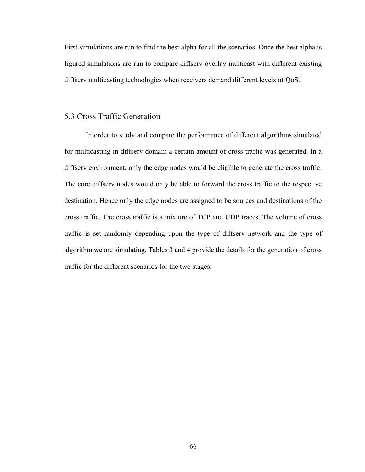First simulations are run to find the best alpha for all the scenarios. Once the best alpha is figured simulations are run to compare diffserv overlay multicast with different existing diffserv multicasting technologies when receivers demand different levels of QoS.

## 5.3 Cross Traffic Generation

In order to study and compare the performance of different algorithms simulated for multicasting in diffserv domain a certain amount of cross traffic was generated. In a diffserv environment, only the edge nodes would be eligible to generate the cross traffic. The core diffserv nodes would only be able to forward the cross traffic to the respective destination. Hence only the edge nodes are assigned to be sources and destinations of the cross traffic. The cross traffic is a mixture of TCP and UDP traces. The volume of cross traffic is set randomly depending upon the type of diffserv network and the type of algorithm we are simulating. Tables 3 and 4 provide the details for the generation of cross traffic for the different scenarios for the two stages.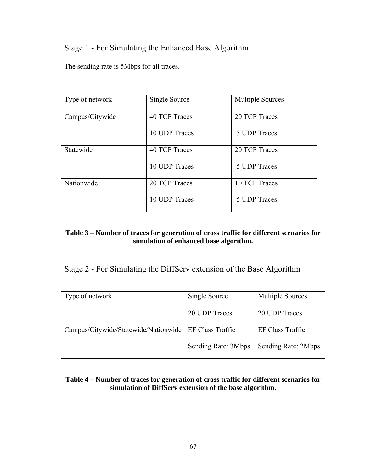# Stage 1 - For Simulating the Enhanced Base Algorithm

The sending rate is 5Mbps for all traces.

| Type of network | Single Source | <b>Multiple Sources</b> |
|-----------------|---------------|-------------------------|
| Campus/Citywide | 40 TCP Traces | 20 TCP Traces           |
|                 | 10 UDP Traces | 5 UDP Traces            |
| Statewide       | 40 TCP Traces | 20 TCP Traces           |
|                 | 10 UDP Traces | 5 UDP Traces            |
| Nationwide      | 20 TCP Traces | 10 TCP Traces           |
|                 | 10 UDP Traces | 5 UDP Traces            |

## **Table 3 – Number of traces for generation of cross traffic for different scenarios for simulation of enhanced base algorithm.**

Stage 2 - For Simulating the DiffServ extension of the Base Algorithm

| Type of network                      | Single Source       | <b>Multiple Sources</b> |
|--------------------------------------|---------------------|-------------------------|
|                                      | 20 UDP Traces       | 20 UDP Traces           |
| Campus/Citywide/Statewide/Nationwide | EF Class Traffic    | EF Class Traffic        |
|                                      | Sending Rate: 3Mbps | Sending Rate: 2Mbps     |

## **Table 4 – Number of traces for generation of cross traffic for different scenarios for simulation of DiffServ extension of the base algorithm.**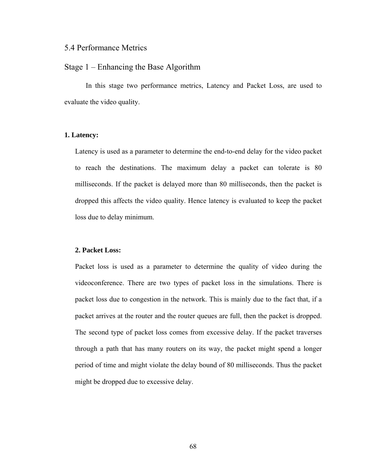## 5.4 Performance Metrics

## Stage 1 – Enhancing the Base Algorithm

 In this stage two performance metrics, Latency and Packet Loss, are used to evaluate the video quality.

### **1. Latency:**

Latency is used as a parameter to determine the end-to-end delay for the video packet to reach the destinations. The maximum delay a packet can tolerate is 80 milliseconds. If the packet is delayed more than 80 milliseconds, then the packet is dropped this affects the video quality. Hence latency is evaluated to keep the packet loss due to delay minimum.

#### **2. Packet Loss:**

Packet loss is used as a parameter to determine the quality of video during the videoconference. There are two types of packet loss in the simulations. There is packet loss due to congestion in the network. This is mainly due to the fact that, if a packet arrives at the router and the router queues are full, then the packet is dropped. The second type of packet loss comes from excessive delay. If the packet traverses through a path that has many routers on its way, the packet might spend a longer period of time and might violate the delay bound of 80 milliseconds. Thus the packet might be dropped due to excessive delay.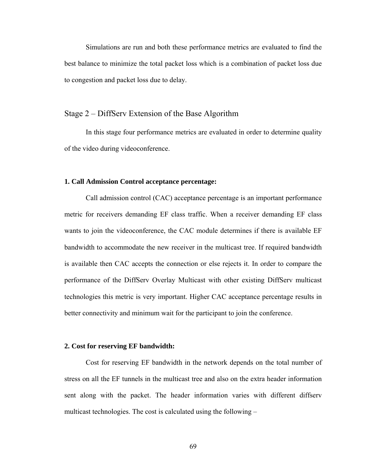Simulations are run and both these performance metrics are evaluated to find the best balance to minimize the total packet loss which is a combination of packet loss due to congestion and packet loss due to delay.

### Stage 2 – DiffServ Extension of the Base Algorithm

 In this stage four performance metrics are evaluated in order to determine quality of the video during videoconference.

#### **1. Call Admission Control acceptance percentage:**

Call admission control (CAC) acceptance percentage is an important performance metric for receivers demanding EF class traffic. When a receiver demanding EF class wants to join the videoconference, the CAC module determines if there is available EF bandwidth to accommodate the new receiver in the multicast tree. If required bandwidth is available then CAC accepts the connection or else rejects it. In order to compare the performance of the DiffServ Overlay Multicast with other existing DiffServ multicast technologies this metric is very important. Higher CAC acceptance percentage results in better connectivity and minimum wait for the participant to join the conference.

### **2. Cost for reserving EF bandwidth:**

Cost for reserving EF bandwidth in the network depends on the total number of stress on all the EF tunnels in the multicast tree and also on the extra header information sent along with the packet. The header information varies with different diffserv multicast technologies. The cost is calculated using the following –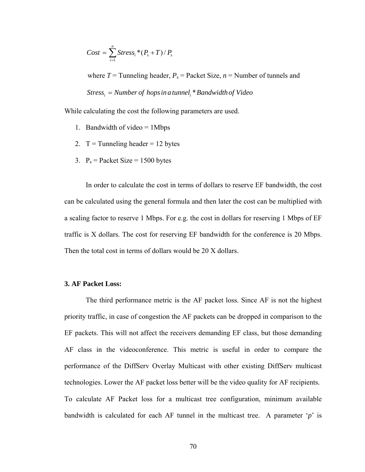$$
Cost = \sum_{i=1}^{n} Stress_i*(P_s+T)/P_s
$$

where  $T =$  Tunneling header,  $P_s =$  Packet Size,  $n =$  Number of tunnels and  $\it{Stress}_i =$  Number of hops in a tunnel<sub>i</sub> \* Bandwidth of Video

While calculating the cost the following parameters are used.

- 1. Bandwidth of video  $= 1$ Mbps
- 2.  $T =$ Tunneling header = 12 bytes
- 3.  $P_s$  = Packet Size = 1500 bytes

 In order to calculate the cost in terms of dollars to reserve EF bandwidth, the cost can be calculated using the general formula and then later the cost can be multiplied with a scaling factor to reserve 1 Mbps. For e.g. the cost in dollars for reserving 1 Mbps of EF traffic is X dollars. The cost for reserving EF bandwidth for the conference is 20 Mbps. Then the total cost in terms of dollars would be 20 X dollars.

### **3. AF Packet Loss:**

 The third performance metric is the AF packet loss. Since AF is not the highest priority traffic, in case of congestion the AF packets can be dropped in comparison to the EF packets. This will not affect the receivers demanding EF class, but those demanding AF class in the videoconference. This metric is useful in order to compare the performance of the DiffServ Overlay Multicast with other existing DiffServ multicast technologies. Lower the AF packet loss better will be the video quality for AF recipients. To calculate AF Packet loss for a multicast tree configuration, minimum available bandwidth is calculated for each AF tunnel in the multicast tree. A parameter '*p*' is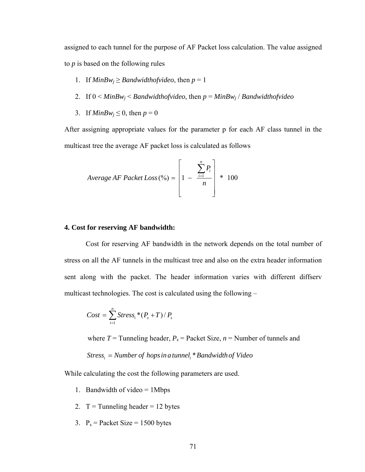assigned to each tunnel for the purpose of AF Packet loss calculation. The value assigned to *p* is based on the following rules

- 1. If  $MinBw_i \geq Bandwidthof video$ , then  $p = 1$
- 2. If 0 < *MinBwj* < *Bandwidthofvideo*, then *p* = *MinBwj* / *Bandwidthofvideo*
- 3. If  $MinBw_i \leq 0$ , then  $p = 0$

After assigning appropriate values for the parameter p for each AF class tunnel in the multicast tree the average AF packet loss is calculated as follows

$$
Average AF Packet Loss (%) = \left[1 - \frac{\sum_{i=1}^{n} P_i}{n}\right] * 100
$$

#### **4. Cost for reserving AF bandwidth:**

Cost for reserving AF bandwidth in the network depends on the total number of stress on all the AF tunnels in the multicast tree and also on the extra header information sent along with the packet. The header information varies with different diffserv multicast technologies. The cost is calculated using the following –

$$
Cost = \sum_{i=1}^{n} Stress_i*(P_s+T)/P_s
$$

where  $T =$  Tunneling header,  $P_s$  = Packet Size,  $n =$  Number of tunnels and

$$
Stress_i = Number\ of\ hops\ in\ a\ tunnel_i * Bandwidth\ of\ Video
$$

While calculating the cost the following parameters are used.

- 1. Bandwidth of video = 1Mbps
- 2.  $T =$ Tunneling header = 12 bytes
- 3.  $P_s =$  Packet Size = 1500 bytes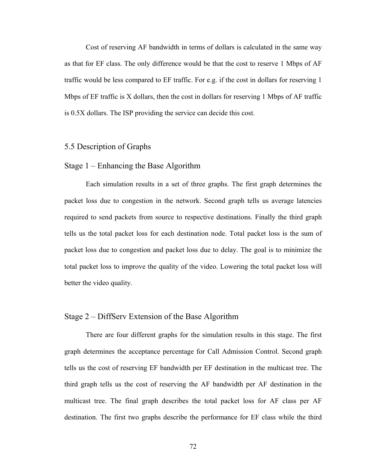Cost of reserving AF bandwidth in terms of dollars is calculated in the same way as that for EF class. The only difference would be that the cost to reserve 1 Mbps of AF traffic would be less compared to EF traffic. For e.g. if the cost in dollars for reserving 1 Mbps of EF traffic is X dollars, then the cost in dollars for reserving 1 Mbps of AF traffic is 0.5X dollars. The ISP providing the service can decide this cost.

### 5.5 Description of Graphs

### Stage 1 – Enhancing the Base Algorithm

 Each simulation results in a set of three graphs. The first graph determines the packet loss due to congestion in the network. Second graph tells us average latencies required to send packets from source to respective destinations. Finally the third graph tells us the total packet loss for each destination node. Total packet loss is the sum of packet loss due to congestion and packet loss due to delay. The goal is to minimize the total packet loss to improve the quality of the video. Lowering the total packet loss will better the video quality.

### Stage 2 – DiffServ Extension of the Base Algorithm

 There are four different graphs for the simulation results in this stage. The first graph determines the acceptance percentage for Call Admission Control. Second graph tells us the cost of reserving EF bandwidth per EF destination in the multicast tree. The third graph tells us the cost of reserving the AF bandwidth per AF destination in the multicast tree. The final graph describes the total packet loss for AF class per AF destination. The first two graphs describe the performance for EF class while the third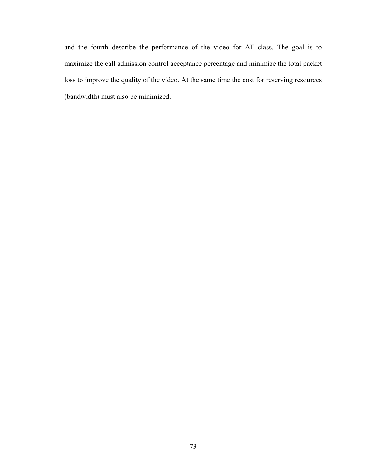and the fourth describe the performance of the video for AF class. The goal is to maximize the call admission control acceptance percentage and minimize the total packet loss to improve the quality of the video. At the same time the cost for reserving resources (bandwidth) must also be minimized.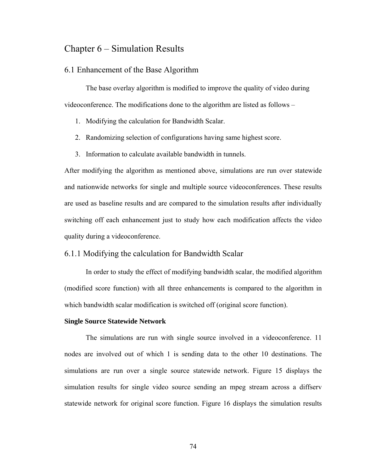# Chapter 6 – Simulation Results

## 6.1 Enhancement of the Base Algorithm

 The base overlay algorithm is modified to improve the quality of video during videoconference. The modifications done to the algorithm are listed as follows –

- 1. Modifying the calculation for Bandwidth Scalar.
- 2. Randomizing selection of configurations having same highest score.
- 3. Information to calculate available bandwidth in tunnels.

After modifying the algorithm as mentioned above, simulations are run over statewide and nationwide networks for single and multiple source videoconferences. These results are used as baseline results and are compared to the simulation results after individually switching off each enhancement just to study how each modification affects the video quality during a videoconference.

## 6.1.1 Modifying the calculation for Bandwidth Scalar

In order to study the effect of modifying bandwidth scalar, the modified algorithm (modified score function) with all three enhancements is compared to the algorithm in which bandwidth scalar modification is switched off (original score function).

#### **Single Source Statewide Network**

The simulations are run with single source involved in a videoconference. 11 nodes are involved out of which 1 is sending data to the other 10 destinations. The simulations are run over a single source statewide network. Figure 15 displays the simulation results for single video source sending an mpeg stream across a diffserv statewide network for original score function. Figure 16 displays the simulation results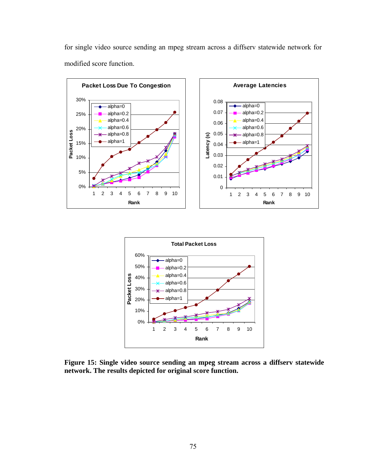for single video source sending an mpeg stream across a diffserv statewide network for modified score function.







**Figure 15: Single video source sending an mpeg stream across a diffserv statewide network. The results depicted for original score function.**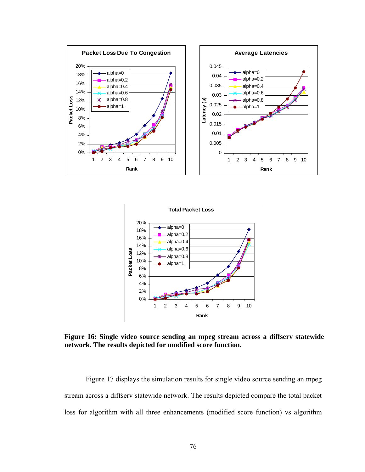



**Figure 16: Single video source sending an mpeg stream across a diffserv statewide network. The results depicted for modified score function.** 

Figure 17 displays the simulation results for single video source sending an mpeg stream across a diffserv statewide network. The results depicted compare the total packet loss for algorithm with all three enhancements (modified score function) vs algorithm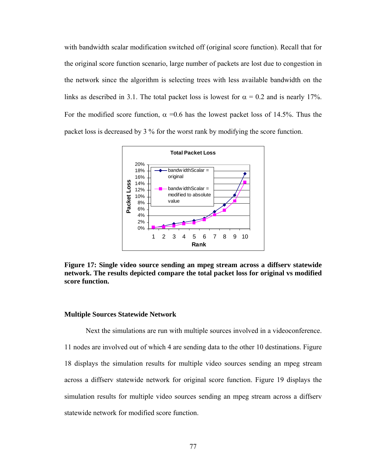with bandwidth scalar modification switched off (original score function). Recall that for the original score function scenario, large number of packets are lost due to congestion in the network since the algorithm is selecting trees with less available bandwidth on the links as described in 3.1. The total packet loss is lowest for  $\alpha = 0.2$  and is nearly 17%. For the modified score function,  $\alpha = 0.6$  has the lowest packet loss of 14.5%. Thus the packet loss is decreased by 3 % for the worst rank by modifying the score function.



**Figure 17: Single video source sending an mpeg stream across a diffserv statewide network. The results depicted compare the total packet loss for original vs modified score function.** 

#### **Multiple Sources Statewide Network**

Next the simulations are run with multiple sources involved in a videoconference. 11 nodes are involved out of which 4 are sending data to the other 10 destinations. Figure 18 displays the simulation results for multiple video sources sending an mpeg stream across a diffserv statewide network for original score function. Figure 19 displays the simulation results for multiple video sources sending an mpeg stream across a diffserv statewide network for modified score function.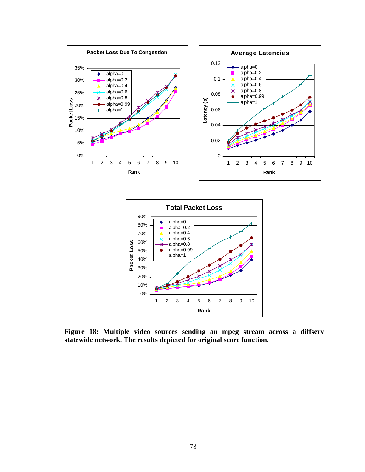



**Figure 18: Multiple video sources sending an mpeg stream across a diffserv statewide network. The results depicted for original score function.**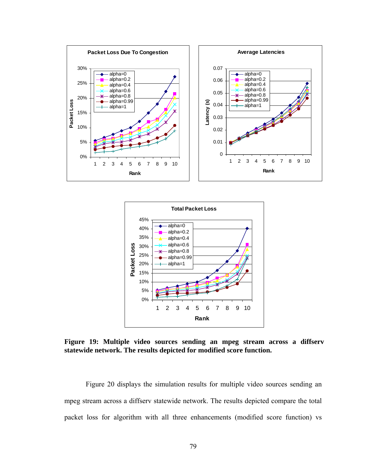



**Figure 19: Multiple video sources sending an mpeg stream across a diffserv statewide network. The results depicted for modified score function.** 

Figure 20 displays the simulation results for multiple video sources sending an mpeg stream across a diffserv statewide network. The results depicted compare the total packet loss for algorithm with all three enhancements (modified score function) vs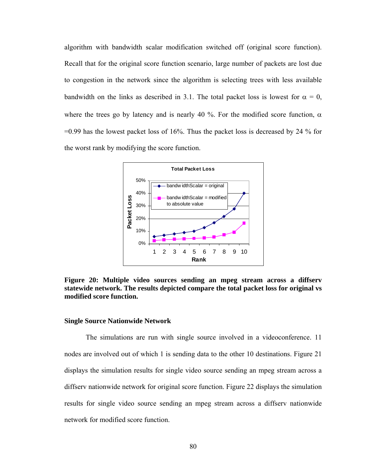algorithm with bandwidth scalar modification switched off (original score function). Recall that for the original score function scenario, large number of packets are lost due to congestion in the network since the algorithm is selecting trees with less available bandwidth on the links as described in 3.1. The total packet loss is lowest for  $\alpha = 0$ , where the trees go by latency and is nearly 40 %. For the modified score function,  $\alpha$  $=0.99$  has the lowest packet loss of 16%. Thus the packet loss is decreased by 24 % for the worst rank by modifying the score function.



**Figure 20: Multiple video sources sending an mpeg stream across a diffserv statewide network. The results depicted compare the total packet loss for original vs modified score function.** 

#### **Single Source Nationwide Network**

The simulations are run with single source involved in a videoconference. 11 nodes are involved out of which 1 is sending data to the other 10 destinations. Figure 21 displays the simulation results for single video source sending an mpeg stream across a diffserv nationwide network for original score function. Figure 22 displays the simulation results for single video source sending an mpeg stream across a diffserv nationwide network for modified score function.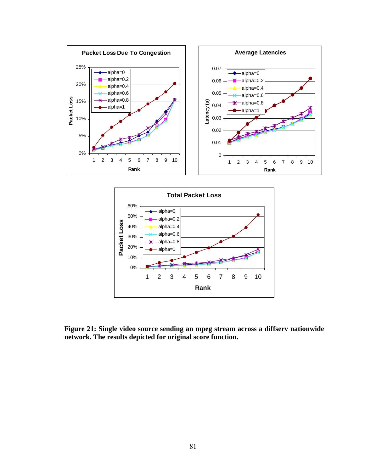



**Figure 21: Single video source sending an mpeg stream across a diffserv nationwide network. The results depicted for original score function.**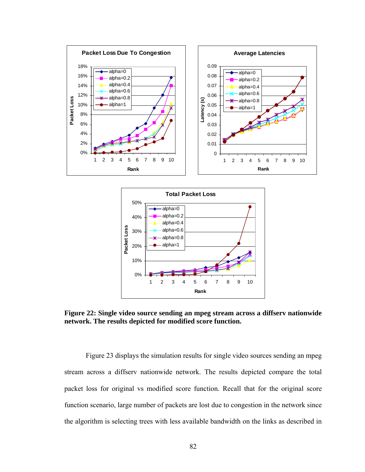



**Figure 22: Single video source sending an mpeg stream across a diffserv nationwide network. The results depicted for modified score function.** 

Figure 23 displays the simulation results for single video sources sending an mpeg stream across a diffserv nationwide network. The results depicted compare the total packet loss for original vs modified score function. Recall that for the original score function scenario, large number of packets are lost due to congestion in the network since the algorithm is selecting trees with less available bandwidth on the links as described in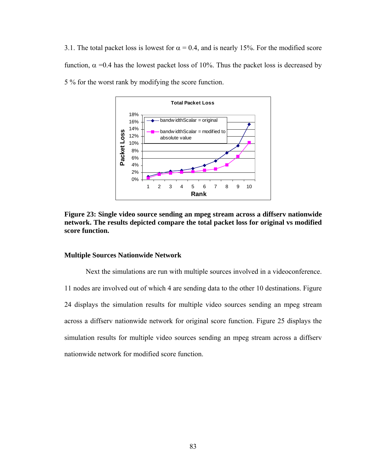3.1. The total packet loss is lowest for  $\alpha = 0.4$ , and is nearly 15%. For the modified score function, α =0.4 has the lowest packet loss of 10%. Thus the packet loss is decreased by 5 % for the worst rank by modifying the score function.



**Figure 23: Single video source sending an mpeg stream across a diffserv nationwide network. The results depicted compare the total packet loss for original vs modified score function.** 

#### **Multiple Sources Nationwide Network**

Next the simulations are run with multiple sources involved in a videoconference. 11 nodes are involved out of which 4 are sending data to the other 10 destinations. Figure 24 displays the simulation results for multiple video sources sending an mpeg stream across a diffserv nationwide network for original score function. Figure 25 displays the simulation results for multiple video sources sending an mpeg stream across a diffserv nationwide network for modified score function.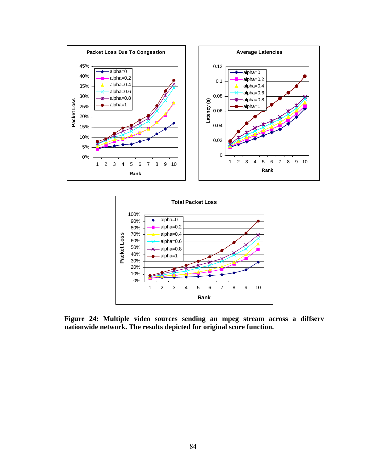



**Figure 24: Multiple video sources sending an mpeg stream across a diffserv nationwide network. The results depicted for original score function.**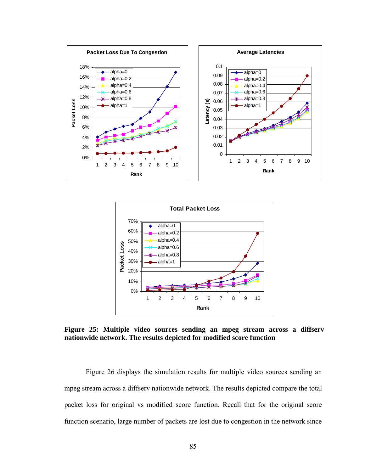



**Figure 25: Multiple video sources sending an mpeg stream across a diffserv nationwide network. The results depicted for modified score function** 

Figure 26 displays the simulation results for multiple video sources sending an mpeg stream across a diffserv nationwide network. The results depicted compare the total packet loss for original vs modified score function. Recall that for the original score function scenario, large number of packets are lost due to congestion in the network since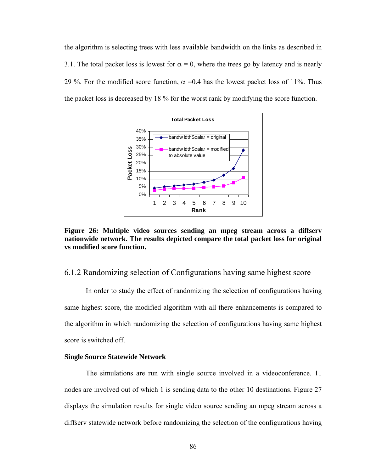the algorithm is selecting trees with less available bandwidth on the links as described in 3.1. The total packet loss is lowest for  $\alpha = 0$ , where the trees go by latency and is nearly 29 %. For the modified score function,  $\alpha$  =0.4 has the lowest packet loss of 11%. Thus the packet loss is decreased by 18 % for the worst rank by modifying the score function.



**Figure 26: Multiple video sources sending an mpeg stream across a diffserv nationwide network. The results depicted compare the total packet loss for original vs modified score function.** 

## 6.1.2 Randomizing selection of Configurations having same highest score

In order to study the effect of randomizing the selection of configurations having same highest score, the modified algorithm with all there enhancements is compared to the algorithm in which randomizing the selection of configurations having same highest score is switched off.

#### **Single Source Statewide Network**

The simulations are run with single source involved in a videoconference. 11 nodes are involved out of which 1 is sending data to the other 10 destinations. Figure 27 displays the simulation results for single video source sending an mpeg stream across a diffserv statewide network before randomizing the selection of the configurations having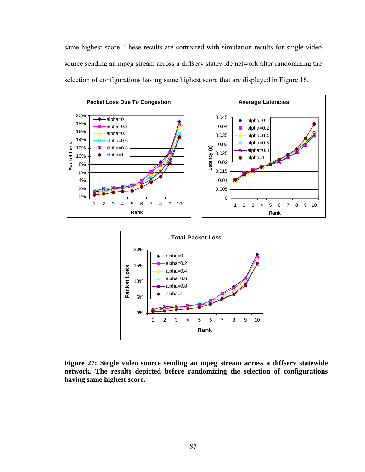same highest score. These results are compared with simulation results for single video source sending an mpeg stream across a diffserv statewide network after randomizing the selection of configurations having same highest score that are displayed in Figure 16.



**Figure 27: Single video source sending an mpeg stream across a diffserv statewide network. The results depicted before randomizing the selection of configurations having same highest score.**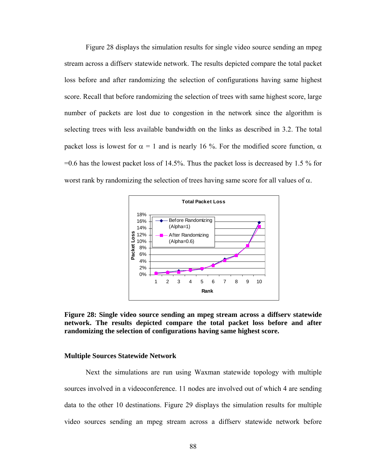Figure 28 displays the simulation results for single video source sending an mpeg stream across a diffserv statewide network. The results depicted compare the total packet loss before and after randomizing the selection of configurations having same highest score. Recall that before randomizing the selection of trees with same highest score, large number of packets are lost due to congestion in the network since the algorithm is selecting trees with less available bandwidth on the links as described in 3.2. The total packet loss is lowest for  $\alpha = 1$  and is nearly 16 %. For the modified score function,  $\alpha$  $=0.6$  has the lowest packet loss of 14.5%. Thus the packet loss is decreased by 1.5 % for worst rank by randomizing the selection of trees having same score for all values of  $\alpha$ .



**Figure 28: Single video source sending an mpeg stream across a diffserv statewide network. The results depicted compare the total packet loss before and after randomizing the selection of configurations having same highest score.** 

#### **Multiple Sources Statewide Network**

Next the simulations are run using Waxman statewide topology with multiple sources involved in a videoconference. 11 nodes are involved out of which 4 are sending data to the other 10 destinations. Figure 29 displays the simulation results for multiple video sources sending an mpeg stream across a diffserv statewide network before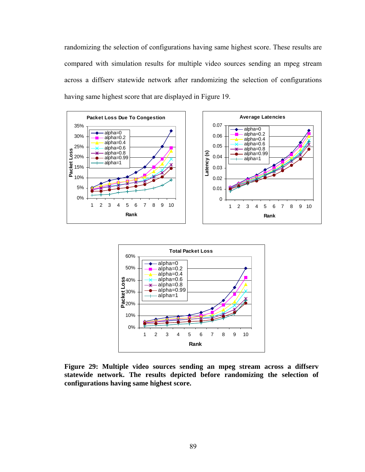randomizing the selection of configurations having same highest score. These results are compared with simulation results for multiple video sources sending an mpeg stream across a diffserv statewide network after randomizing the selection of configurations having same highest score that are displayed in Figure 19.





**Figure 29: Multiple video sources sending an mpeg stream across a diffserv statewide network. The results depicted before randomizing the selection of configurations having same highest score.**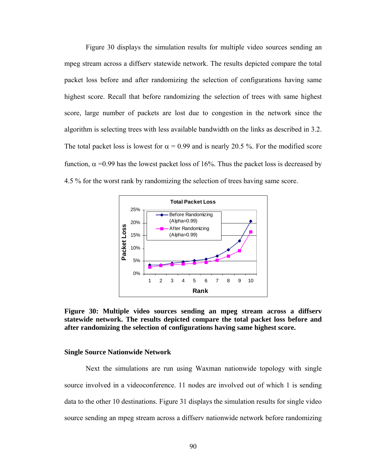Figure 30 displays the simulation results for multiple video sources sending an mpeg stream across a diffserv statewide network. The results depicted compare the total packet loss before and after randomizing the selection of configurations having same highest score. Recall that before randomizing the selection of trees with same highest score, large number of packets are lost due to congestion in the network since the algorithm is selecting trees with less available bandwidth on the links as described in 3.2. The total packet loss is lowest for  $\alpha = 0.99$  and is nearly 20.5 %. For the modified score function,  $\alpha$  =0.99 has the lowest packet loss of 16%. Thus the packet loss is decreased by 4.5 % for the worst rank by randomizing the selection of trees having same score.



**Figure 30: Multiple video sources sending an mpeg stream across a diffserv statewide network. The results depicted compare the total packet loss before and after randomizing the selection of configurations having same highest score.** 

#### **Single Source Nationwide Network**

Next the simulations are run using Waxman nationwide topology with single source involved in a videoconference. 11 nodes are involved out of which 1 is sending data to the other 10 destinations. Figure 31 displays the simulation results for single video source sending an mpeg stream across a diffserv nationwide network before randomizing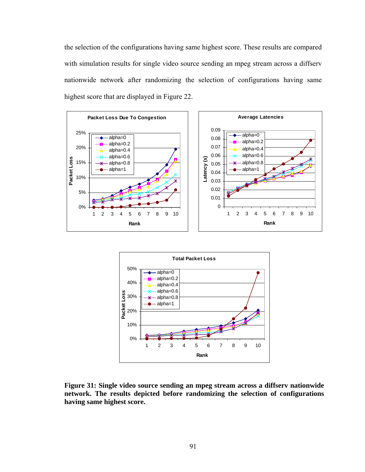the selection of the configurations having same highest score. These results are compared with simulation results for single video source sending an mpeg stream across a diffserv nationwide network after randomizing the selection of configurations having same highest score that are displayed in Figure 22.





**Figure 31: Single video source sending an mpeg stream across a diffserv nationwide network. The results depicted before randomizing the selection of configurations having same highest score.**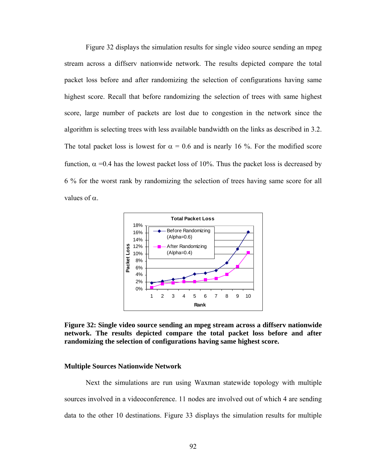Figure 32 displays the simulation results for single video source sending an mpeg stream across a diffserv nationwide network. The results depicted compare the total packet loss before and after randomizing the selection of configurations having same highest score. Recall that before randomizing the selection of trees with same highest score, large number of packets are lost due to congestion in the network since the algorithm is selecting trees with less available bandwidth on the links as described in 3.2. The total packet loss is lowest for  $\alpha = 0.6$  and is nearly 16 %. For the modified score function,  $\alpha$  =0.4 has the lowest packet loss of 10%. Thus the packet loss is decreased by 6 % for the worst rank by randomizing the selection of trees having same score for all values of  $\alpha$ .



**Figure 32: Single video source sending an mpeg stream across a diffserv nationwide network. The results depicted compare the total packet loss before and after randomizing the selection of configurations having same highest score.** 

#### **Multiple Sources Nationwide Network**

Next the simulations are run using Waxman statewide topology with multiple sources involved in a videoconference. 11 nodes are involved out of which 4 are sending data to the other 10 destinations. Figure 33 displays the simulation results for multiple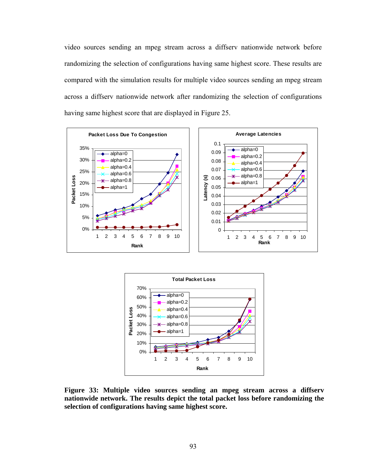video sources sending an mpeg stream across a diffserv nationwide network before randomizing the selection of configurations having same highest score. These results are compared with the simulation results for multiple video sources sending an mpeg stream across a diffserv nationwide network after randomizing the selection of configurations having same highest score that are displayed in Figure 25.





**Figure 33: Multiple video sources sending an mpeg stream across a diffserv nationwide network. The results depict the total packet loss before randomizing the selection of configurations having same highest score.**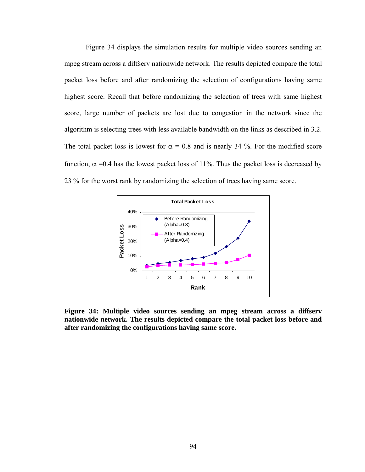Figure 34 displays the simulation results for multiple video sources sending an mpeg stream across a diffserv nationwide network. The results depicted compare the total packet loss before and after randomizing the selection of configurations having same highest score. Recall that before randomizing the selection of trees with same highest score, large number of packets are lost due to congestion in the network since the algorithm is selecting trees with less available bandwidth on the links as described in 3.2. The total packet loss is lowest for  $\alpha = 0.8$  and is nearly 34 %. For the modified score function,  $\alpha$  =0.4 has the lowest packet loss of 11%. Thus the packet loss is decreased by 23 % for the worst rank by randomizing the selection of trees having same score.



**Figure 34: Multiple video sources sending an mpeg stream across a diffserv nationwide network. The results depicted compare the total packet loss before and after randomizing the configurations having same score.**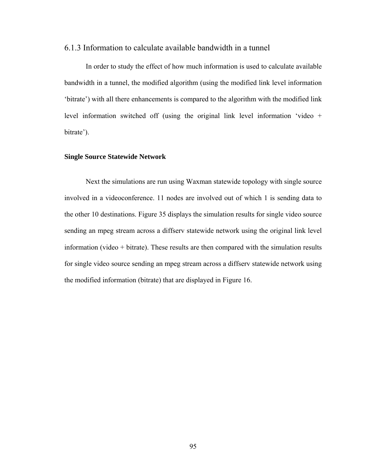# 6.1.3 Information to calculate available bandwidth in a tunnel

In order to study the effect of how much information is used to calculate available bandwidth in a tunnel, the modified algorithm (using the modified link level information 'bitrate') with all there enhancements is compared to the algorithm with the modified link level information switched off (using the original link level information 'video + bitrate').

#### **Single Source Statewide Network**

Next the simulations are run using Waxman statewide topology with single source involved in a videoconference. 11 nodes are involved out of which 1 is sending data to the other 10 destinations. Figure 35 displays the simulation results for single video source sending an mpeg stream across a diffserv statewide network using the original link level information (video + bitrate). These results are then compared with the simulation results for single video source sending an mpeg stream across a diffserv statewide network using the modified information (bitrate) that are displayed in Figure 16.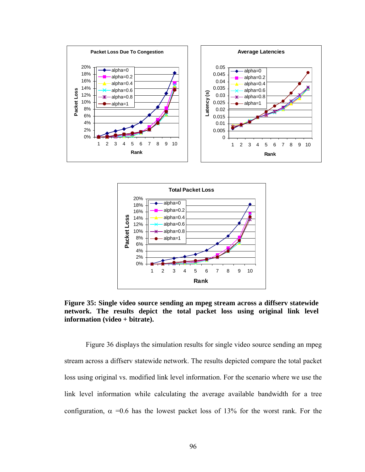



**Figure 35: Single video source sending an mpeg stream across a diffserv statewide network. The results depict the total packet loss using original link level information (video + bitrate).** 

Figure 36 displays the simulation results for single video source sending an mpeg stream across a diffserv statewide network. The results depicted compare the total packet loss using original vs. modified link level information. For the scenario where we use the link level information while calculating the average available bandwidth for a tree configuration,  $\alpha$  =0.6 has the lowest packet loss of 13% for the worst rank. For the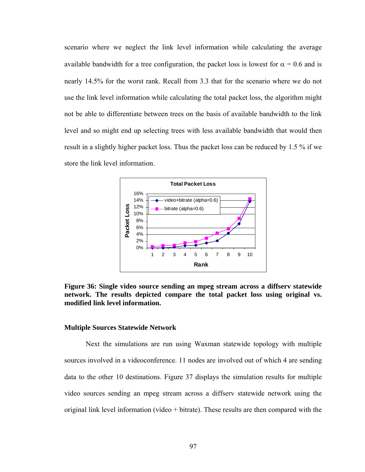scenario where we neglect the link level information while calculating the average available bandwidth for a tree configuration, the packet loss is lowest for  $\alpha = 0.6$  and is nearly 14.5% for the worst rank. Recall from 3.3 that for the scenario where we do not use the link level information while calculating the total packet loss, the algorithm might not be able to differentiate between trees on the basis of available bandwidth to the link level and so might end up selecting trees with less available bandwidth that would then result in a slightly higher packet loss. Thus the packet loss can be reduced by 1.5 % if we store the link level information.



**Figure 36: Single video source sending an mpeg stream across a diffserv statewide network. The results depicted compare the total packet loss using original vs. modified link level information.** 

### **Multiple Sources Statewide Network**

Next the simulations are run using Waxman statewide topology with multiple sources involved in a videoconference. 11 nodes are involved out of which 4 are sending data to the other 10 destinations. Figure 37 displays the simulation results for multiple video sources sending an mpeg stream across a diffserv statewide network using the original link level information (video + bitrate). These results are then compared with the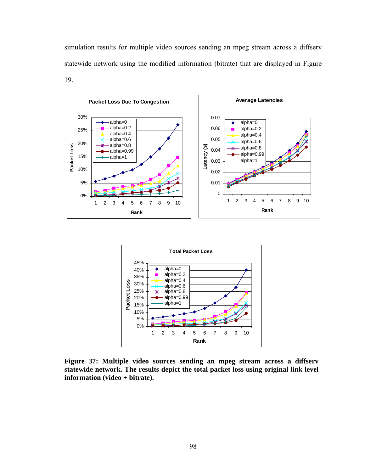simulation results for multiple video sources sending an mpeg stream across a diffserv statewide network using the modified information (bitrate) that are displayed in Figure 19.





**Figure 37: Multiple video sources sending an mpeg stream across a diffserv statewide network. The results depict the total packet loss using original link level information (video + bitrate).**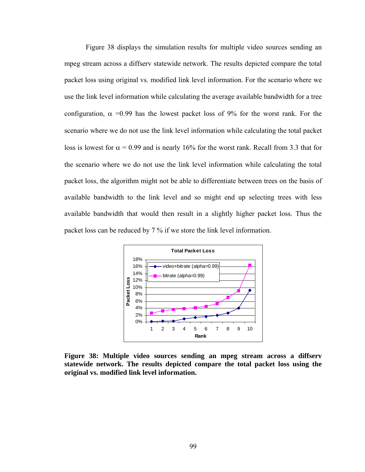Figure 38 displays the simulation results for multiple video sources sending an mpeg stream across a diffserv statewide network. The results depicted compare the total packet loss using original vs. modified link level information. For the scenario where we use the link level information while calculating the average available bandwidth for a tree configuration,  $\alpha$  =0.99 has the lowest packet loss of 9% for the worst rank. For the scenario where we do not use the link level information while calculating the total packet loss is lowest for  $\alpha = 0.99$  and is nearly 16% for the worst rank. Recall from 3.3 that for the scenario where we do not use the link level information while calculating the total packet loss, the algorithm might not be able to differentiate between trees on the basis of available bandwidth to the link level and so might end up selecting trees with less available bandwidth that would then result in a slightly higher packet loss. Thus the packet loss can be reduced by 7 % if we store the link level information.



**Figure 38: Multiple video sources sending an mpeg stream across a diffserv statewide network. The results depicted compare the total packet loss using the original vs. modified link level information.**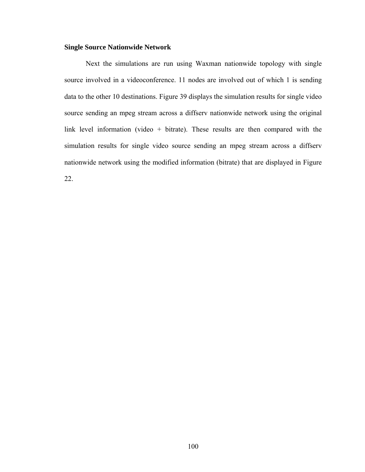## **Single Source Nationwide Network**

Next the simulations are run using Waxman nationwide topology with single source involved in a videoconference. 11 nodes are involved out of which 1 is sending data to the other 10 destinations. Figure 39 displays the simulation results for single video source sending an mpeg stream across a diffserv nationwide network using the original link level information (video + bitrate). These results are then compared with the simulation results for single video source sending an mpeg stream across a diffserv nationwide network using the modified information (bitrate) that are displayed in Figure 22.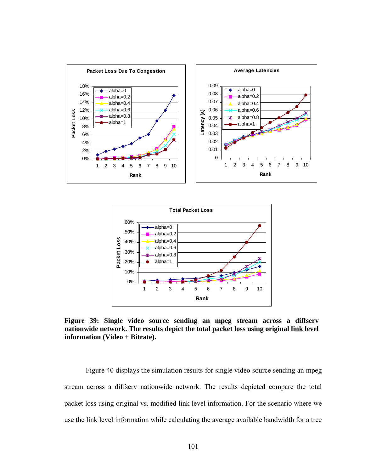



**Figure 39: Single video source sending an mpeg stream across a diffserv nationwide network. The results depict the total packet loss using original link level information (Video + Bitrate).** 

Figure 40 displays the simulation results for single video source sending an mpeg stream across a diffserv nationwide network. The results depicted compare the total packet loss using original vs. modified link level information. For the scenario where we use the link level information while calculating the average available bandwidth for a tree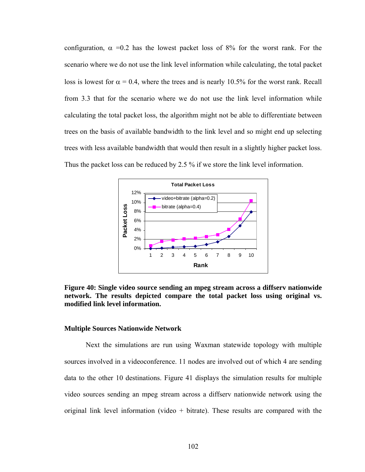configuration,  $\alpha$  =0.2 has the lowest packet loss of 8% for the worst rank. For the scenario where we do not use the link level information while calculating, the total packet loss is lowest for  $\alpha = 0.4$ , where the trees and is nearly 10.5% for the worst rank. Recall from 3.3 that for the scenario where we do not use the link level information while calculating the total packet loss, the algorithm might not be able to differentiate between trees on the basis of available bandwidth to the link level and so might end up selecting trees with less available bandwidth that would then result in a slightly higher packet loss. Thus the packet loss can be reduced by 2.5 % if we store the link level information.



**Figure 40: Single video source sending an mpeg stream across a diffserv nationwide network. The results depicted compare the total packet loss using original vs. modified link level information.** 

#### **Multiple Sources Nationwide Network**

Next the simulations are run using Waxman statewide topology with multiple sources involved in a videoconference. 11 nodes are involved out of which 4 are sending data to the other 10 destinations. Figure 41 displays the simulation results for multiple video sources sending an mpeg stream across a diffserv nationwide network using the original link level information (video + bitrate). These results are compared with the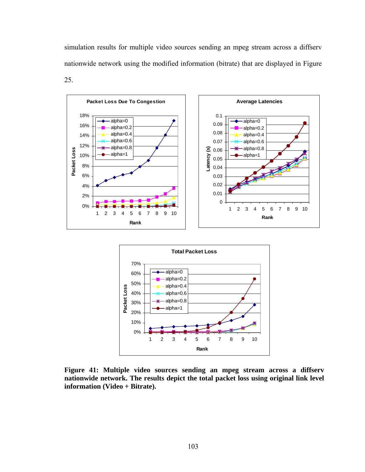simulation results for multiple video sources sending an mpeg stream across a diffserv nationwide network using the modified information (bitrate) that are displayed in Figure 25.





**Figure 41: Multiple video sources sending an mpeg stream across a diffserv nationwide network. The results depict the total packet loss using original link level information (Video + Bitrate).**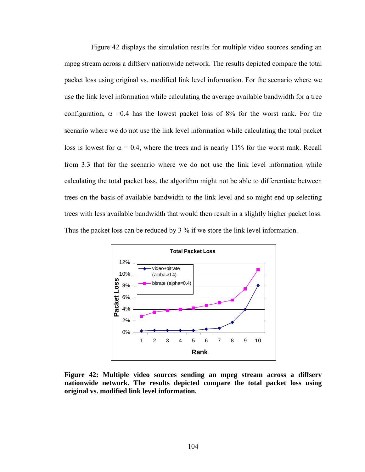Figure 42 displays the simulation results for multiple video sources sending an mpeg stream across a diffserv nationwide network. The results depicted compare the total packet loss using original vs. modified link level information. For the scenario where we use the link level information while calculating the average available bandwidth for a tree configuration,  $\alpha$  =0.4 has the lowest packet loss of 8% for the worst rank. For the scenario where we do not use the link level information while calculating the total packet loss is lowest for  $\alpha = 0.4$ , where the trees and is nearly 11% for the worst rank. Recall from 3.3 that for the scenario where we do not use the link level information while calculating the total packet loss, the algorithm might not be able to differentiate between trees on the basis of available bandwidth to the link level and so might end up selecting trees with less available bandwidth that would then result in a slightly higher packet loss. Thus the packet loss can be reduced by 3 % if we store the link level information.



**Figure 42: Multiple video sources sending an mpeg stream across a diffserv nationwide network. The results depicted compare the total packet loss using original vs. modified link level information.**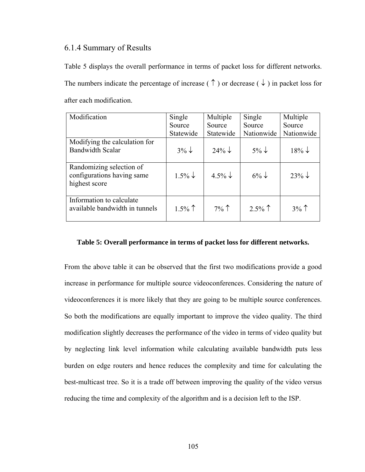# 6.1.4 Summary of Results

Table 5 displays the overall performance in terms of packet loss for different networks. The numbers indicate the percentage of increase ( $\uparrow$ ) or decrease ( $\downarrow$ ) in packet loss for after each modification.

| Modification                                                            | Single             | Multiple           | Single           | Multiple          |
|-------------------------------------------------------------------------|--------------------|--------------------|------------------|-------------------|
|                                                                         | Source             | Source             | Source           | Source            |
|                                                                         | Statewide          | Statewide          | Nationwide       | Nationwide        |
| Modifying the calculation for<br><b>Bandwidth Scalar</b>                | $3\% \downarrow$   | $24\% \downarrow$  | $5\% \downarrow$ | $18\% \downarrow$ |
| Randomizing selection of<br>configurations having same<br>highest score | $1.5\% \downarrow$ | $4.5\% \downarrow$ | $6\% \downarrow$ | $23\% \downarrow$ |
| Information to calculate<br>available bandwidth in tunnels              | $1.5\%$            | $7\%$              | $2.5\%$          | $3\%$             |

### **Table 5: Overall performance in terms of packet loss for different networks.**

From the above table it can be observed that the first two modifications provide a good increase in performance for multiple source videoconferences. Considering the nature of videoconferences it is more likely that they are going to be multiple source conferences. So both the modifications are equally important to improve the video quality. The third modification slightly decreases the performance of the video in terms of video quality but by neglecting link level information while calculating available bandwidth puts less burden on edge routers and hence reduces the complexity and time for calculating the best-multicast tree. So it is a trade off between improving the quality of the video versus reducing the time and complexity of the algorithm and is a decision left to the ISP.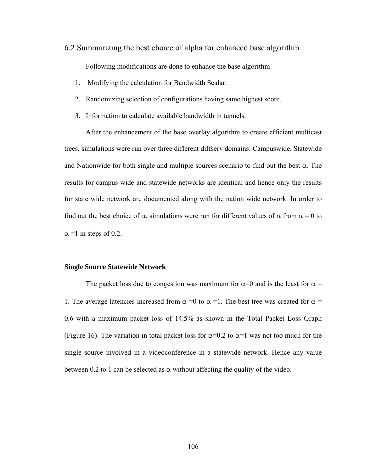- 6.2 Summarizing the best choice of alpha for enhanced base algorithm Following modifications are done to enhance the base algorithm –
	- 1. Modifying the calculation for Bandwidth Scalar.
	- 2. Randomizing selection of configurations having same highest score.
	- 3. Information to calculate available bandwidth in tunnels.

After the enhancement of the base overlay algorithm to create efficient multicast trees, simulations were run over three different diffserv domains: Campuswide, Statewide and Nationwide for both single and multiple sources scenario to find out the best  $\alpha$ . The results for campus wide and statewide networks are identical and hence only the results for state wide network are documented along with the nation wide network. In order to find out the best choice of  $\alpha$ , simulations were run for different values of  $\alpha$  from  $\alpha = 0$  to  $\alpha$  =1 in steps of 0.2.

#### **Single Source Statewide Network**

The packet loss due to congestion was maximum for  $\alpha=0$  and is the least for  $\alpha =$ 1. The average latencies increased from  $\alpha =0$  to  $\alpha =1$ . The best tree was created for  $\alpha =$ 0.6 with a maximum packet loss of 14.5% as shown in the Total Packet Loss Graph (Figure 16). The variation in total packet loss for  $\alpha=0.2$  to  $\alpha=1$  was not too much for the single source involved in a videoconference in a statewide network. Hence any value between 0.2 to 1 can be selected as  $\alpha$  without affecting the quality of the video.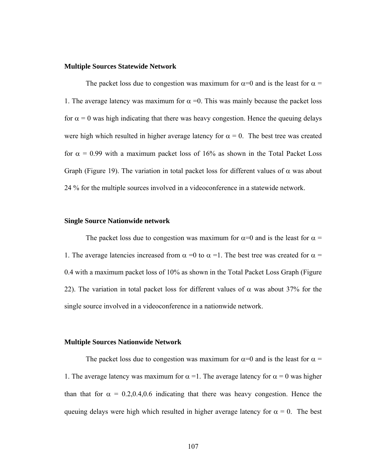## **Multiple Sources Statewide Network**

The packet loss due to congestion was maximum for  $\alpha=0$  and is the least for  $\alpha =$ 1. The average latency was maximum for  $\alpha = 0$ . This was mainly because the packet loss for  $\alpha = 0$  was high indicating that there was heavy congestion. Hence the queuing delays were high which resulted in higher average latency for  $\alpha = 0$ . The best tree was created for  $\alpha$  = 0.99 with a maximum packet loss of 16% as shown in the Total Packet Loss Graph (Figure 19). The variation in total packet loss for different values of  $\alpha$  was about 24 % for the multiple sources involved in a videoconference in a statewide network.

#### **Single Source Nationwide network**

The packet loss due to congestion was maximum for  $\alpha=0$  and is the least for  $\alpha =$ 1. The average latencies increased from  $\alpha = 0$  to  $\alpha = 1$ . The best tree was created for  $\alpha =$ 0.4 with a maximum packet loss of 10% as shown in the Total Packet Loss Graph (Figure 22). The variation in total packet loss for different values of  $\alpha$  was about 37% for the single source involved in a videoconference in a nationwide network.

### **Multiple Sources Nationwide Network**

The packet loss due to congestion was maximum for  $\alpha=0$  and is the least for  $\alpha =$ 1. The average latency was maximum for  $\alpha = 1$ . The average latency for  $\alpha = 0$  was higher than that for  $\alpha = 0.2, 0.4, 0.6$  indicating that there was heavy congestion. Hence the queuing delays were high which resulted in higher average latency for  $\alpha = 0$ . The best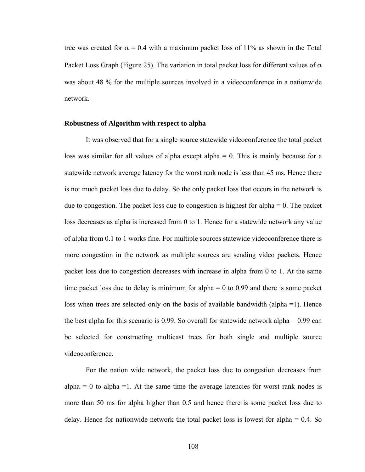tree was created for  $\alpha = 0.4$  with a maximum packet loss of 11% as shown in the Total Packet Loss Graph (Figure 25). The variation in total packet loss for different values of  $\alpha$ was about 48 % for the multiple sources involved in a videoconference in a nationwide network.

#### **Robustness of Algorithm with respect to alpha**

 It was observed that for a single source statewide videoconference the total packet loss was similar for all values of alpha except alpha  $= 0$ . This is mainly because for a statewide network average latency for the worst rank node is less than 45 ms. Hence there is not much packet loss due to delay. So the only packet loss that occurs in the network is due to congestion. The packet loss due to congestion is highest for alpha  $= 0$ . The packet loss decreases as alpha is increased from 0 to 1. Hence for a statewide network any value of alpha from 0.1 to 1 works fine. For multiple sources statewide videoconference there is more congestion in the network as multiple sources are sending video packets. Hence packet loss due to congestion decreases with increase in alpha from 0 to 1. At the same time packet loss due to delay is minimum for alpha  $= 0$  to 0.99 and there is some packet loss when trees are selected only on the basis of available bandwidth (alpha =1). Hence the best alpha for this scenario is 0.99. So overall for statewide network alpha = 0.99 can be selected for constructing multicast trees for both single and multiple source videoconference.

 For the nation wide network, the packet loss due to congestion decreases from  $alpha = 0$  to alpha =1. At the same time the average latencies for worst rank nodes is more than 50 ms for alpha higher than 0.5 and hence there is some packet loss due to delay. Hence for nationwide network the total packet loss is lowest for alpha  $= 0.4$ . So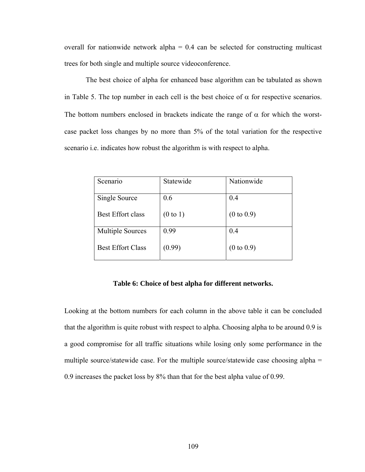overall for nationwide network alpha  $= 0.4$  can be selected for constructing multicast trees for both single and multiple source videoconference.

The best choice of alpha for enhanced base algorithm can be tabulated as shown in Table 5. The top number in each cell is the best choice of  $\alpha$  for respective scenarios. The bottom numbers enclosed in brackets indicate the range of  $\alpha$  for which the worstcase packet loss changes by no more than 5% of the total variation for the respective scenario i.e. indicates how robust the algorithm is with respect to alpha.

| Scenario                 | Statewide           | Nationwide            |
|--------------------------|---------------------|-----------------------|
| Single Source            | 0.6                 | 0.4                   |
| <b>Best Effort class</b> | $(0 \text{ to } 1)$ | $(0 \text{ to } 0.9)$ |
| <b>Multiple Sources</b>  | 0.99                | 0.4                   |
| <b>Best Effort Class</b> | (0.99)              | $(0 \text{ to } 0.9)$ |

### **Table 6: Choice of best alpha for different networks.**

Looking at the bottom numbers for each column in the above table it can be concluded that the algorithm is quite robust with respect to alpha. Choosing alpha to be around 0.9 is a good compromise for all traffic situations while losing only some performance in the multiple source/statewide case. For the multiple source/statewide case choosing alpha = 0.9 increases the packet loss by 8% than that for the best alpha value of 0.99.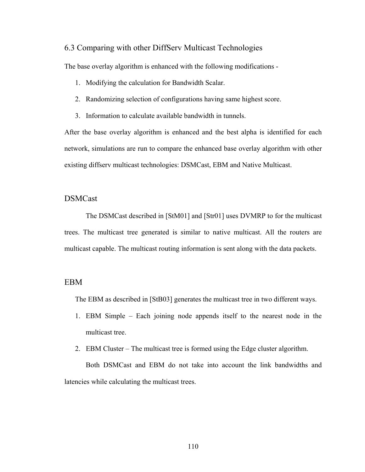## 6.3 Comparing with other DiffServ Multicast Technologies

The base overlay algorithm is enhanced with the following modifications -

- 1. Modifying the calculation for Bandwidth Scalar.
- 2. Randomizing selection of configurations having same highest score.
- 3. Information to calculate available bandwidth in tunnels.

After the base overlay algorithm is enhanced and the best alpha is identified for each network, simulations are run to compare the enhanced base overlay algorithm with other existing diffserv multicast technologies: DSMCast, EBM and Native Multicast.

# DSMCast

The DSMCast described in [StM01] and [Str01] uses DVMRP to for the multicast trees. The multicast tree generated is similar to native multicast. All the routers are multicast capable. The multicast routing information is sent along with the data packets.

# EBM

The EBM as described in [StB03] generates the multicast tree in two different ways.

- 1. EBM Simple Each joining node appends itself to the nearest node in the multicast tree.
- 2. EBM Cluster The multicast tree is formed using the Edge cluster algorithm.

Both DSMCast and EBM do not take into account the link bandwidths and latencies while calculating the multicast trees.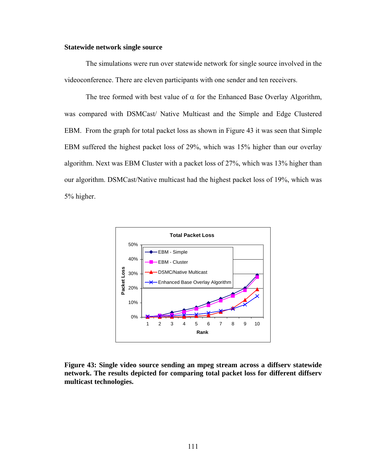### **Statewide network single source**

The simulations were run over statewide network for single source involved in the videoconference. There are eleven participants with one sender and ten receivers.

The tree formed with best value of  $\alpha$  for the Enhanced Base Overlay Algorithm, was compared with DSMCast/ Native Multicast and the Simple and Edge Clustered EBM. From the graph for total packet loss as shown in Figure 43 it was seen that Simple EBM suffered the highest packet loss of 29%, which was 15% higher than our overlay algorithm. Next was EBM Cluster with a packet loss of 27%, which was 13% higher than our algorithm. DSMCast/Native multicast had the highest packet loss of 19%, which was 5% higher.



**Figure 43: Single video source sending an mpeg stream across a diffserv statewide network. The results depicted for comparing total packet loss for different diffserv multicast technologies.**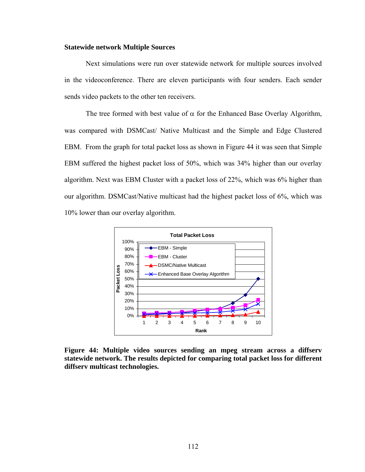#### **Statewide network Multiple Sources**

Next simulations were run over statewide network for multiple sources involved in the videoconference. There are eleven participants with four senders. Each sender sends video packets to the other ten receivers.

The tree formed with best value of  $\alpha$  for the Enhanced Base Overlay Algorithm, was compared with DSMCast/ Native Multicast and the Simple and Edge Clustered EBM. From the graph for total packet loss as shown in Figure 44 it was seen that Simple EBM suffered the highest packet loss of 50%, which was 34% higher than our overlay algorithm. Next was EBM Cluster with a packet loss of 22%, which was 6% higher than our algorithm. DSMCast/Native multicast had the highest packet loss of 6%, which was 10% lower than our overlay algorithm.



**Figure 44: Multiple video sources sending an mpeg stream across a diffserv statewide network. The results depicted for comparing total packet loss for different diffserv multicast technologies.**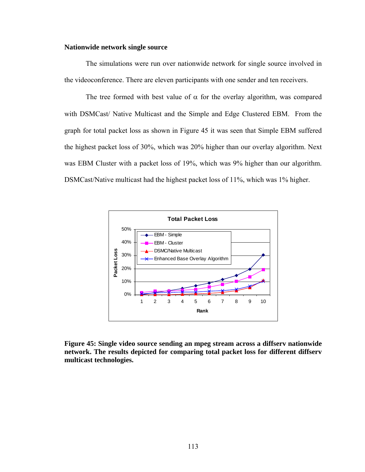## **Nationwide network single source**

The simulations were run over nationwide network for single source involved in the videoconference. There are eleven participants with one sender and ten receivers.

The tree formed with best value of  $\alpha$  for the overlay algorithm, was compared with DSMCast/ Native Multicast and the Simple and Edge Clustered EBM. From the graph for total packet loss as shown in Figure 45 it was seen that Simple EBM suffered the highest packet loss of 30%, which was 20% higher than our overlay algorithm. Next was EBM Cluster with a packet loss of 19%, which was 9% higher than our algorithm. DSMCast/Native multicast had the highest packet loss of 11%, which was 1% higher.



**Figure 45: Single video source sending an mpeg stream across a diffserv nationwide network. The results depicted for comparing total packet loss for different diffserv multicast technologies.**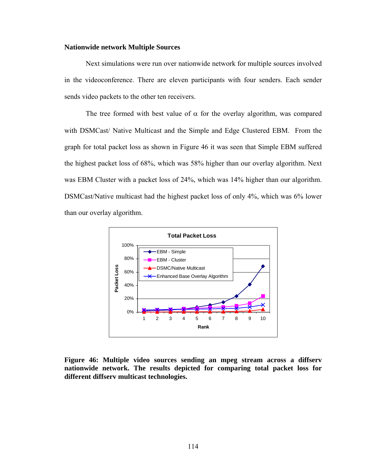#### **Nationwide network Multiple Sources**

Next simulations were run over nationwide network for multiple sources involved in the videoconference. There are eleven participants with four senders. Each sender sends video packets to the other ten receivers.

The tree formed with best value of  $\alpha$  for the overlay algorithm, was compared with DSMCast/ Native Multicast and the Simple and Edge Clustered EBM. From the graph for total packet loss as shown in Figure 46 it was seen that Simple EBM suffered the highest packet loss of 68%, which was 58% higher than our overlay algorithm. Next was EBM Cluster with a packet loss of 24%, which was 14% higher than our algorithm. DSMCast/Native multicast had the highest packet loss of only 4%, which was 6% lower than our overlay algorithm.



**Figure 46: Multiple video sources sending an mpeg stream across a diffserv nationwide network. The results depicted for comparing total packet loss for different diffserv multicast technologies.**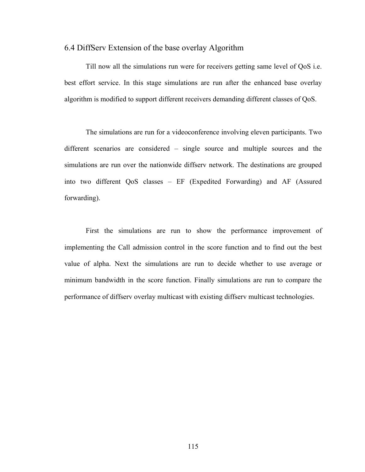## 6.4 DiffServ Extension of the base overlay Algorithm

 Till now all the simulations run were for receivers getting same level of QoS i.e. best effort service. In this stage simulations are run after the enhanced base overlay algorithm is modified to support different receivers demanding different classes of QoS.

 The simulations are run for a videoconference involving eleven participants. Two different scenarios are considered – single source and multiple sources and the simulations are run over the nationwide diffserv network. The destinations are grouped into two different QoS classes – EF (Expedited Forwarding) and AF (Assured forwarding).

First the simulations are run to show the performance improvement of implementing the Call admission control in the score function and to find out the best value of alpha. Next the simulations are run to decide whether to use average or minimum bandwidth in the score function. Finally simulations are run to compare the performance of diffserv overlay multicast with existing diffserv multicast technologies.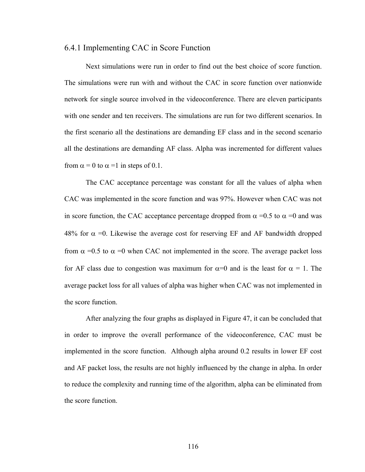## 6.4.1 Implementing CAC in Score Function

Next simulations were run in order to find out the best choice of score function. The simulations were run with and without the CAC in score function over nationwide network for single source involved in the videoconference. There are eleven participants with one sender and ten receivers. The simulations are run for two different scenarios. In the first scenario all the destinations are demanding EF class and in the second scenario all the destinations are demanding AF class. Alpha was incremented for different values from  $\alpha = 0$  to  $\alpha = 1$  in steps of 0.1.

The CAC acceptance percentage was constant for all the values of alpha when CAC was implemented in the score function and was 97%. However when CAC was not in score function, the CAC acceptance percentage dropped from  $\alpha = 0.5$  to  $\alpha = 0$  and was 48% for  $\alpha$  =0. Likewise the average cost for reserving EF and AF bandwidth dropped from  $\alpha$  =0.5 to  $\alpha$  =0 when CAC not implemented in the score. The average packet loss for AF class due to congestion was maximum for  $\alpha=0$  and is the least for  $\alpha=1$ . The average packet loss for all values of alpha was higher when CAC was not implemented in the score function.

After analyzing the four graphs as displayed in Figure 47, it can be concluded that in order to improve the overall performance of the videoconference, CAC must be implemented in the score function. Although alpha around 0.2 results in lower EF cost and AF packet loss, the results are not highly influenced by the change in alpha. In order to reduce the complexity and running time of the algorithm, alpha can be eliminated from the score function.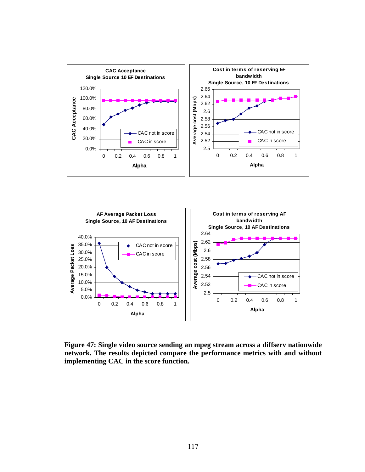



**Figure 47: Single video source sending an mpeg stream across a diffserv nationwide network. The results depicted compare the performance metrics with and without implementing CAC in the score function.**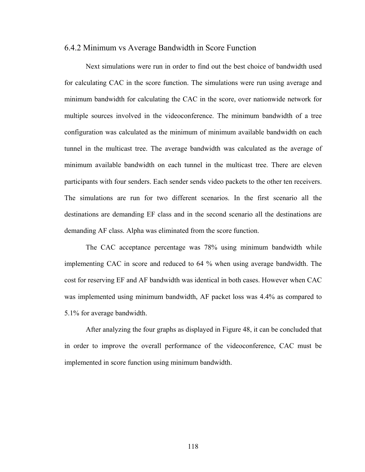## 6.4.2 Minimum vs Average Bandwidth in Score Function

Next simulations were run in order to find out the best choice of bandwidth used for calculating CAC in the score function. The simulations were run using average and minimum bandwidth for calculating the CAC in the score, over nationwide network for multiple sources involved in the videoconference. The minimum bandwidth of a tree configuration was calculated as the minimum of minimum available bandwidth on each tunnel in the multicast tree. The average bandwidth was calculated as the average of minimum available bandwidth on each tunnel in the multicast tree. There are eleven participants with four senders. Each sender sends video packets to the other ten receivers. The simulations are run for two different scenarios. In the first scenario all the destinations are demanding EF class and in the second scenario all the destinations are demanding AF class. Alpha was eliminated from the score function.

The CAC acceptance percentage was 78% using minimum bandwidth while implementing CAC in score and reduced to 64 % when using average bandwidth. The cost for reserving EF and AF bandwidth was identical in both cases. However when CAC was implemented using minimum bandwidth, AF packet loss was 4.4% as compared to 5.1% for average bandwidth.

After analyzing the four graphs as displayed in Figure 48, it can be concluded that in order to improve the overall performance of the videoconference, CAC must be implemented in score function using minimum bandwidth.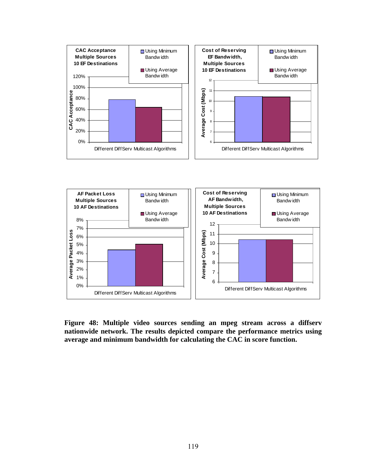



**Figure 48: Multiple video sources sending an mpeg stream across a diffserv nationwide network. The results depicted compare the performance metrics using average and minimum bandwidth for calculating the CAC in score function.**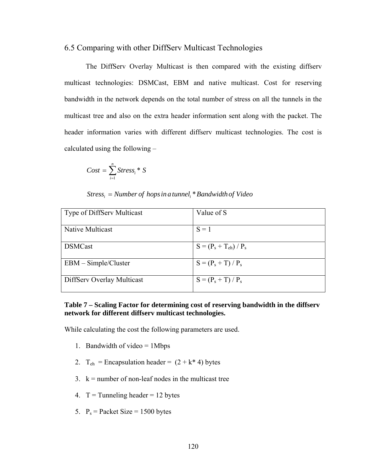## 6.5 Comparing with other DiffServ Multicast Technologies

The DiffServ Overlay Multicast is then compared with the existing diffserv multicast technologies: DSMCast, EBM and native multicast. Cost for reserving bandwidth in the network depends on the total number of stress on all the tunnels in the multicast tree and also on the extra header information sent along with the packet. The header information varies with different diffserv multicast technologies. The cost is calculated using the following –

$$
Cost = \sum_{i=1}^{n} Stress_{i} * S
$$

# $\it{Stress}_i =$  Number of hops in a tunnel<sub>i</sub> \* Bandwidth of Video

| <b>Type of DiffServ Multicast</b> | Value of S                 |
|-----------------------------------|----------------------------|
|                                   |                            |
| Native Multicast                  | $S = 1$                    |
|                                   |                            |
| <b>DSMCast</b>                    | $S = (P_s + T_{eh}) / P_s$ |
|                                   |                            |
| $EBM - Simple/Cluster$            | $S = (P_s + T) / P_s$      |
|                                   |                            |
| DiffServ Overlay Multicast        | $S = (P_s + T)/P_s$        |
|                                   |                            |

# **Table 7 – Scaling Factor for determining cost of reserving bandwidth in the diffserv network for different diffserv multicast technologies.**

While calculating the cost the following parameters are used.

- 1. Bandwidth of video = 1Mbps
- 2.  $T_{eh}$  = Encapsulation header =  $(2 + k* 4)$  bytes
- $3.$  k = number of non-leaf nodes in the multicast tree
- 4.  $T =$ Tunneling header = 12 bytes
- 5.  $P_s =$  Packet Size = 1500 bytes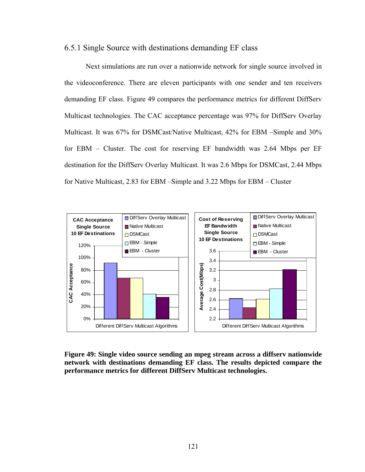## 6.5.1 Single Source with destinations demanding EF class

Next simulations are run over a nationwide network for single source involved in the videoconference. There are eleven participants with one sender and ten receivers demanding EF class. Figure 49 compares the performance metrics for different DiffServ Multicast technologies. The CAC acceptance percentage was 97% for DiffServ Overlay Multicast. It was 67% for DSMCast/Native Multicast, 42% for EBM –Simple and 30% for EBM – Cluster. The cost for reserving EF bandwidth was 2.64 Mbps per EF destination for the DiffServ Overlay Multicast. It was 2.6 Mbps for DSMCast, 2.44 Mbps for Native Multicast, 2.83 for EBM –Simple and 3.22 Mbps for EBM – Cluster



**Figure 49: Single video source sending an mpeg stream across a diffserv nationwide network with destinations demanding EF class. The results depicted compare the performance metrics for different DiffServ Multicast technologies.**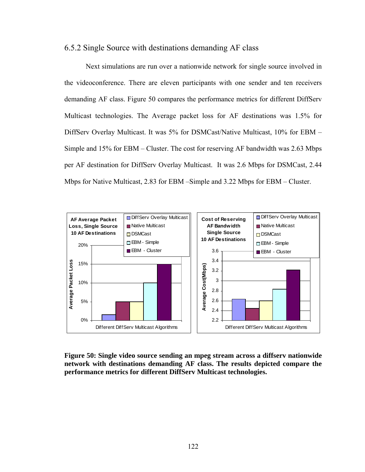# 6.5.2 Single Source with destinations demanding AF class

Next simulations are run over a nationwide network for single source involved in the videoconference. There are eleven participants with one sender and ten receivers demanding AF class. Figure 50 compares the performance metrics for different DiffServ Multicast technologies. The Average packet loss for AF destinations was 1.5% for DiffServ Overlay Multicast. It was 5% for DSMCast/Native Multicast, 10% for EBM – Simple and 15% for EBM – Cluster. The cost for reserving AF bandwidth was 2.63 Mbps per AF destination for DiffServ Overlay Multicast. It was 2.6 Mbps for DSMCast, 2.44 Mbps for Native Multicast, 2.83 for EBM –Simple and 3.22 Mbps for EBM – Cluster.



**Figure 50: Single video source sending an mpeg stream across a diffserv nationwide network with destinations demanding AF class. The results depicted compare the performance metrics for different DiffServ Multicast technologies.**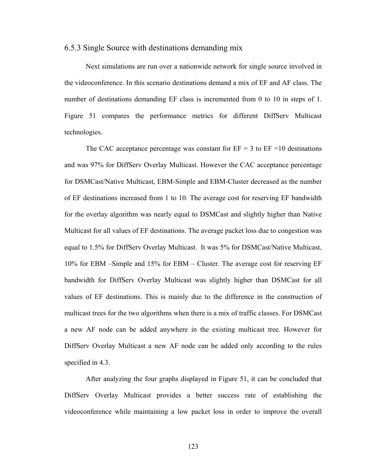## 6.5.3 Single Source with destinations demanding mix

Next simulations are run over a nationwide network for single source involved in the videoconference. In this scenario destinations demand a mix of EF and AF class. The number of destinations demanding EF class is incremented from 0 to 10 in steps of 1. Figure 51 compares the performance metrics for different DiffServ Multicast technologies.

The CAC acceptance percentage was constant for  $EF = 3$  to  $EF = 10$  destinations and was 97% for DiffServ Overlay Multicast. However the CAC acceptance percentage for DSMCast/Native Multicast, EBM-Simple and EBM-Cluster decreased as the number of EF destinations increased from 1 to 10. The average cost for reserving EF bandwidth for the overlay algorithm was nearly equal to DSMCast and slightly higher than Native Multicast for all values of EF destinations. The average packet loss due to congestion was equal to 1.5% for DiffServ Overlay Multicast. It was 5% for DSMCast/Native Multicast, 10% for EBM –Simple and 15% for EBM – Cluster. The average cost for reserving EF bandwidth for DiffServ Overlay Multicast was slightly higher than DSMCast for all values of EF destinations. This is mainly due to the difference in the construction of multicast trees for the two algorithms when there is a mix of traffic classes. For DSMCast a new AF node can be added anywhere in the existing multicast tree. However for DiffServ Overlay Multicast a new AF node can be added only according to the rules specified in 4.3.

After analyzing the four graphs displayed in Figure 51, it can be concluded that DiffServ Overlay Multicast provides a better success rate of establishing the videoconference while maintaining a low packet loss in order to improve the overall

123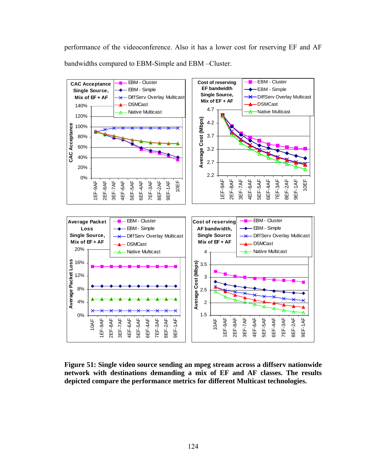performance of the videoconference. Also it has a lower cost for reserving EF and AF bandwidths compared to EBM-Simple and EBM –Cluster.



**Figure 51: Single video source sending an mpeg stream across a diffserv nationwide network with destinations demanding a mix of EF and AF classes. The results depicted compare the performance metrics for different Multicast technologies.**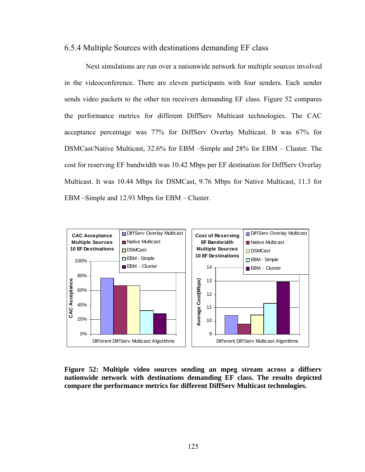## 6.5.4 Multiple Sources with destinations demanding EF class

Next simulations are run over a nationwide network for multiple sources involved in the videoconference. There are eleven participants with four senders. Each sender sends video packets to the other ten receivers demanding EF class. Figure 52 compares the performance metrics for different DiffServ Multicast technologies. The CAC acceptance percentage was 77% for DiffServ Overlay Multicast. It was 67% for DSMCast/Native Multicast, 32.6% for EBM –Simple and 28% for EBM – Cluster. The cost for reserving EF bandwidth was 10.42 Mbps per EF destination for DiffServ Overlay Multicast. It was 10.44 Mbps for DSMCast, 9.76 Mbps for Native Multicast, 11.3 for EBM –Simple and 12.93 Mbps for EBM – Cluster.



# **Figure 52: Multiple video sources sending an mpeg stream across a diffserv nationwide network with destinations demanding EF class. The results depicted compare the performance metrics for different DiffServ Multicast technologies.**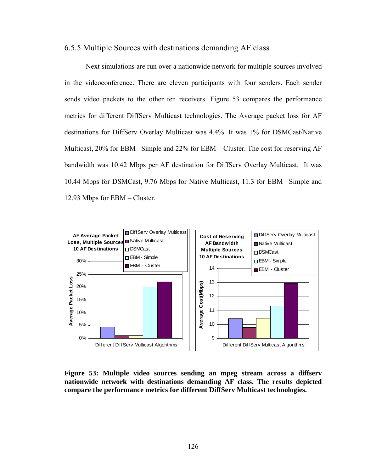## 6.5.5 Multiple Sources with destinations demanding AF class

Next simulations are run over a nationwide network for multiple sources involved in the videoconference. There are eleven participants with four senders. Each sender sends video packets to the other ten receivers. Figure 53 compares the performance metrics for different DiffServ Multicast technologies. The Average packet loss for AF destinations for DiffServ Overlay Multicast was 4.4%. It was 1% for DSMCast/Native Multicast, 20% for EBM –Simple and 22% for EBM – Cluster. The cost for reserving AF bandwidth was 10.42 Mbps per AF destination for DiffServ Overlay Multicast. It was 10.44 Mbps for DSMCast, 9.76 Mbps for Native Multicast, 11.3 for EBM –Simple and 12.93 Mbps for EBM – Cluster.



**Figure 53: Multiple video sources sending an mpeg stream across a diffserv nationwide network with destinations demanding AF class. The results depicted compare the performance metrics for different DiffServ Multicast technologies.**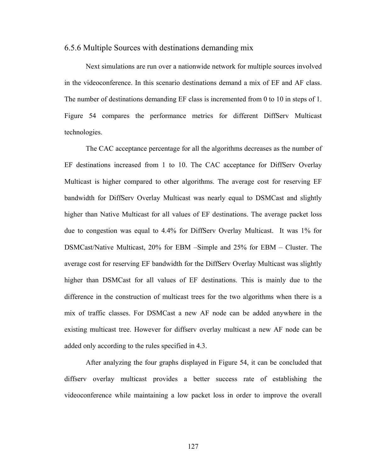## 6.5.6 Multiple Sources with destinations demanding mix

Next simulations are run over a nationwide network for multiple sources involved in the videoconference. In this scenario destinations demand a mix of EF and AF class. The number of destinations demanding EF class is incremented from 0 to 10 in steps of 1. Figure 54 compares the performance metrics for different DiffServ Multicast technologies.

The CAC acceptance percentage for all the algorithms decreases as the number of EF destinations increased from 1 to 10. The CAC acceptance for DiffServ Overlay Multicast is higher compared to other algorithms. The average cost for reserving EF bandwidth for DiffServ Overlay Multicast was nearly equal to DSMCast and slightly higher than Native Multicast for all values of EF destinations. The average packet loss due to congestion was equal to 4.4% for DiffServ Overlay Multicast. It was 1% for DSMCast/Native Multicast, 20% for EBM –Simple and 25% for EBM – Cluster. The average cost for reserving EF bandwidth for the DiffServ Overlay Multicast was slightly higher than DSMCast for all values of EF destinations. This is mainly due to the difference in the construction of multicast trees for the two algorithms when there is a mix of traffic classes. For DSMCast a new AF node can be added anywhere in the existing multicast tree. However for diffserv overlay multicast a new AF node can be added only according to the rules specified in 4.3.

After analyzing the four graphs displayed in Figure 54, it can be concluded that diffserv overlay multicast provides a better success rate of establishing the videoconference while maintaining a low packet loss in order to improve the overall

127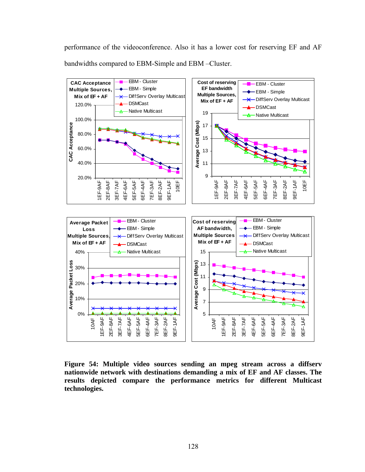performance of the videoconference. Also it has a lower cost for reserving EF and AF bandwidths compared to EBM-Simple and EBM –Cluster.



**Figure 54: Multiple video sources sending an mpeg stream across a diffserv nationwide network with destinations demanding a mix of EF and AF classes. The results depicted compare the performance metrics for different Multicast technologies.**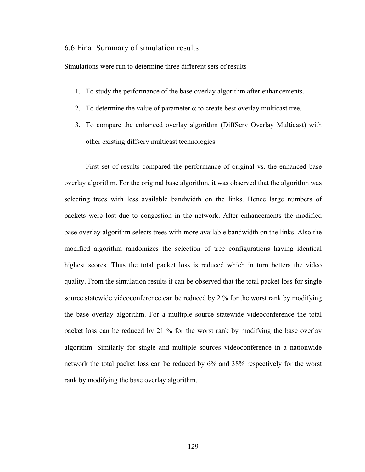## 6.6 Final Summary of simulation results

Simulations were run to determine three different sets of results

- 1. To study the performance of the base overlay algorithm after enhancements.
- 2. To determine the value of parameter  $\alpha$  to create best overlay multicast tree.
- 3. To compare the enhanced overlay algorithm (DiffServ Overlay Multicast) with other existing diffserv multicast technologies.

First set of results compared the performance of original vs. the enhanced base overlay algorithm. For the original base algorithm, it was observed that the algorithm was selecting trees with less available bandwidth on the links. Hence large numbers of packets were lost due to congestion in the network. After enhancements the modified base overlay algorithm selects trees with more available bandwidth on the links. Also the modified algorithm randomizes the selection of tree configurations having identical highest scores. Thus the total packet loss is reduced which in turn betters the video quality. From the simulation results it can be observed that the total packet loss for single source statewide videoconference can be reduced by 2 % for the worst rank by modifying the base overlay algorithm. For a multiple source statewide videoconference the total packet loss can be reduced by 21 % for the worst rank by modifying the base overlay algorithm. Similarly for single and multiple sources videoconference in a nationwide network the total packet loss can be reduced by 6% and 38% respectively for the worst rank by modifying the base overlay algorithm.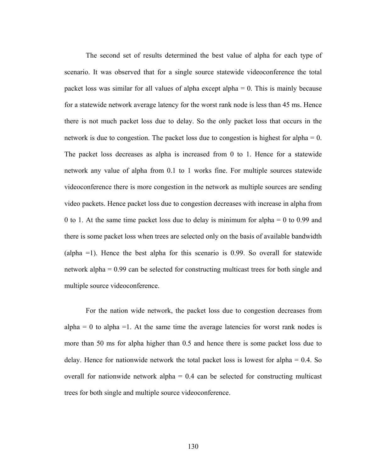The second set of results determined the best value of alpha for each type of scenario. It was observed that for a single source statewide videoconference the total packet loss was similar for all values of alpha except alpha = 0. This is mainly because for a statewide network average latency for the worst rank node is less than 45 ms. Hence there is not much packet loss due to delay. So the only packet loss that occurs in the network is due to congestion. The packet loss due to congestion is highest for alpha  $= 0$ . The packet loss decreases as alpha is increased from 0 to 1. Hence for a statewide network any value of alpha from 0.1 to 1 works fine. For multiple sources statewide videoconference there is more congestion in the network as multiple sources are sending video packets. Hence packet loss due to congestion decreases with increase in alpha from 0 to 1. At the same time packet loss due to delay is minimum for alpha = 0 to 0.99 and there is some packet loss when trees are selected only on the basis of available bandwidth (alpha =1). Hence the best alpha for this scenario is 0.99. So overall for statewide network alpha = 0.99 can be selected for constructing multicast trees for both single and multiple source videoconference.

 For the nation wide network, the packet loss due to congestion decreases from  $alpha = 0$  to alpha =1. At the same time the average latencies for worst rank nodes is more than 50 ms for alpha higher than 0.5 and hence there is some packet loss due to delay. Hence for nationwide network the total packet loss is lowest for alpha = 0.4. So overall for nationwide network alpha  $= 0.4$  can be selected for constructing multicast trees for both single and multiple source videoconference.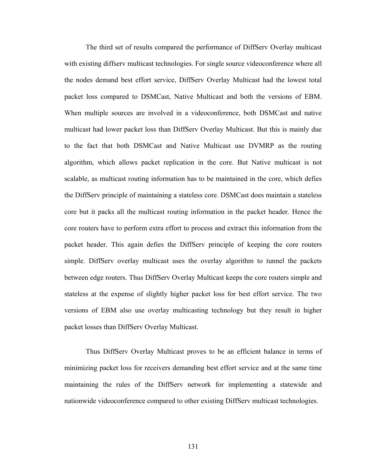The third set of results compared the performance of DiffServ Overlay multicast with existing diffserv multicast technologies. For single source videoconference where all the nodes demand best effort service, DiffServ Overlay Multicast had the lowest total packet loss compared to DSMCast, Native Multicast and both the versions of EBM. When multiple sources are involved in a videoconference, both DSMCast and native multicast had lower packet loss than DiffServ Overlay Multicast. But this is mainly due to the fact that both DSMCast and Native Multicast use DVMRP as the routing algorithm, which allows packet replication in the core. But Native multicast is not scalable, as multicast routing information has to be maintained in the core, which defies the DiffServ principle of maintaining a stateless core. DSMCast does maintain a stateless core but it packs all the multicast routing information in the packet header. Hence the core routers have to perform extra effort to process and extract this information from the packet header. This again defies the DiffServ principle of keeping the core routers simple. DiffServ overlay multicast uses the overlay algorithm to tunnel the packets between edge routers. Thus DiffServ Overlay Multicast keeps the core routers simple and stateless at the expense of slightly higher packet loss for best effort service. The two versions of EBM also use overlay multicasting technology but they result in higher packet losses than DiffServ Overlay Multicast.

 Thus DiffServ Overlay Multicast proves to be an efficient balance in terms of minimizing packet loss for receivers demanding best effort service and at the same time maintaining the rules of the DiffServ network for implementing a statewide and nationwide videoconference compared to other existing DiffServ multicast technologies.

131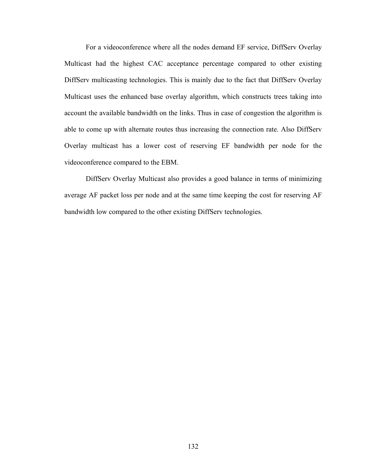For a videoconference where all the nodes demand EF service, DiffServ Overlay Multicast had the highest CAC acceptance percentage compared to other existing DiffServ multicasting technologies. This is mainly due to the fact that DiffServ Overlay Multicast uses the enhanced base overlay algorithm, which constructs trees taking into account the available bandwidth on the links. Thus in case of congestion the algorithm is able to come up with alternate routes thus increasing the connection rate. Also DiffServ Overlay multicast has a lower cost of reserving EF bandwidth per node for the videoconference compared to the EBM.

DiffServ Overlay Multicast also provides a good balance in terms of minimizing average AF packet loss per node and at the same time keeping the cost for reserving AF bandwidth low compared to the other existing DiffServ technologies.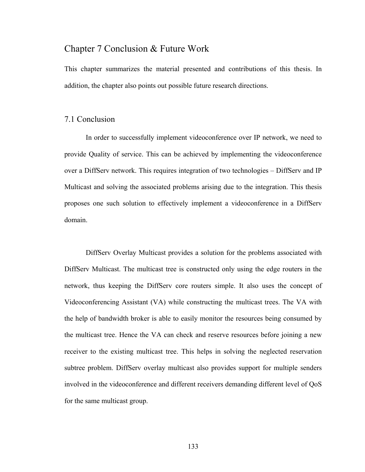# Chapter 7 Conclusion & Future Work

This chapter summarizes the material presented and contributions of this thesis. In addition, the chapter also points out possible future research directions.

### 7.1 Conclusion

 In order to successfully implement videoconference over IP network, we need to provide Quality of service. This can be achieved by implementing the videoconference over a DiffServ network. This requires integration of two technologies – DiffServ and IP Multicast and solving the associated problems arising due to the integration. This thesis proposes one such solution to effectively implement a videoconference in a DiffServ domain.

 DiffServ Overlay Multicast provides a solution for the problems associated with DiffServ Multicast. The multicast tree is constructed only using the edge routers in the network, thus keeping the DiffServ core routers simple. It also uses the concept of Videoconferencing Assistant (VA) while constructing the multicast trees. The VA with the help of bandwidth broker is able to easily monitor the resources being consumed by the multicast tree. Hence the VA can check and reserve resources before joining a new receiver to the existing multicast tree. This helps in solving the neglected reservation subtree problem. DiffServ overlay multicast also provides support for multiple senders involved in the videoconference and different receivers demanding different level of QoS for the same multicast group.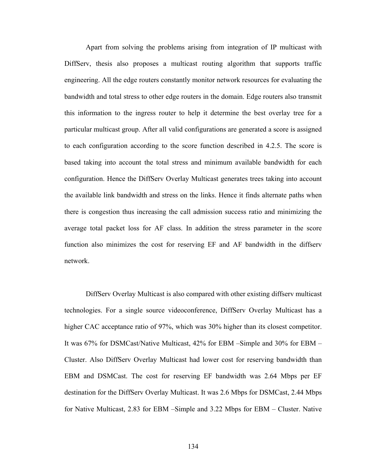Apart from solving the problems arising from integration of IP multicast with DiffServ, thesis also proposes a multicast routing algorithm that supports traffic engineering. All the edge routers constantly monitor network resources for evaluating the bandwidth and total stress to other edge routers in the domain. Edge routers also transmit this information to the ingress router to help it determine the best overlay tree for a particular multicast group. After all valid configurations are generated a score is assigned to each configuration according to the score function described in 4.2.5. The score is based taking into account the total stress and minimum available bandwidth for each configuration. Hence the DiffServ Overlay Multicast generates trees taking into account the available link bandwidth and stress on the links. Hence it finds alternate paths when there is congestion thus increasing the call admission success ratio and minimizing the average total packet loss for AF class. In addition the stress parameter in the score function also minimizes the cost for reserving EF and AF bandwidth in the diffserv network.

DiffServ Overlay Multicast is also compared with other existing diffserv multicast technologies. For a single source videoconference, DiffServ Overlay Multicast has a higher CAC acceptance ratio of 97%, which was 30% higher than its closest competitor. It was 67% for DSMCast/Native Multicast, 42% for EBM –Simple and 30% for EBM – Cluster. Also DiffServ Overlay Multicast had lower cost for reserving bandwidth than EBM and DSMCast. The cost for reserving EF bandwidth was 2.64 Mbps per EF destination for the DiffServ Overlay Multicast. It was 2.6 Mbps for DSMCast, 2.44 Mbps for Native Multicast, 2.83 for EBM –Simple and 3.22 Mbps for EBM – Cluster. Native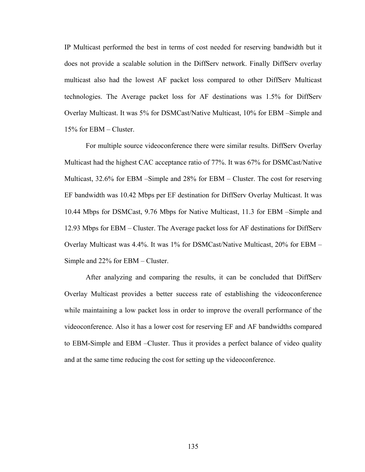IP Multicast performed the best in terms of cost needed for reserving bandwidth but it does not provide a scalable solution in the DiffServ network. Finally DiffServ overlay multicast also had the lowest AF packet loss compared to other DiffServ Multicast technologies. The Average packet loss for AF destinations was 1.5% for DiffServ Overlay Multicast. It was 5% for DSMCast/Native Multicast, 10% for EBM –Simple and 15% for EBM – Cluster.

For multiple source videoconference there were similar results. DiffServ Overlay Multicast had the highest CAC acceptance ratio of 77%. It was 67% for DSMCast/Native Multicast, 32.6% for EBM –Simple and 28% for EBM – Cluster. The cost for reserving EF bandwidth was 10.42 Mbps per EF destination for DiffServ Overlay Multicast. It was 10.44 Mbps for DSMCast, 9.76 Mbps for Native Multicast, 11.3 for EBM –Simple and 12.93 Mbps for EBM – Cluster. The Average packet loss for AF destinations for DiffServ Overlay Multicast was 4.4%. It was 1% for DSMCast/Native Multicast, 20% for EBM – Simple and 22% for EBM – Cluster.

After analyzing and comparing the results, it can be concluded that DiffServ Overlay Multicast provides a better success rate of establishing the videoconference while maintaining a low packet loss in order to improve the overall performance of the videoconference. Also it has a lower cost for reserving EF and AF bandwidths compared to EBM-Simple and EBM –Cluster. Thus it provides a perfect balance of video quality and at the same time reducing the cost for setting up the videoconference.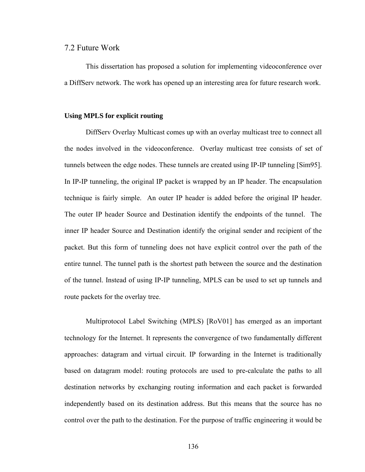#### 7.2 Future Work

 This dissertation has proposed a solution for implementing videoconference over a DiffServ network. The work has opened up an interesting area for future research work.

#### **Using MPLS for explicit routing**

 DiffServ Overlay Multicast comes up with an overlay multicast tree to connect all the nodes involved in the videoconference. Overlay multicast tree consists of set of tunnels between the edge nodes. These tunnels are created using IP-IP tunneling [Sim95]. In IP-IP tunneling, the original IP packet is wrapped by an IP header. The encapsulation technique is fairly simple. An outer IP header is added before the original IP header. The outer IP header Source and Destination identify the endpoints of the tunnel. The inner IP header Source and Destination identify the original sender and recipient of the packet. But this form of tunneling does not have explicit control over the path of the entire tunnel. The tunnel path is the shortest path between the source and the destination of the tunnel. Instead of using IP-IP tunneling, MPLS can be used to set up tunnels and route packets for the overlay tree.

 Multiprotocol Label Switching (MPLS) [RoV01] has emerged as an important technology for the Internet. It represents the convergence of two fundamentally different approaches: datagram and virtual circuit. IP forwarding in the Internet is traditionally based on datagram model: routing protocols are used to pre-calculate the paths to all destination networks by exchanging routing information and each packet is forwarded independently based on its destination address. But this means that the source has no control over the path to the destination. For the purpose of traffic engineering it would be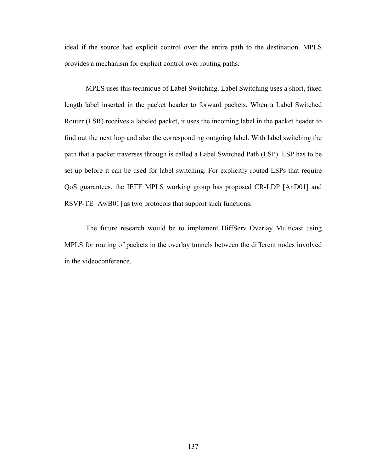ideal if the source had explicit control over the entire path to the destination. MPLS provides a mechanism for explicit control over routing paths.

MPLS uses this technique of Label Switching. Label Switching uses a short, fixed length label inserted in the packet header to forward packets. When a Label Switched Router (LSR) receives a labeled packet, it uses the incoming label in the packet header to find out the next hop and also the corresponding outgoing label. With label switching the path that a packet traverses through is called a Label Switched Path (LSP). LSP has to be set up before it can be used for label switching. For explicitly routed LSPs that require QoS guarantees, the IETF MPLS working group has proposed CR-LDP [AnD01] and RSVP-TE [AwB01] as two protocols that support such functions.

The future research would be to implement DiffServ Overlay Multicast using MPLS for routing of packets in the overlay tunnels between the different nodes involved in the videoconference.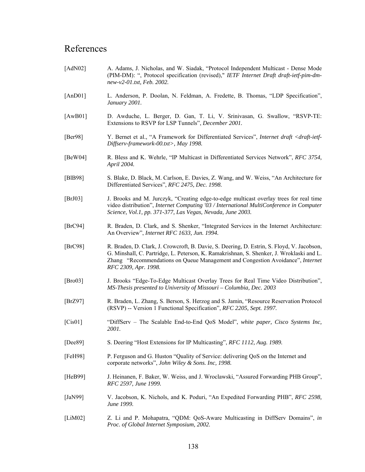## References

- [AdN02] A. Adams, J. Nicholas, and W. Siadak, "Protocol Independent Multicast Dense Mode (PIM-DM): ", Protocol specification (revised)," *IETF Internet Draft draft-ietf-pim-dmnew-v2-01.txt, Feb. 2002.*
- [AnD01] L. Anderson, P. Doolan, N. Feldman, A. Fredette, B. Thomas, "LDP Specification", *January 2001.*
- [AwB01] D. Awduche, L. Berger, D. Gan, T. Li, V. Srinivasan, G. Swallow, "RSVP-TE: Extensions to RSVP for LSP Tunnels", *December 2001.*
- [Ber98] Y. Bernet et al., "A Framework for Differentiated Services", *Internet draft <draft-ietf-Diffserv-framework-00.txt>, May 1998.*
- [BeW04] R. Bless and K. Wehrle, "IP Multicast in Differentiated Services Network", *RFC 3754, April 2004.*
- [BlB98] S. Blake, D. Black, M. Carlson, E. Davies, Z. Wang, and W. Weiss, "An Architecture for Differentiated Services", *RFC 2475, Dec. 1998.*
- [BrJ03] J. Brooks and M. Jurczyk, "Creating edge-to-edge multicast overlay trees for real time video distribution", *Internet Computing '03 / International MultiConference in Computer Science, Vol.1, pp. 371-377, Las Vegas, Nevada, June 2003.*
- [BrC94] R. Braden, D. Clark, and S. Shenker, "Integrated Services in the Internet Architecture: An Overview", *Internet RFC 1633, Jun. 1994.*
- [BrC98] R. Braden, D. Clark, J. Crowcroft, B. Davie, S. Deering, D. Estrin, S. Floyd, V. Jacobson, G. Minshall, C. Partridge, L. Peterson, K. Ramakrishnan, S. Shenker, J. Wroklaski and L. Zhang "Recommendations on Queue Management and Congestion Avoidance", *Internet RFC 2309, Apr. 1998.*
- [Bro03] J. Brooks "Edge-To-Edge Multicast Overlay Trees for Real Time Video Distribution", *MS-Thesis presented to University of Missouri – Columbia, Dec. 2003*
- [BrZ97] R. Braden, L. Zhang, S. Berson, S. Herzog and S. Jamin, "Resource Reservation Protocol (RSVP) -- Version 1 Functional Specification", *RFC 2205, Sept. 1997.*
- [Cis01] "DiffServ The Scalable End-to-End QoS Model", *white paper, Cisco Systems Inc, 2001.*
- [Dee89] S. Deering "Host Extensions for IP Multicasting", *RFC 1112, Aug. 1989.*
- [FeH98] P. Ferguson and G. Huston "Quality of Service: delivering QoS on the Internet and corporate networks", *John Wiley & Sons. Inc, 1998.*
- [HeB99] J. Heinanen, F. Baker, W. Weiss, and J. Wroclawski, "Assured Forwarding PHB Group", *RFC 2597, June 1999.*
- [JaN99] V. Jacobson, K. Nichols, and K. Poduri, "An Expedited Forwarding PHB", *RFC 2598, June 1999.*
- [LiM02] Z. Li and P. Mohapatra, "QDM: QoS-Aware Multicasting in DiffServ Domains", *in Proc. of Global Internet Symposium, 2002.*